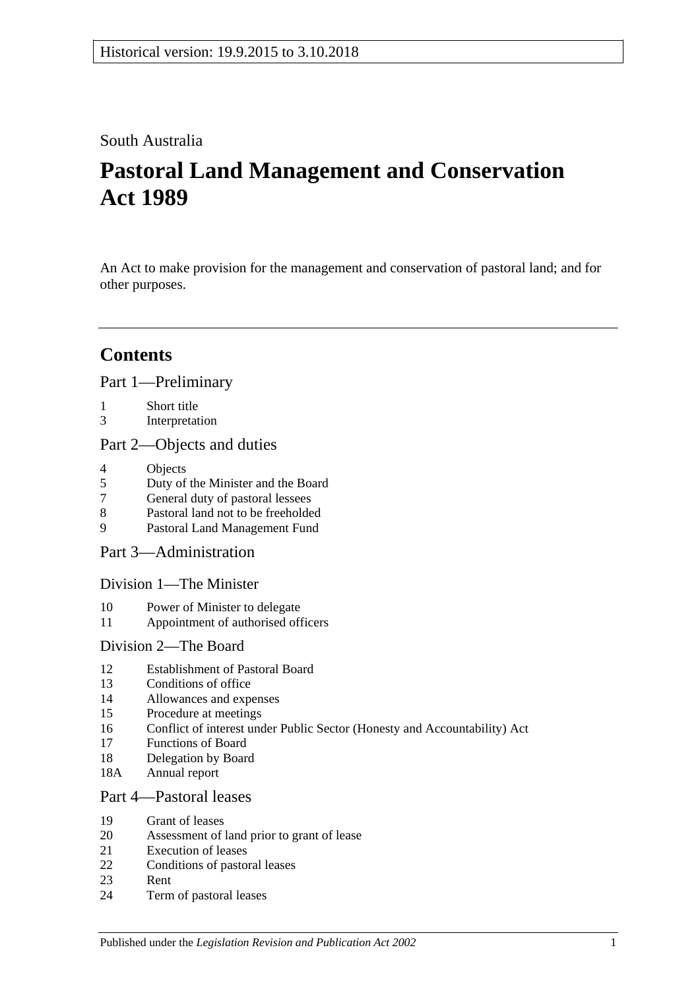## South Australia

# **Pastoral Land Management and Conservation Act 1989**

An Act to make provision for the management and conservation of pastoral land; and for other purposes.

# **Contents**

[Part 1—Preliminary](#page-3-0)

- 1 [Short title](#page-3-1)
- 3 [Interpretation](#page-3-2)

## [Part 2—Objects and duties](#page-4-0)

- 4 [Objects](#page-4-1)<br>5 Duty of
- 5 [Duty of the Minister and the Board](#page-5-0)
- 7 [General duty of pastoral lessees](#page-5-1)
- 8 [Pastoral land not to be freeholded](#page-5-2)
- 9 [Pastoral Land Management Fund](#page-6-0)

[Part 3—Administration](#page-6-1)

[Division 1—The Minister](#page-6-2)

- 10 [Power of Minister to delegate](#page-6-3)
- 11 [Appointment of authorised officers](#page-7-0)

## [Division 2—The Board](#page-7-1)

- 12 [Establishment of Pastoral Board](#page-7-2)
- 13 [Conditions of office](#page-8-0)
- 14 [Allowances and expenses](#page-8-1)
- 15 [Procedure at meetings](#page-8-2)
- 16 [Conflict of interest under Public Sector \(Honesty and Accountability\) Act](#page-9-0)
- 17 [Functions of Board](#page-9-1)
- 18 [Delegation by Board](#page-10-0)
- 18A [Annual report](#page-10-1)

## [Part 4—Pastoral leases](#page-10-2)

- 19 [Grant of leases](#page-10-3)
- 20 [Assessment of land prior to grant of lease](#page-10-4)
- 21 [Execution of leases](#page-11-0)
- 22 [Conditions of pastoral leases](#page-11-1)
- 23 [Rent](#page-13-0)
- 24 [Term of pastoral leases](#page-15-0)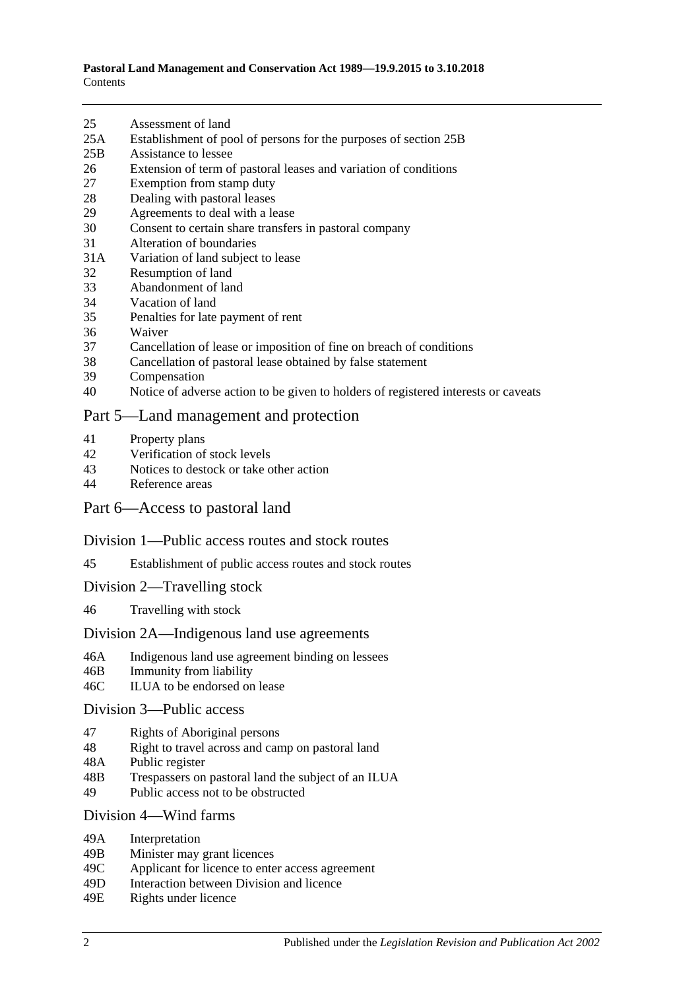- 25 [Assessment of land](#page-15-1)
- 25A [Establishment of pool of persons for the purposes of section](#page-15-2) 25B
- 25B [Assistance to lessee](#page-16-0)
- 26 [Extension of term of pastoral leases and variation of conditions](#page-17-0)
- 27 [Exemption from stamp duty](#page-18-0)
- 28 [Dealing with pastoral leases](#page-18-1)
- 29 [Agreements to deal with a lease](#page-18-2)
- 30 [Consent to certain share transfers in pastoral company](#page-18-3)<br>31 Alteration of boundaries
- [Alteration of boundaries](#page-19-0)
- 31A [Variation of land subject to lease](#page-19-1)
- 32 [Resumption of land](#page-20-0)
- 33 [Abandonment of land](#page-20-1)
- 34 [Vacation of land](#page-20-2)
- 35 [Penalties for late payment of rent](#page-21-0)
- 36 [Waiver](#page-21-1)
- 37 [Cancellation of lease or imposition of fine on breach of conditions](#page-21-2)
- 38 [Cancellation of pastoral lease obtained by false statement](#page-22-0)
- 39 [Compensation](#page-22-1)
- 40 [Notice of adverse action to be given to holders of registered interests or caveats](#page-22-2)

#### [Part 5—Land management and protection](#page-22-3)

- 41 [Property plans](#page-22-4)
- 42 [Verification of stock levels](#page-23-0)
- 43 [Notices to destock or take other action](#page-24-0)<br>44 Reference areas
- [Reference areas](#page-25-0)

#### [Part 6—Access to pastoral land](#page-25-1)

#### [Division 1—Public access routes and stock routes](#page-25-2)

- 45 [Establishment of public access routes and stock routes](#page-25-3)
- [Division 2—Travelling stock](#page-27-0)
- 46 [Travelling with stock](#page-27-1)

#### [Division 2A—Indigenous land use agreements](#page-27-2)

- 46A [Indigenous land use agreement binding on lessees](#page-27-3)
- 46B [Immunity from liability](#page-28-0)
- 46C [ILUA to be endorsed on lease](#page-28-1)

#### [Division 3—Public access](#page-29-0)

- 47 [Rights of Aboriginal persons](#page-29-1)
- 48 [Right to travel across and camp on pastoral land](#page-29-2)
- 48A [Public register](#page-30-0)
- 48B [Trespassers on pastoral land the subject of an ILUA](#page-31-0)
- 49 [Public access not to be obstructed](#page-32-0)

#### Division [4—Wind farms](#page-32-1)

- 49A [Interpretation](#page-32-2)
- 49B [Minister may grant licences](#page-33-0)
- 49C [Applicant for licence to enter access agreement](#page-33-1)
- 49D [Interaction between Division and licence](#page-34-0)
- 49E [Rights under licence](#page-34-1)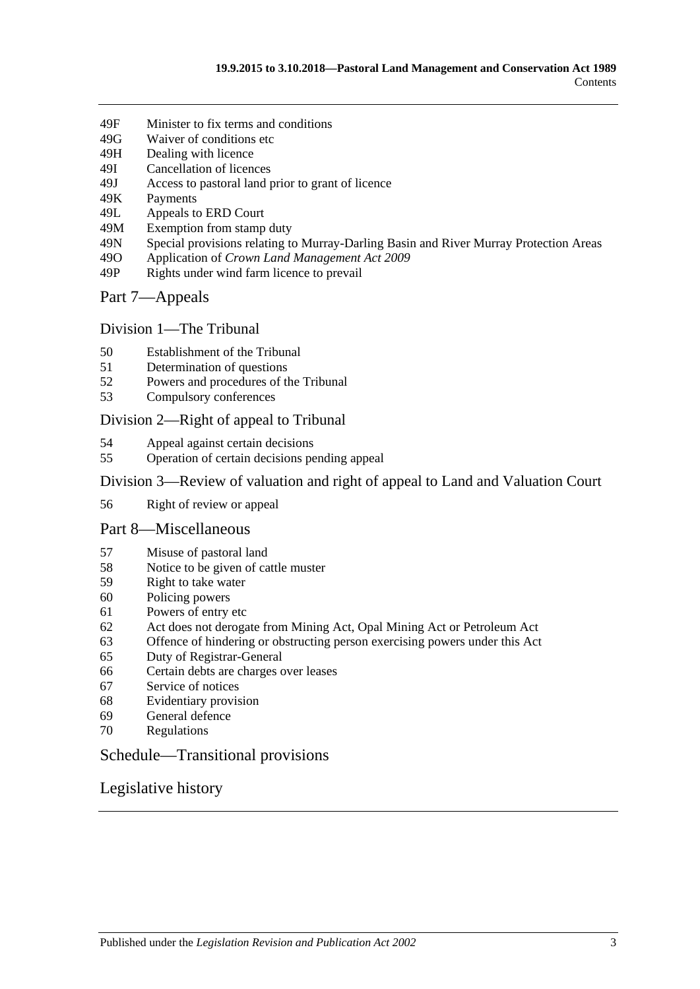- 49F [Minister to fix terms and conditions](#page-34-2)
- 49G [Waiver of conditions etc](#page-35-0)
- 49H [Dealing with licence](#page-35-1)
- 49I [Cancellation of licences](#page-36-0)
- 49J [Access to pastoral land prior to grant of licence](#page-36-1)
- 49K [Payments](#page-37-0)
- 49L [Appeals to ERD Court](#page-37-1)
- 49M [Exemption from stamp duty](#page-39-0)
- 49N [Special provisions relating to Murray-Darling Basin and River](#page-39-1) Murray Protection Areas
- 49O Application of *[Crown Land Management Act](#page-39-2) 2009*
- 49P [Rights under wind farm licence to prevail](#page-39-3)

#### [Part 7—Appeals](#page-39-4)

## [Division 1—The Tribunal](#page-39-5)

- 50 [Establishment of the Tribunal](#page-39-6)
- 51 [Determination of questions](#page-40-0)
- 52 [Powers and procedures of the Tribunal](#page-40-1)
- 53 [Compulsory conferences](#page-41-0)

#### [Division 2—Right of appeal to Tribunal](#page-42-0)

- 54 [Appeal against certain decisions](#page-42-1)
- 55 [Operation of certain decisions pending appeal](#page-42-2)

### [Division 3—Review of valuation and right of appeal to Land and Valuation Court](#page-43-0)

56 [Right of review or appeal](#page-43-1)

#### [Part 8—Miscellaneous](#page-43-2)

- 57 [Misuse of pastoral land](#page-43-3)
- 58 [Notice to be given of cattle muster](#page-44-0)
- 59 [Right to take water](#page-44-1)
- 60 [Policing powers](#page-44-2)
- 61 [Powers of entry etc](#page-45-0)
- 62 [Act does not derogate from Mining Act, Opal Mining Act or Petroleum Act](#page-45-1)
- 63 [Offence of hindering or obstructing person exercising powers under this Act](#page-46-0)
- 65 [Duty of Registrar-General](#page-46-1)
- 66 [Certain debts are charges over leases](#page-46-2)
- 67 [Service of notices](#page-46-3)
- 68 [Evidentiary provision](#page-47-0)
- 69 [General defence](#page-47-1)
- 70 [Regulations](#page-47-2)

## [Schedule—Transitional provisions](#page-48-0)

## [Legislative history](#page-50-0)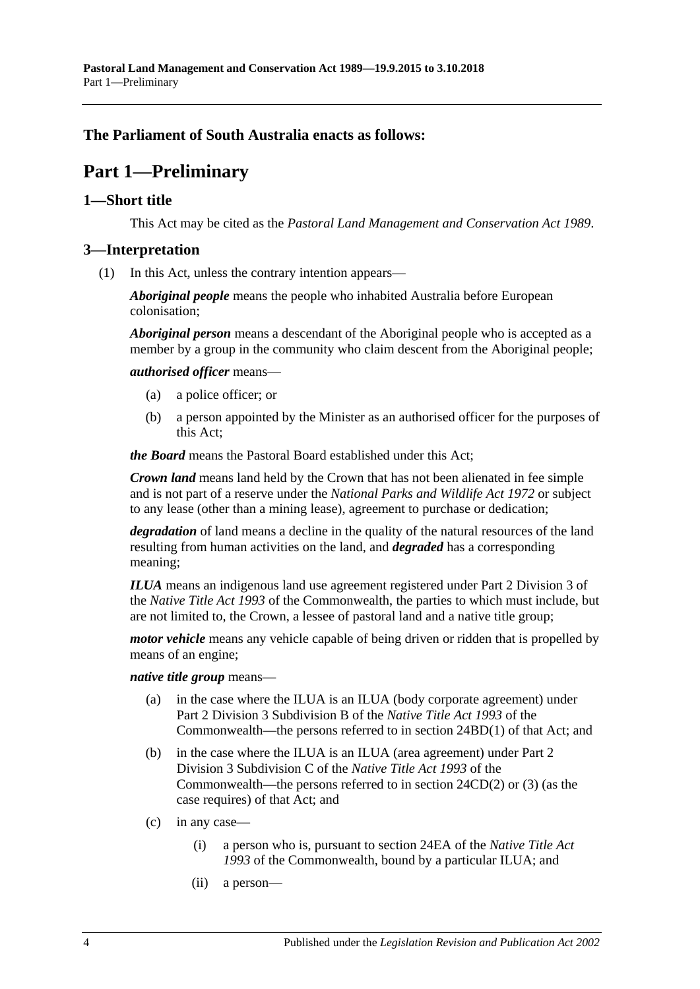## <span id="page-3-0"></span>**The Parliament of South Australia enacts as follows:**

## **Part 1—Preliminary**

#### <span id="page-3-1"></span>**1—Short title**

This Act may be cited as the *Pastoral Land Management and Conservation Act 1989*.

#### <span id="page-3-4"></span><span id="page-3-2"></span>**3—Interpretation**

(1) In this Act, unless the contrary intention appears—

*Aboriginal people* means the people who inhabited Australia before European colonisation;

*Aboriginal person* means a descendant of the Aboriginal people who is accepted as a member by a group in the community who claim descent from the Aboriginal people;

*authorised officer* means—

- (a) a police officer; or
- (b) a person appointed by the Minister as an authorised officer for the purposes of this Act;

*the Board* means the Pastoral Board established under this Act;

*Crown land* means land held by the Crown that has not been alienated in fee simple and is not part of a reserve under the *[National Parks and Wildlife Act](http://www.legislation.sa.gov.au/index.aspx?action=legref&type=act&legtitle=National%20Parks%20and%20Wildlife%20Act%201972) 1972* or subject to any lease (other than a mining lease), agreement to purchase or dedication;

*degradation* of land means a decline in the quality of the natural resources of the land resulting from human activities on the land, and *degraded* has a corresponding meaning;

*ILUA* means an indigenous land use agreement registered under Part 2 Division 3 of the *Native Title Act 1993* of the Commonwealth, the parties to which must include, but are not limited to, the Crown, a lessee of pastoral land and a native title group;

*motor vehicle* means any vehicle capable of being driven or ridden that is propelled by means of an engine;

#### *native title group* means—

- (a) in the case where the ILUA is an ILUA (body corporate agreement) under Part 2 Division 3 Subdivision B of the *Native Title Act 1993* of the Commonwealth—the persons referred to in section 24BD(1) of that Act; and
- (b) in the case where the ILUA is an ILUA (area agreement) under Part 2 Division 3 Subdivision C of the *Native Title Act 1993* of the Commonwealth—the persons referred to in section 24CD(2) or (3) (as the case requires) of that Act; and
- <span id="page-3-3"></span>(c) in any case—
	- (i) a person who is, pursuant to section 24EA of the *Native Title Act 1993* of the Commonwealth, bound by a particular ILUA; and
	- (ii) a person—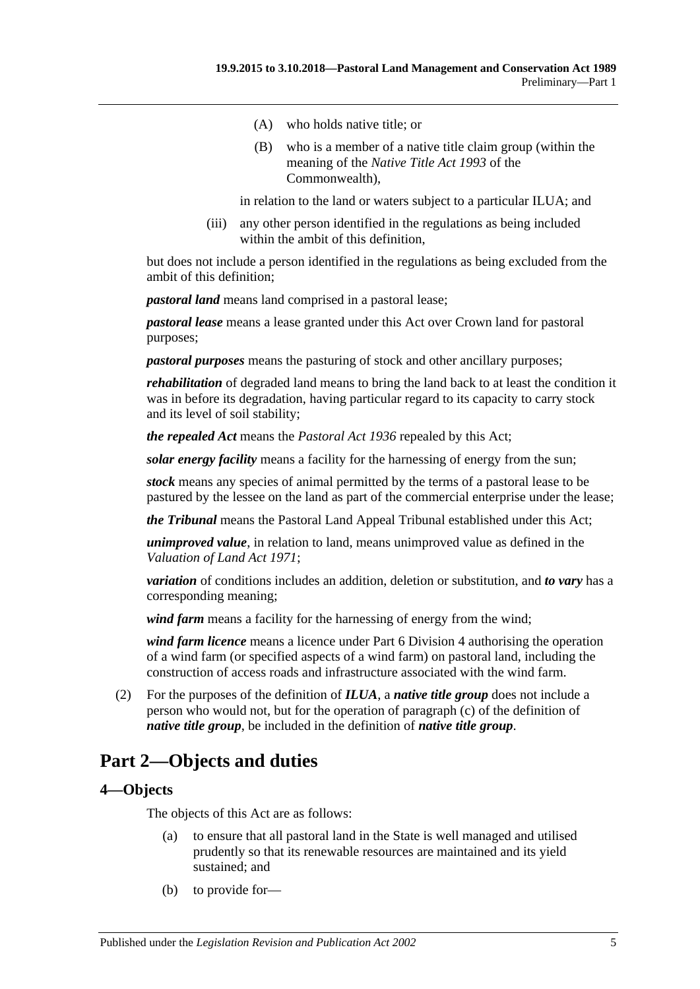- (A) who holds native title; or
- (B) who is a member of a native title claim group (within the meaning of the *Native Title Act 1993* of the Commonwealth),

in relation to the land or waters subject to a particular ILUA; and

(iii) any other person identified in the regulations as being included within the ambit of this definition,

but does not include a person identified in the regulations as being excluded from the ambit of this definition;

*pastoral land* means land comprised in a pastoral lease;

*pastoral lease* means a lease granted under this Act over Crown land for pastoral purposes;

*pastoral purposes* means the pasturing of stock and other ancillary purposes;

*rehabilitation* of degraded land means to bring the land back to at least the condition it was in before its degradation, having particular regard to its capacity to carry stock and its level of soil stability;

*the repealed Act* means the *[Pastoral Act](http://www.legislation.sa.gov.au/index.aspx?action=legref&type=act&legtitle=Pastoral%20Act%201936) 1936* repealed by this Act;

*solar energy facility* means a facility for the harnessing of energy from the sun;

*stock* means any species of animal permitted by the terms of a pastoral lease to be pastured by the lessee on the land as part of the commercial enterprise under the lease;

*the Tribunal* means the Pastoral Land Appeal Tribunal established under this Act;

*unimproved value*, in relation to land, means unimproved value as defined in the *[Valuation of Land Act](http://www.legislation.sa.gov.au/index.aspx?action=legref&type=act&legtitle=Valuation%20of%20Land%20Act%201971) 1971*;

*variation* of conditions includes an addition, deletion or substitution, and *to vary* has a corresponding meaning;

wind farm means a facility for the harnessing of energy from the wind;

*wind farm licence* means a licence under [Part 6 Division](#page-32-1) 4 authorising the operation of a wind farm (or specified aspects of a wind farm) on pastoral land, including the construction of access roads and infrastructure associated with the wind farm.

(2) For the purposes of the definition of *ILUA*, a *native title group* does not include a person who would not, but for the operation of [paragraph](#page-3-3) (c) of the definition of *native title group*, be included in the definition of *native title group*.

## <span id="page-4-0"></span>**Part 2—Objects and duties**

#### <span id="page-4-1"></span>**4—Objects**

The objects of this Act are as follows:

- (a) to ensure that all pastoral land in the State is well managed and utilised prudently so that its renewable resources are maintained and its yield sustained; and
- (b) to provide for—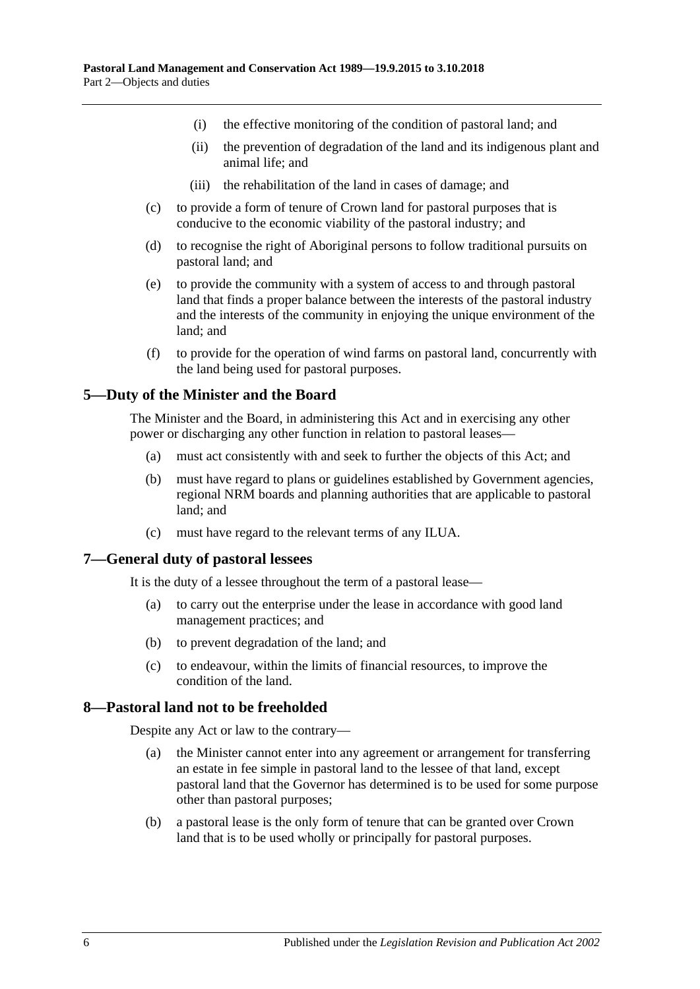- (i) the effective monitoring of the condition of pastoral land; and
- (ii) the prevention of degradation of the land and its indigenous plant and animal life; and
- (iii) the rehabilitation of the land in cases of damage; and
- (c) to provide a form of tenure of Crown land for pastoral purposes that is conducive to the economic viability of the pastoral industry; and
- (d) to recognise the right of Aboriginal persons to follow traditional pursuits on pastoral land; and
- (e) to provide the community with a system of access to and through pastoral land that finds a proper balance between the interests of the pastoral industry and the interests of the community in enjoying the unique environment of the land; and
- (f) to provide for the operation of wind farms on pastoral land, concurrently with the land being used for pastoral purposes.

## <span id="page-5-0"></span>**5—Duty of the Minister and the Board**

The Minister and the Board, in administering this Act and in exercising any other power or discharging any other function in relation to pastoral leases—

- (a) must act consistently with and seek to further the objects of this Act; and
- (b) must have regard to plans or guidelines established by Government agencies, regional NRM boards and planning authorities that are applicable to pastoral land; and
- (c) must have regard to the relevant terms of any ILUA.

## <span id="page-5-1"></span>**7—General duty of pastoral lessees**

It is the duty of a lessee throughout the term of a pastoral lease—

- (a) to carry out the enterprise under the lease in accordance with good land management practices; and
- (b) to prevent degradation of the land; and
- (c) to endeavour, within the limits of financial resources, to improve the condition of the land.

#### <span id="page-5-2"></span>**8—Pastoral land not to be freeholded**

Despite any Act or law to the contrary—

- (a) the Minister cannot enter into any agreement or arrangement for transferring an estate in fee simple in pastoral land to the lessee of that land, except pastoral land that the Governor has determined is to be used for some purpose other than pastoral purposes;
- (b) a pastoral lease is the only form of tenure that can be granted over Crown land that is to be used wholly or principally for pastoral purposes.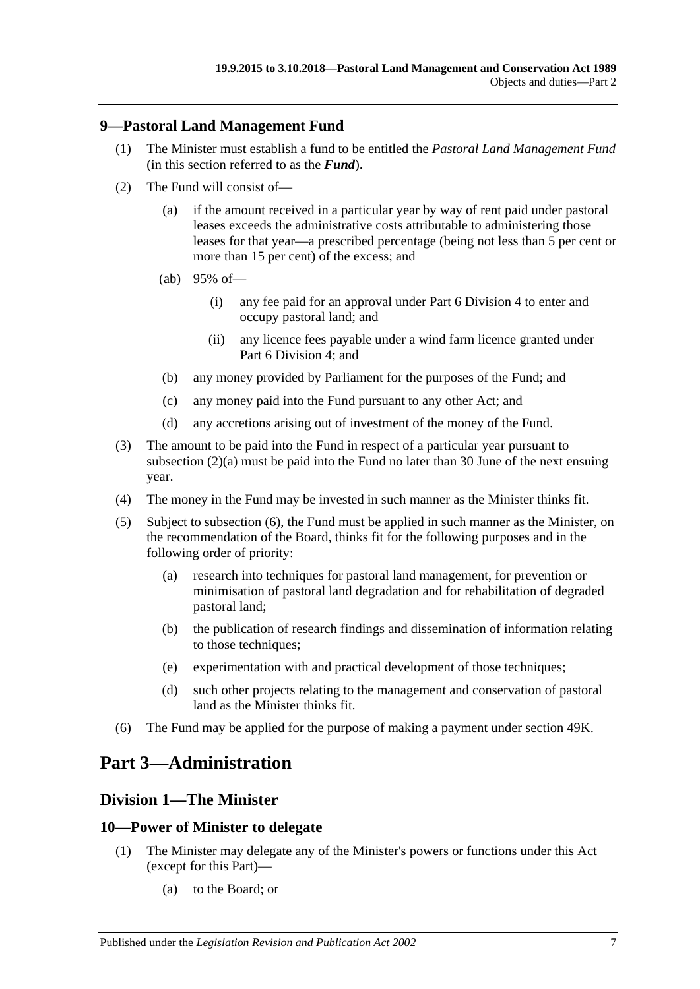## <span id="page-6-0"></span>**9—Pastoral Land Management Fund**

- (1) The Minister must establish a fund to be entitled the *Pastoral Land Management Fund* (in this section referred to as the *Fund*).
- <span id="page-6-4"></span>(2) The Fund will consist of—
	- (a) if the amount received in a particular year by way of rent paid under pastoral leases exceeds the administrative costs attributable to administering those leases for that year—a prescribed percentage (being not less than 5 per cent or more than 15 per cent) of the excess; and
	- (ab) 95% of—
		- (i) any fee paid for an approval under [Part 6 Division](#page-32-1) 4 to enter and occupy pastoral land; and
		- (ii) any licence fees payable under a wind farm licence granted under [Part 6 Division](#page-32-1) 4; and
	- (b) any money provided by Parliament for the purposes of the Fund; and
	- (c) any money paid into the Fund pursuant to any other Act; and
	- (d) any accretions arising out of investment of the money of the Fund.
- (3) The amount to be paid into the Fund in respect of a particular year pursuant to [subsection](#page-6-4) (2)(a) must be paid into the Fund no later than 30 June of the next ensuing year.
- (4) The money in the Fund may be invested in such manner as the Minister thinks fit.
- (5) Subject to [subsection](#page-6-5) (6), the Fund must be applied in such manner as the Minister, on the recommendation of the Board, thinks fit for the following purposes and in the following order of priority:
	- (a) research into techniques for pastoral land management, for prevention or minimisation of pastoral land degradation and for rehabilitation of degraded pastoral land;
	- (b) the publication of research findings and dissemination of information relating to those techniques;
	- (e) experimentation with and practical development of those techniques;
	- (d) such other projects relating to the management and conservation of pastoral land as the Minister thinks fit.
- <span id="page-6-5"></span>(6) The Fund may be applied for the purpose of making a payment under [section](#page-37-0) 49K.

## <span id="page-6-1"></span>**Part 3—Administration**

## <span id="page-6-2"></span>**Division 1—The Minister**

## <span id="page-6-3"></span>**10—Power of Minister to delegate**

- (1) The Minister may delegate any of the Minister's powers or functions under this Act (except for this Part)—
	- (a) to the Board; or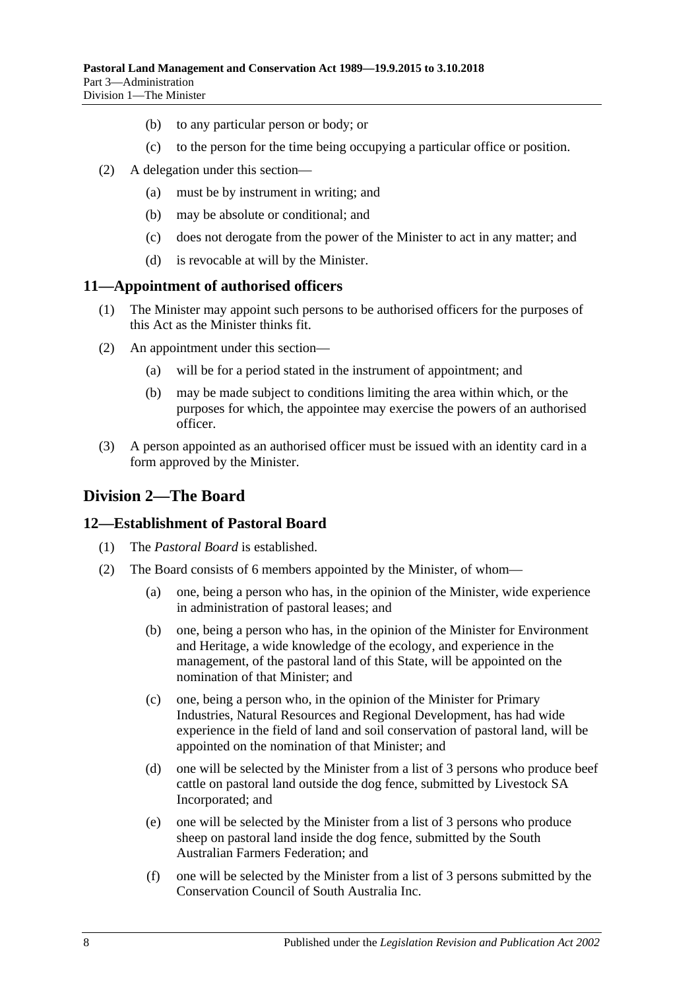- (b) to any particular person or body; or
- (c) to the person for the time being occupying a particular office or position.
- (2) A delegation under this section—
	- (a) must be by instrument in writing; and
	- (b) may be absolute or conditional; and
	- (c) does not derogate from the power of the Minister to act in any matter; and
	- (d) is revocable at will by the Minister.

#### <span id="page-7-0"></span>**11—Appointment of authorised officers**

- (1) The Minister may appoint such persons to be authorised officers for the purposes of this Act as the Minister thinks fit.
- (2) An appointment under this section—
	- (a) will be for a period stated in the instrument of appointment; and
	- (b) may be made subject to conditions limiting the area within which, or the purposes for which, the appointee may exercise the powers of an authorised officer.
- (3) A person appointed as an authorised officer must be issued with an identity card in a form approved by the Minister.

## <span id="page-7-1"></span>**Division 2—The Board**

#### <span id="page-7-2"></span>**12—Establishment of Pastoral Board**

- (1) The *Pastoral Board* is established.
- <span id="page-7-5"></span><span id="page-7-4"></span><span id="page-7-3"></span>(2) The Board consists of 6 members appointed by the Minister, of whom—
	- (a) one, being a person who has, in the opinion of the Minister, wide experience in administration of pastoral leases; and
	- (b) one, being a person who has, in the opinion of the Minister for Environment and Heritage, a wide knowledge of the ecology, and experience in the management, of the pastoral land of this State, will be appointed on the nomination of that Minister; and
	- (c) one, being a person who, in the opinion of the Minister for Primary Industries, Natural Resources and Regional Development, has had wide experience in the field of land and soil conservation of pastoral land, will be appointed on the nomination of that Minister; and
	- (d) one will be selected by the Minister from a list of 3 persons who produce beef cattle on pastoral land outside the dog fence, submitted by Livestock SA Incorporated; and
	- (e) one will be selected by the Minister from a list of 3 persons who produce sheep on pastoral land inside the dog fence, submitted by the South Australian Farmers Federation; and
	- (f) one will be selected by the Minister from a list of 3 persons submitted by the Conservation Council of South Australia Inc.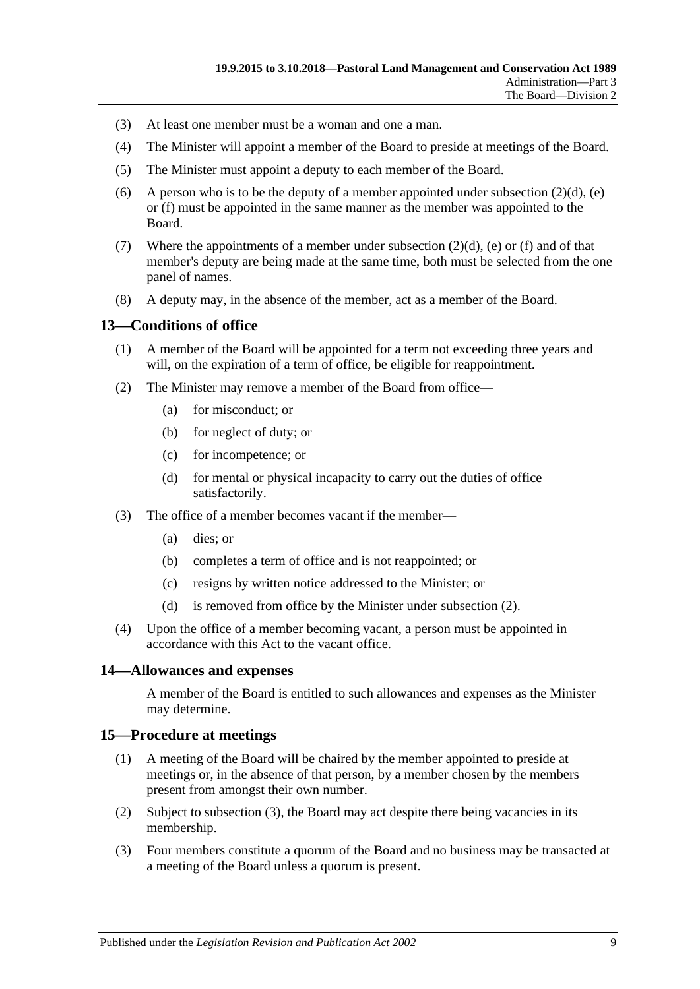- (3) At least one member must be a woman and one a man.
- (4) The Minister will appoint a member of the Board to preside at meetings of the Board.
- (5) The Minister must appoint a deputy to each member of the Board.
- (6) A person who is to be the deputy of a member appointed under [subsection](#page-7-3)  $(2)(d)$ , [\(e\)](#page-7-4) or [\(f\)](#page-7-5) must be appointed in the same manner as the member was appointed to the Board.
- (7) Where the appointments of a member under [subsection](#page-7-3)  $(2)(d)$ , [\(e\)](#page-7-4) or [\(f\)](#page-7-5) and of that member's deputy are being made at the same time, both must be selected from the one panel of names.
- (8) A deputy may, in the absence of the member, act as a member of the Board.

## <span id="page-8-0"></span>**13—Conditions of office**

- (1) A member of the Board will be appointed for a term not exceeding three years and will, on the expiration of a term of office, be eligible for reappointment.
- <span id="page-8-3"></span>(2) The Minister may remove a member of the Board from office—
	- (a) for misconduct; or
	- (b) for neglect of duty; or
	- (c) for incompetence; or
	- (d) for mental or physical incapacity to carry out the duties of office satisfactorily.
- (3) The office of a member becomes vacant if the member—
	- (a) dies; or
	- (b) completes a term of office and is not reappointed; or
	- (c) resigns by written notice addressed to the Minister; or
	- (d) is removed from office by the Minister under [subsection](#page-8-3) (2).
- (4) Upon the office of a member becoming vacant, a person must be appointed in accordance with this Act to the vacant office.

#### <span id="page-8-1"></span>**14—Allowances and expenses**

A member of the Board is entitled to such allowances and expenses as the Minister may determine.

#### <span id="page-8-2"></span>**15—Procedure at meetings**

- (1) A meeting of the Board will be chaired by the member appointed to preside at meetings or, in the absence of that person, by a member chosen by the members present from amongst their own number.
- (2) Subject to [subsection](#page-8-4) (3), the Board may act despite there being vacancies in its membership.
- <span id="page-8-4"></span>(3) Four members constitute a quorum of the Board and no business may be transacted at a meeting of the Board unless a quorum is present.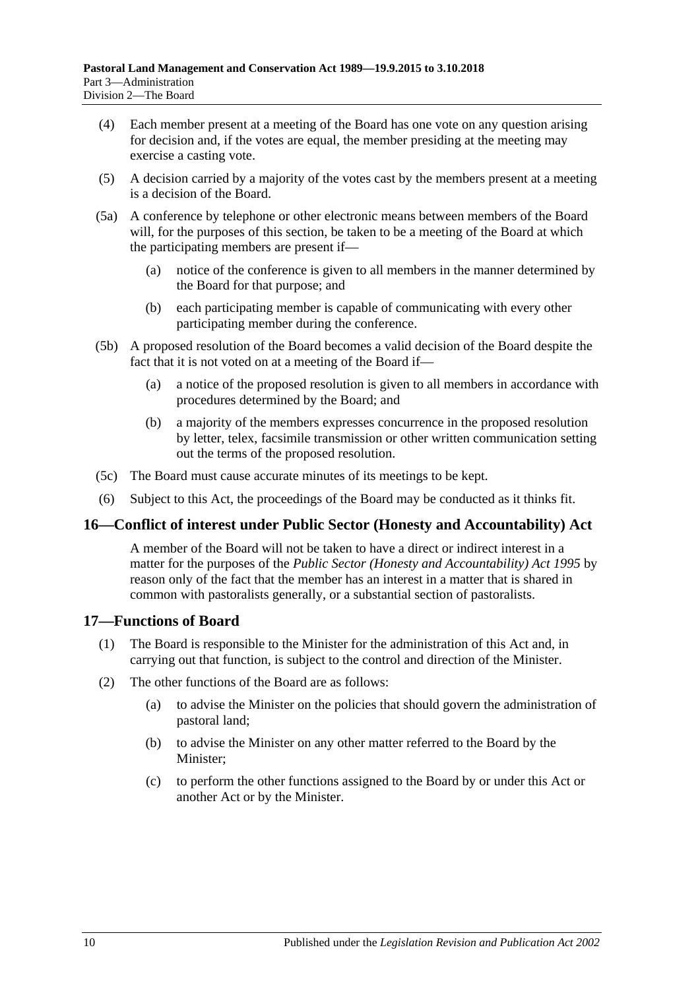- (4) Each member present at a meeting of the Board has one vote on any question arising for decision and, if the votes are equal, the member presiding at the meeting may exercise a casting vote.
- (5) A decision carried by a majority of the votes cast by the members present at a meeting is a decision of the Board.
- (5a) A conference by telephone or other electronic means between members of the Board will, for the purposes of this section, be taken to be a meeting of the Board at which the participating members are present if—
	- (a) notice of the conference is given to all members in the manner determined by the Board for that purpose; and
	- (b) each participating member is capable of communicating with every other participating member during the conference.
- (5b) A proposed resolution of the Board becomes a valid decision of the Board despite the fact that it is not voted on at a meeting of the Board if—
	- (a) a notice of the proposed resolution is given to all members in accordance with procedures determined by the Board; and
	- (b) a majority of the members expresses concurrence in the proposed resolution by letter, telex, facsimile transmission or other written communication setting out the terms of the proposed resolution.
- (5c) The Board must cause accurate minutes of its meetings to be kept.
- (6) Subject to this Act, the proceedings of the Board may be conducted as it thinks fit.

## <span id="page-9-0"></span>**16—Conflict of interest under Public Sector (Honesty and Accountability) Act**

A member of the Board will not be taken to have a direct or indirect interest in a matter for the purposes of the *[Public Sector \(Honesty and Accountability\) Act](http://www.legislation.sa.gov.au/index.aspx?action=legref&type=act&legtitle=Public%20Sector%20(Honesty%20and%20Accountability)%20Act%201995) 1995* by reason only of the fact that the member has an interest in a matter that is shared in common with pastoralists generally, or a substantial section of pastoralists.

## <span id="page-9-1"></span>**17—Functions of Board**

- (1) The Board is responsible to the Minister for the administration of this Act and, in carrying out that function, is subject to the control and direction of the Minister.
- (2) The other functions of the Board are as follows:
	- (a) to advise the Minister on the policies that should govern the administration of pastoral land;
	- (b) to advise the Minister on any other matter referred to the Board by the Minister;
	- (c) to perform the other functions assigned to the Board by or under this Act or another Act or by the Minister.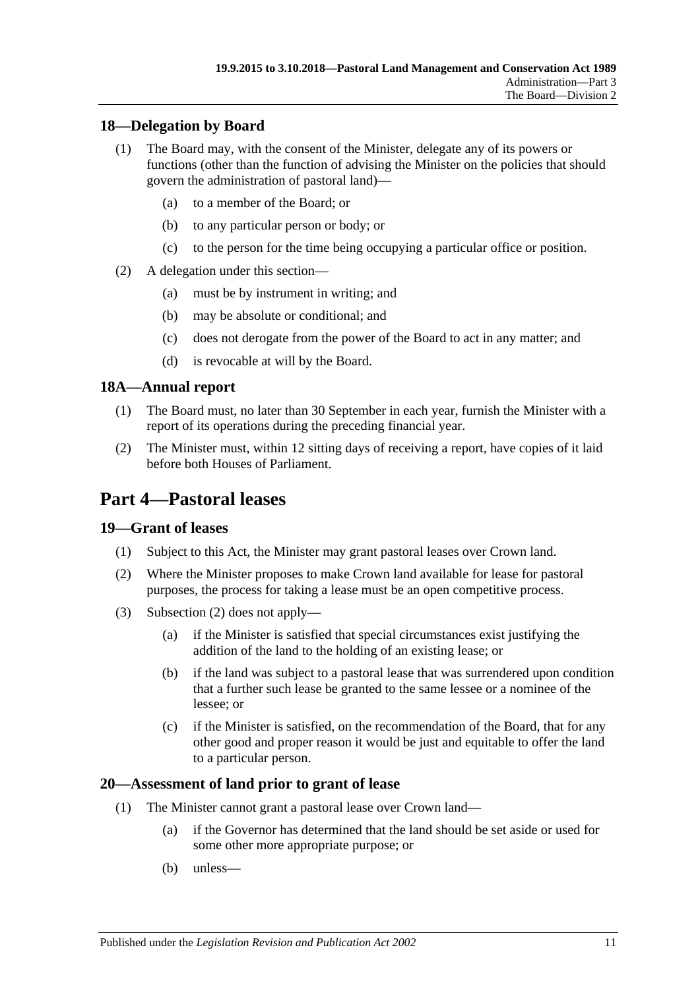## <span id="page-10-0"></span>**18—Delegation by Board**

- (1) The Board may, with the consent of the Minister, delegate any of its powers or functions (other than the function of advising the Minister on the policies that should govern the administration of pastoral land)—
	- (a) to a member of the Board; or
	- (b) to any particular person or body; or
	- (c) to the person for the time being occupying a particular office or position.
- (2) A delegation under this section—
	- (a) must be by instrument in writing; and
	- (b) may be absolute or conditional; and
	- (c) does not derogate from the power of the Board to act in any matter; and
	- (d) is revocable at will by the Board.

## <span id="page-10-1"></span>**18A—Annual report**

- (1) The Board must, no later than 30 September in each year, furnish the Minister with a report of its operations during the preceding financial year.
- (2) The Minister must, within 12 sitting days of receiving a report, have copies of it laid before both Houses of Parliament.

# <span id="page-10-2"></span>**Part 4—Pastoral leases**

## <span id="page-10-3"></span>**19—Grant of leases**

- (1) Subject to this Act, the Minister may grant pastoral leases over Crown land.
- <span id="page-10-5"></span>(2) Where the Minister proposes to make Crown land available for lease for pastoral purposes, the process for taking a lease must be an open competitive process.
- (3) [Subsection](#page-10-5) (2) does not apply—
	- (a) if the Minister is satisfied that special circumstances exist justifying the addition of the land to the holding of an existing lease; or
	- (b) if the land was subject to a pastoral lease that was surrendered upon condition that a further such lease be granted to the same lessee or a nominee of the lessee; or
	- (c) if the Minister is satisfied, on the recommendation of the Board, that for any other good and proper reason it would be just and equitable to offer the land to a particular person.

## <span id="page-10-4"></span>**20—Assessment of land prior to grant of lease**

- (1) The Minister cannot grant a pastoral lease over Crown land—
	- (a) if the Governor has determined that the land should be set aside or used for some other more appropriate purpose; or
	- (b) unless—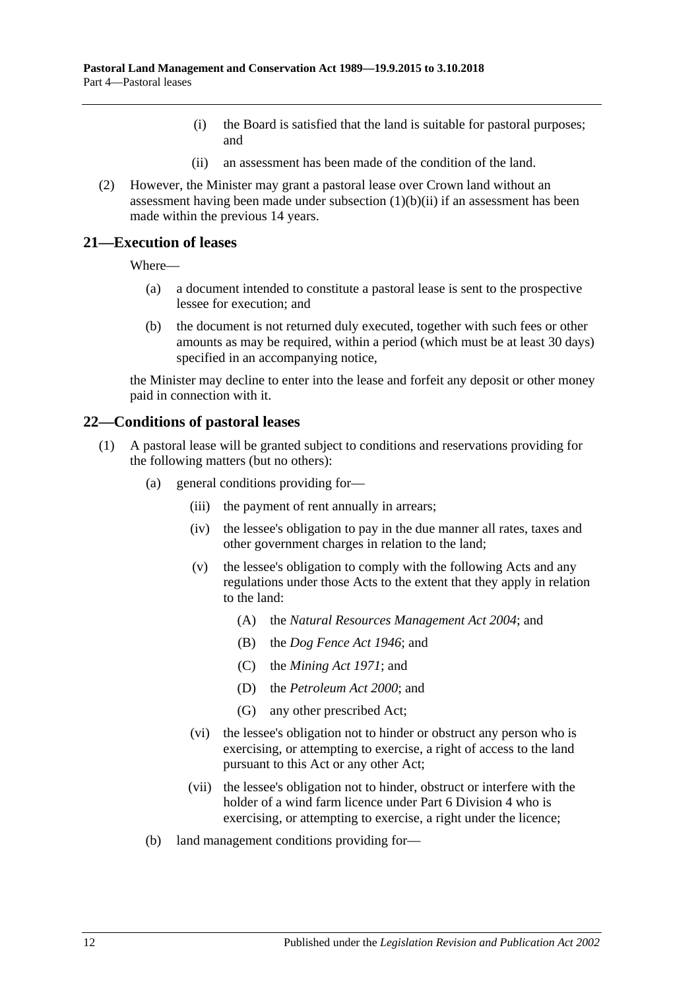- (i) the Board is satisfied that the land is suitable for pastoral purposes; and
- (ii) an assessment has been made of the condition of the land.
- <span id="page-11-2"></span>(2) However, the Minister may grant a pastoral lease over Crown land without an assessment having been made under [subsection](#page-11-2)  $(1)(b)(ii)$  if an assessment has been made within the previous 14 years.

#### <span id="page-11-0"></span>**21—Execution of leases**

Where—

- (a) a document intended to constitute a pastoral lease is sent to the prospective lessee for execution; and
- (b) the document is not returned duly executed, together with such fees or other amounts as may be required, within a period (which must be at least 30 days) specified in an accompanying notice,

the Minister may decline to enter into the lease and forfeit any deposit or other money paid in connection with it.

#### <span id="page-11-1"></span>**22—Conditions of pastoral leases**

- <span id="page-11-5"></span><span id="page-11-4"></span><span id="page-11-3"></span>(1) A pastoral lease will be granted subject to conditions and reservations providing for the following matters (but no others):
	- (a) general conditions providing for—
		- (iii) the payment of rent annually in arrears;
		- (iv) the lessee's obligation to pay in the due manner all rates, taxes and other government charges in relation to the land;
		- (v) the lessee's obligation to comply with the following Acts and any regulations under those Acts to the extent that they apply in relation to the land:
			- (A) the *[Natural Resources Management Act](http://www.legislation.sa.gov.au/index.aspx?action=legref&type=act&legtitle=Natural%20Resources%20Management%20Act%202004) 2004*; and
			- (B) the *[Dog Fence Act](http://www.legislation.sa.gov.au/index.aspx?action=legref&type=act&legtitle=Dog%20Fence%20Act%201946) 1946*; and
			- (C) the *[Mining Act](http://www.legislation.sa.gov.au/index.aspx?action=legref&type=act&legtitle=Mining%20Act%201971) 1971*; and
			- (D) the *[Petroleum Act](http://www.legislation.sa.gov.au/index.aspx?action=legref&type=act&legtitle=Petroleum%20Act%202000) 2000*; and
			- (G) any other prescribed Act;
		- (vi) the lessee's obligation not to hinder or obstruct any person who is exercising, or attempting to exercise, a right of access to the land pursuant to this Act or any other Act;
		- (vii) the lessee's obligation not to hinder, obstruct or interfere with the holder of a wind farm licence under [Part 6 Division](#page-32-1) 4 who is exercising, or attempting to exercise, a right under the licence;
	- (b) land management conditions providing for—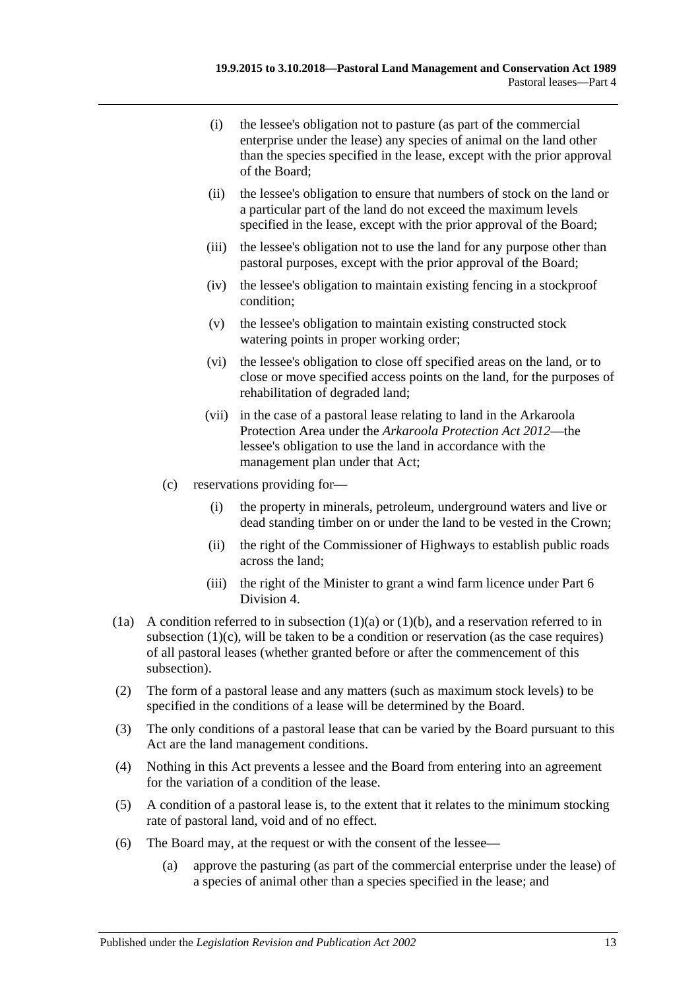- (i) the lessee's obligation not to pasture (as part of the commercial enterprise under the lease) any species of animal on the land other than the species specified in the lease, except with the prior approval of the Board;
- (ii) the lessee's obligation to ensure that numbers of stock on the land or a particular part of the land do not exceed the maximum levels specified in the lease, except with the prior approval of the Board;
- (iii) the lessee's obligation not to use the land for any purpose other than pastoral purposes, except with the prior approval of the Board;
- (iv) the lessee's obligation to maintain existing fencing in a stockproof condition;
- (v) the lessee's obligation to maintain existing constructed stock watering points in proper working order;
- (vi) the lessee's obligation to close off specified areas on the land, or to close or move specified access points on the land, for the purposes of rehabilitation of degraded land;
- (vii) in the case of a pastoral lease relating to land in the Arkaroola Protection Area under the *[Arkaroola Protection Act](http://www.legislation.sa.gov.au/index.aspx?action=legref&type=act&legtitle=Arkaroola%20Protection%20Act%202012) 2012*—the lessee's obligation to use the land in accordance with the management plan under that Act;
- <span id="page-12-0"></span>(c) reservations providing for—
	- (i) the property in minerals, petroleum, underground waters and live or dead standing timber on or under the land to be vested in the Crown;
	- (ii) the right of the Commissioner of Highways to establish public roads across the land;
	- (iii) the right of the Minister to grant a wind farm licence under [Part 6](#page-32-1)  [Division](#page-32-1) 4.
- (1a) A condition referred to in [subsection](#page-11-3) (1)(a) or [\(1\)\(b\),](#page-11-4) and a reservation referred to in [subsection](#page-12-0)  $(1)(c)$ , will be taken to be a condition or reservation (as the case requires) of all pastoral leases (whether granted before or after the commencement of this subsection).
- (2) The form of a pastoral lease and any matters (such as maximum stock levels) to be specified in the conditions of a lease will be determined by the Board.
- (3) The only conditions of a pastoral lease that can be varied by the Board pursuant to this Act are the land management conditions.
- (4) Nothing in this Act prevents a lessee and the Board from entering into an agreement for the variation of a condition of the lease.
- (5) A condition of a pastoral lease is, to the extent that it relates to the minimum stocking rate of pastoral land, void and of no effect.
- <span id="page-12-1"></span>(6) The Board may, at the request or with the consent of the lessee—
	- (a) approve the pasturing (as part of the commercial enterprise under the lease) of a species of animal other than a species specified in the lease; and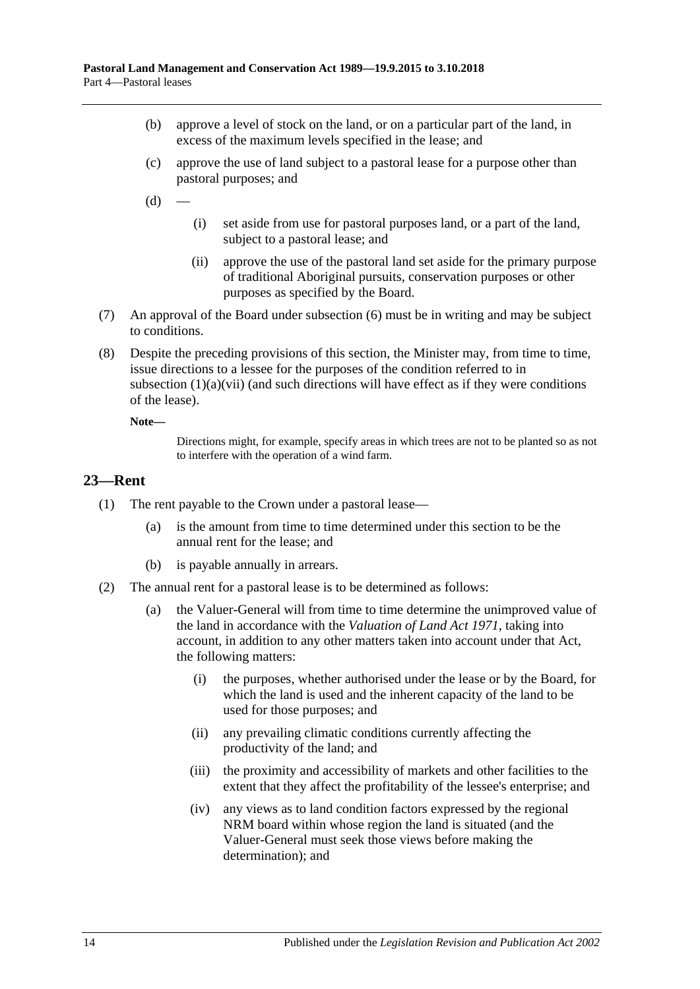- (b) approve a level of stock on the land, or on a particular part of the land, in excess of the maximum levels specified in the lease; and
- (c) approve the use of land subject to a pastoral lease for a purpose other than pastoral purposes; and
- $(d)$
- (i) set aside from use for pastoral purposes land, or a part of the land, subject to a pastoral lease; and
- (ii) approve the use of the pastoral land set aside for the primary purpose of traditional Aboriginal pursuits, conservation purposes or other purposes as specified by the Board.
- (7) An approval of the Board under [subsection](#page-12-1) (6) must be in writing and may be subject to conditions.
- (8) Despite the preceding provisions of this section, the Minister may, from time to time, issue directions to a lessee for the purposes of the condition referred to in [subsection](#page-11-5)  $(1)(a)(vi)$  (and such directions will have effect as if they were conditions of the lease).

**Note—**

Directions might, for example, specify areas in which trees are not to be planted so as not to interfere with the operation of a wind farm.

#### <span id="page-13-0"></span>**23—Rent**

- (1) The rent payable to the Crown under a pastoral lease—
	- (a) is the amount from time to time determined under this section to be the annual rent for the lease; and
	- (b) is payable annually in arrears.
- <span id="page-13-1"></span>(2) The annual rent for a pastoral lease is to be determined as follows:
	- (a) the Valuer-General will from time to time determine the unimproved value of the land in accordance with the *[Valuation of Land Act](http://www.legislation.sa.gov.au/index.aspx?action=legref&type=act&legtitle=Valuation%20of%20Land%20Act%201971) 1971*, taking into account, in addition to any other matters taken into account under that Act, the following matters:
		- (i) the purposes, whether authorised under the lease or by the Board, for which the land is used and the inherent capacity of the land to be used for those purposes; and
		- (ii) any prevailing climatic conditions currently affecting the productivity of the land; and
		- (iii) the proximity and accessibility of markets and other facilities to the extent that they affect the profitability of the lessee's enterprise; and
		- (iv) any views as to land condition factors expressed by the regional NRM board within whose region the land is situated (and the Valuer-General must seek those views before making the determination); and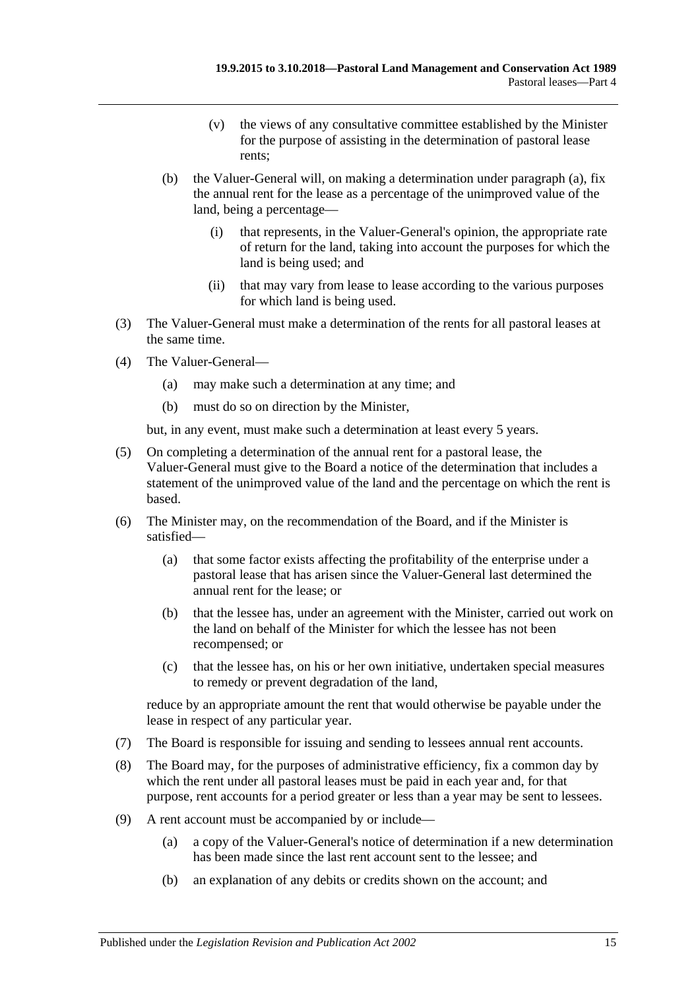- (v) the views of any consultative committee established by the Minister for the purpose of assisting in the determination of pastoral lease rents;
- (b) the Valuer-General will, on making a determination under [paragraph](#page-13-1) (a), fix the annual rent for the lease as a percentage of the unimproved value of the land, being a percentage—
	- (i) that represents, in the Valuer-General's opinion, the appropriate rate of return for the land, taking into account the purposes for which the land is being used; and
	- (ii) that may vary from lease to lease according to the various purposes for which land is being used.
- (3) The Valuer-General must make a determination of the rents for all pastoral leases at the same time.
- (4) The Valuer-General—
	- (a) may make such a determination at any time; and
	- (b) must do so on direction by the Minister,

but, in any event, must make such a determination at least every 5 years.

- (5) On completing a determination of the annual rent for a pastoral lease, the Valuer-General must give to the Board a notice of the determination that includes a statement of the unimproved value of the land and the percentage on which the rent is based.
- (6) The Minister may, on the recommendation of the Board, and if the Minister is satisfied—
	- (a) that some factor exists affecting the profitability of the enterprise under a pastoral lease that has arisen since the Valuer-General last determined the annual rent for the lease; or
	- (b) that the lessee has, under an agreement with the Minister, carried out work on the land on behalf of the Minister for which the lessee has not been recompensed; or
	- (c) that the lessee has, on his or her own initiative, undertaken special measures to remedy or prevent degradation of the land,

reduce by an appropriate amount the rent that would otherwise be payable under the lease in respect of any particular year.

- (7) The Board is responsible for issuing and sending to lessees annual rent accounts.
- (8) The Board may, for the purposes of administrative efficiency, fix a common day by which the rent under all pastoral leases must be paid in each year and, for that purpose, rent accounts for a period greater or less than a year may be sent to lessees.
- (9) A rent account must be accompanied by or include—
	- (a) a copy of the Valuer-General's notice of determination if a new determination has been made since the last rent account sent to the lessee; and
	- (b) an explanation of any debits or credits shown on the account; and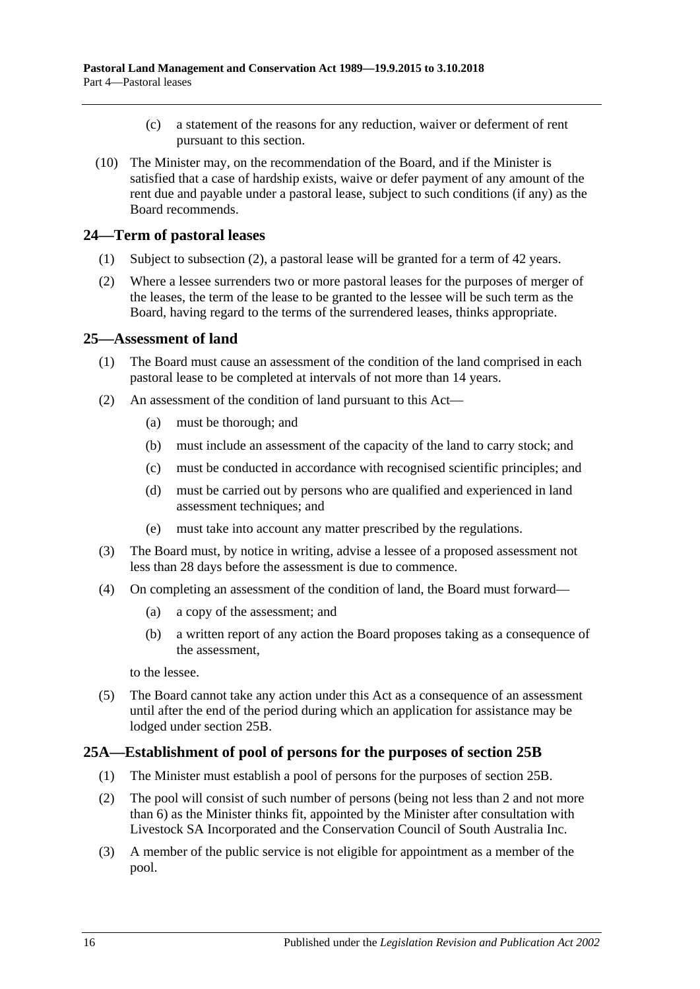- (c) a statement of the reasons for any reduction, waiver or deferment of rent pursuant to this section.
- (10) The Minister may, on the recommendation of the Board, and if the Minister is satisfied that a case of hardship exists, waive or defer payment of any amount of the rent due and payable under a pastoral lease, subject to such conditions (if any) as the Board recommends.

## <span id="page-15-0"></span>**24—Term of pastoral leases**

- (1) Subject to [subsection](#page-15-3) (2), a pastoral lease will be granted for a term of 42 years.
- <span id="page-15-3"></span>(2) Where a lessee surrenders two or more pastoral leases for the purposes of merger of the leases, the term of the lease to be granted to the lessee will be such term as the Board, having regard to the terms of the surrendered leases, thinks appropriate.

## <span id="page-15-1"></span>**25—Assessment of land**

- (1) The Board must cause an assessment of the condition of the land comprised in each pastoral lease to be completed at intervals of not more than 14 years.
- (2) An assessment of the condition of land pursuant to this Act—
	- (a) must be thorough; and
	- (b) must include an assessment of the capacity of the land to carry stock; and
	- (c) must be conducted in accordance with recognised scientific principles; and
	- (d) must be carried out by persons who are qualified and experienced in land assessment techniques; and
	- (e) must take into account any matter prescribed by the regulations.
- (3) The Board must, by notice in writing, advise a lessee of a proposed assessment not less than 28 days before the assessment is due to commence.
- <span id="page-15-5"></span>(4) On completing an assessment of the condition of land, the Board must forward—
	- (a) a copy of the assessment; and
	- (b) a written report of any action the Board proposes taking as a consequence of the assessment,

to the lessee.

(5) The Board cannot take any action under this Act as a consequence of an assessment until after the end of the period during which an application for assistance may be lodged under [section](#page-16-0) 25B.

## <span id="page-15-2"></span>**25A—Establishment of pool of persons for the purposes of [section](#page-16-0) 25B**

- (1) The Minister must establish a pool of persons for the purposes of [section](#page-16-0) 25B.
- <span id="page-15-4"></span>(2) The pool will consist of such number of persons (being not less than 2 and not more than 6) as the Minister thinks fit, appointed by the Minister after consultation with Livestock SA Incorporated and the Conservation Council of South Australia Inc.
- (3) A member of the public service is not eligible for appointment as a member of the pool.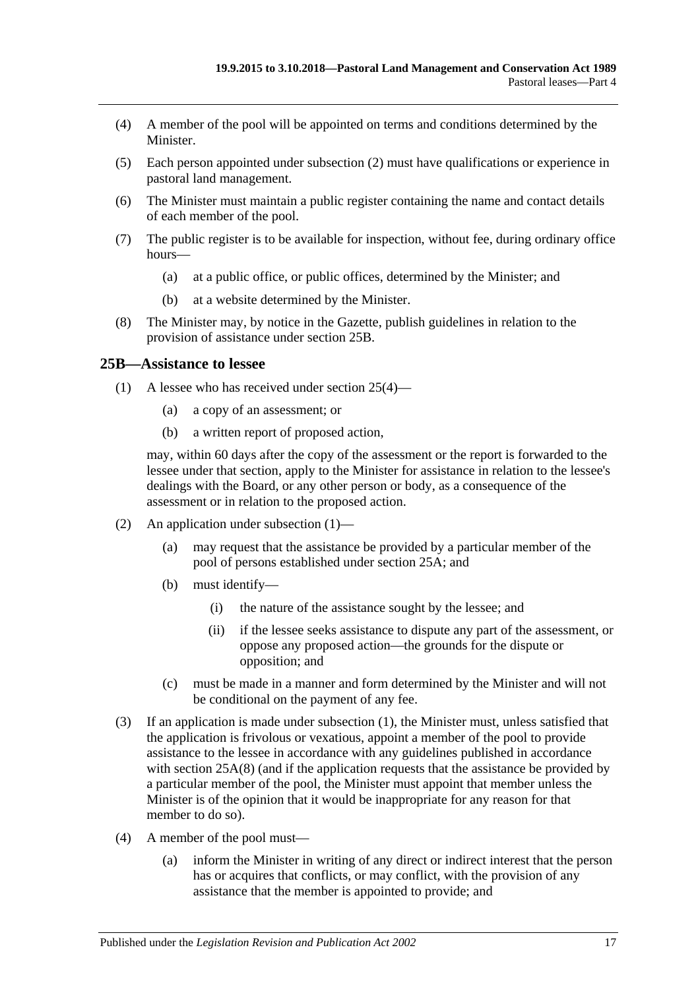- (4) A member of the pool will be appointed on terms and conditions determined by the **Minister**
- (5) Each person appointed under [subsection](#page-15-4) (2) must have qualifications or experience in pastoral land management.
- (6) The Minister must maintain a public register containing the name and contact details of each member of the pool.
- (7) The public register is to be available for inspection, without fee, during ordinary office hours—
	- (a) at a public office, or public offices, determined by the Minister; and
	- (b) at a website determined by the Minister.
- <span id="page-16-2"></span>(8) The Minister may, by notice in the Gazette, publish guidelines in relation to the provision of assistance under [section](#page-16-0) 25B.

#### <span id="page-16-1"></span><span id="page-16-0"></span>**25B—Assistance to lessee**

- (1) A lessee who has received under [section](#page-15-5) 25(4)—
	- (a) a copy of an assessment; or
	- (b) a written report of proposed action,

may, within 60 days after the copy of the assessment or the report is forwarded to the lessee under that section, apply to the Minister for assistance in relation to the lessee's dealings with the Board, or any other person or body, as a consequence of the assessment or in relation to the proposed action.

- (2) An application under [subsection](#page-16-1) (1)—
	- (a) may request that the assistance be provided by a particular member of the pool of persons established under [section](#page-15-2) 25A; and
	- (b) must identify—
		- (i) the nature of the assistance sought by the lessee; and
		- (ii) if the lessee seeks assistance to dispute any part of the assessment, or oppose any proposed action—the grounds for the dispute or opposition; and
	- (c) must be made in a manner and form determined by the Minister and will not be conditional on the payment of any fee.
- (3) If an application is made under [subsection](#page-16-1) (1), the Minister must, unless satisfied that the application is frivolous or vexatious, appoint a member of the pool to provide assistance to the lessee in accordance with any guidelines published in accordance with [section](#page-16-2) 25A(8) (and if the application requests that the assistance be provided by a particular member of the pool, the Minister must appoint that member unless the Minister is of the opinion that it would be inappropriate for any reason for that member to do so).
- <span id="page-16-3"></span>(4) A member of the pool must—
	- (a) inform the Minister in writing of any direct or indirect interest that the person has or acquires that conflicts, or may conflict, with the provision of any assistance that the member is appointed to provide; and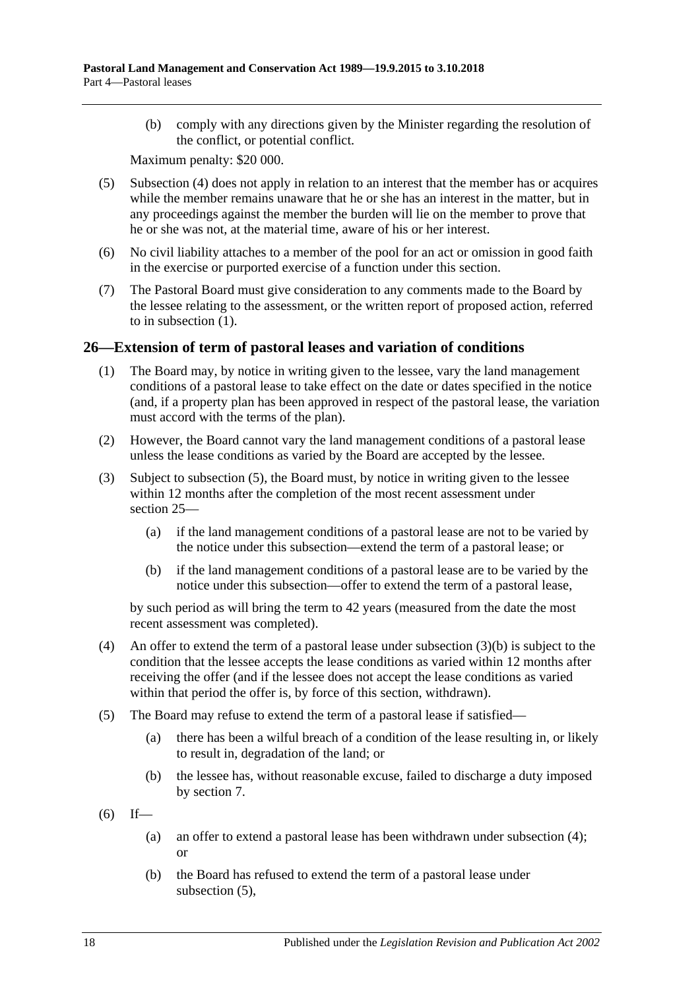(b) comply with any directions given by the Minister regarding the resolution of the conflict, or potential conflict.

Maximum penalty: \$20 000.

- (5) [Subsection](#page-16-3) (4) does not apply in relation to an interest that the member has or acquires while the member remains unaware that he or she has an interest in the matter, but in any proceedings against the member the burden will lie on the member to prove that he or she was not, at the material time, aware of his or her interest.
- (6) No civil liability attaches to a member of the pool for an act or omission in good faith in the exercise or purported exercise of a function under this section.
- (7) The Pastoral Board must give consideration to any comments made to the Board by the lessee relating to the assessment, or the written report of proposed action, referred to in [subsection](#page-16-1) (1).

#### <span id="page-17-0"></span>**26—Extension of term of pastoral leases and variation of conditions**

- (1) The Board may, by notice in writing given to the lessee, vary the land management conditions of a pastoral lease to take effect on the date or dates specified in the notice (and, if a property plan has been approved in respect of the pastoral lease, the variation must accord with the terms of the plan).
- (2) However, the Board cannot vary the land management conditions of a pastoral lease unless the lease conditions as varied by the Board are accepted by the lessee.
- <span id="page-17-4"></span>(3) Subject to [subsection](#page-17-1) (5), the Board must, by notice in writing given to the lessee within 12 months after the completion of the most recent assessment under [section](#page-15-1) 25—
	- (a) if the land management conditions of a pastoral lease are not to be varied by the notice under this subsection—extend the term of a pastoral lease; or
	- (b) if the land management conditions of a pastoral lease are to be varied by the notice under this subsection—offer to extend the term of a pastoral lease,

<span id="page-17-2"></span>by such period as will bring the term to 42 years (measured from the date the most recent assessment was completed).

- <span id="page-17-3"></span>(4) An offer to extend the term of a pastoral lease under [subsection](#page-17-2)  $(3)(b)$  is subject to the condition that the lessee accepts the lease conditions as varied within 12 months after receiving the offer (and if the lessee does not accept the lease conditions as varied within that period the offer is, by force of this section, withdrawn).
- <span id="page-17-1"></span>(5) The Board may refuse to extend the term of a pastoral lease if satisfied—
	- (a) there has been a wilful breach of a condition of the lease resulting in, or likely to result in, degradation of the land; or
	- (b) the lessee has, without reasonable excuse, failed to discharge a duty imposed by [section](#page-5-1) 7.

 $(6)$  If—

- (a) an offer to extend a pastoral lease has been withdrawn under [subsection](#page-17-3) (4); or
- (b) the Board has refused to extend the term of a pastoral lease under [subsection](#page-17-1) (5),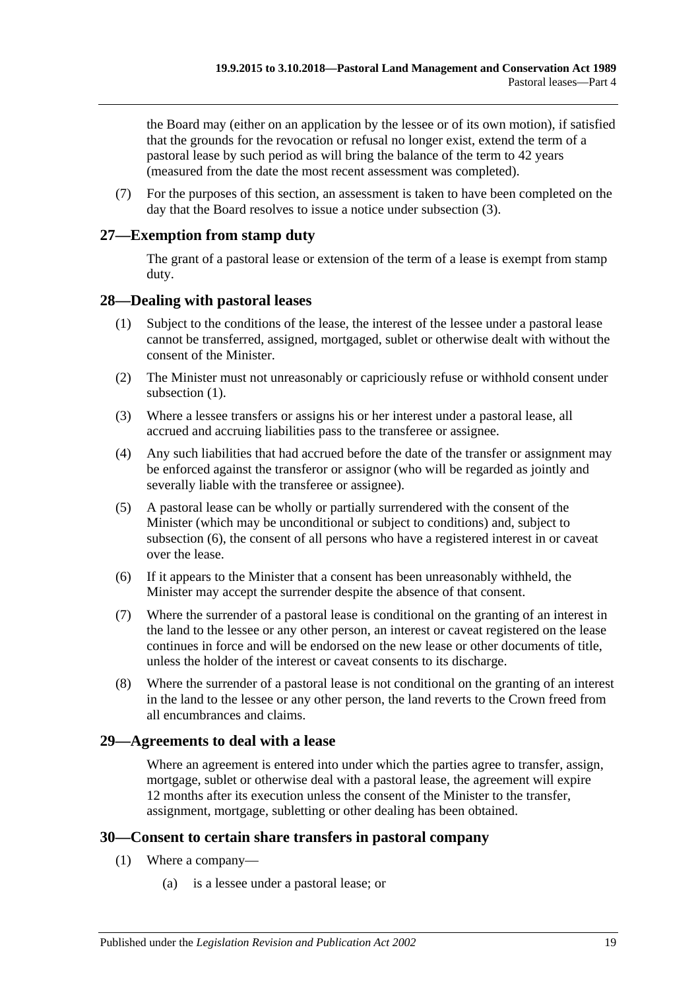the Board may (either on an application by the lessee or of its own motion), if satisfied that the grounds for the revocation or refusal no longer exist, extend the term of a pastoral lease by such period as will bring the balance of the term to 42 years (measured from the date the most recent assessment was completed).

(7) For the purposes of this section, an assessment is taken to have been completed on the day that the Board resolves to issue a notice under [subsection](#page-17-4) (3).

## <span id="page-18-0"></span>**27—Exemption from stamp duty**

The grant of a pastoral lease or extension of the term of a lease is exempt from stamp duty.

#### <span id="page-18-4"></span><span id="page-18-1"></span>**28—Dealing with pastoral leases**

- (1) Subject to the conditions of the lease, the interest of the lessee under a pastoral lease cannot be transferred, assigned, mortgaged, sublet or otherwise dealt with without the consent of the Minister.
- (2) The Minister must not unreasonably or capriciously refuse or withhold consent under [subsection](#page-18-4)  $(1)$ .
- (3) Where a lessee transfers or assigns his or her interest under a pastoral lease, all accrued and accruing liabilities pass to the transferee or assignee.
- (4) Any such liabilities that had accrued before the date of the transfer or assignment may be enforced against the transferor or assignor (who will be regarded as jointly and severally liable with the transferee or assignee).
- (5) A pastoral lease can be wholly or partially surrendered with the consent of the Minister (which may be unconditional or subject to conditions) and, subject to [subsection](#page-18-5) (6), the consent of all persons who have a registered interest in or caveat over the lease.
- <span id="page-18-5"></span>(6) If it appears to the Minister that a consent has been unreasonably withheld, the Minister may accept the surrender despite the absence of that consent.
- (7) Where the surrender of a pastoral lease is conditional on the granting of an interest in the land to the lessee or any other person, an interest or caveat registered on the lease continues in force and will be endorsed on the new lease or other documents of title, unless the holder of the interest or caveat consents to its discharge.
- (8) Where the surrender of a pastoral lease is not conditional on the granting of an interest in the land to the lessee or any other person, the land reverts to the Crown freed from all encumbrances and claims.

#### <span id="page-18-2"></span>**29—Agreements to deal with a lease**

Where an agreement is entered into under which the parties agree to transfer, assign, mortgage, sublet or otherwise deal with a pastoral lease, the agreement will expire 12 months after its execution unless the consent of the Minister to the transfer, assignment, mortgage, subletting or other dealing has been obtained.

## <span id="page-18-6"></span><span id="page-18-3"></span>**30—Consent to certain share transfers in pastoral company**

- (1) Where a company—
	- (a) is a lessee under a pastoral lease; or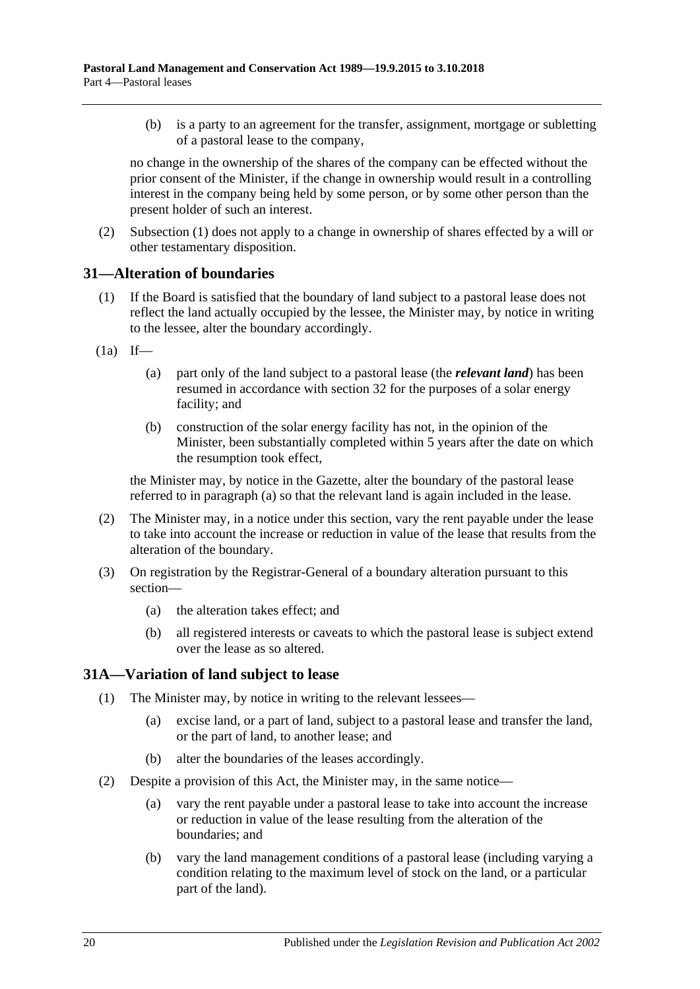(b) is a party to an agreement for the transfer, assignment, mortgage or subletting of a pastoral lease to the company,

no change in the ownership of the shares of the company can be effected without the prior consent of the Minister, if the change in ownership would result in a controlling interest in the company being held by some person, or by some other person than the present holder of such an interest.

(2) [Subsection](#page-18-6) (1) does not apply to a change in ownership of shares effected by a will or other testamentary disposition.

#### <span id="page-19-0"></span>**31—Alteration of boundaries**

- (1) If the Board is satisfied that the boundary of land subject to a pastoral lease does not reflect the land actually occupied by the lessee, the Minister may, by notice in writing to the lessee, alter the boundary accordingly.
- <span id="page-19-2"></span> $(1a)$  If—
	- (a) part only of the land subject to a pastoral lease (the *relevant land*) has been resumed in accordance with [section](#page-20-0) 32 for the purposes of a solar energy facility; and
	- (b) construction of the solar energy facility has not, in the opinion of the Minister, been substantially completed within 5 years after the date on which the resumption took effect,

the Minister may, by notice in the Gazette, alter the boundary of the pastoral lease referred to in [paragraph](#page-19-2) (a) so that the relevant land is again included in the lease.

- (2) The Minister may, in a notice under this section, vary the rent payable under the lease to take into account the increase or reduction in value of the lease that results from the alteration of the boundary.
- (3) On registration by the Registrar-General of a boundary alteration pursuant to this section—
	- (a) the alteration takes effect; and
	- (b) all registered interests or caveats to which the pastoral lease is subject extend over the lease as so altered.

## <span id="page-19-1"></span>**31A—Variation of land subject to lease**

- (1) The Minister may, by notice in writing to the relevant lessees—
	- (a) excise land, or a part of land, subject to a pastoral lease and transfer the land, or the part of land, to another lease; and
	- (b) alter the boundaries of the leases accordingly.
- (2) Despite a provision of this Act, the Minister may, in the same notice—
	- (a) vary the rent payable under a pastoral lease to take into account the increase or reduction in value of the lease resulting from the alteration of the boundaries; and
	- (b) vary the land management conditions of a pastoral lease (including varying a condition relating to the maximum level of stock on the land, or a particular part of the land).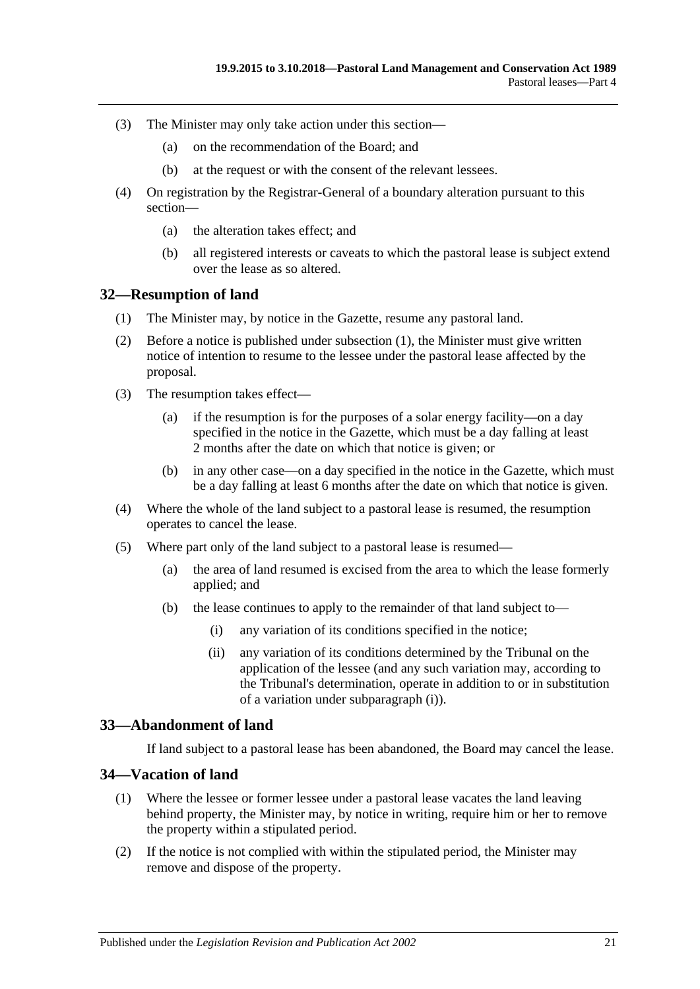- (3) The Minister may only take action under this section—
	- (a) on the recommendation of the Board; and
	- (b) at the request or with the consent of the relevant lessees.
- (4) On registration by the Registrar-General of a boundary alteration pursuant to this section—
	- (a) the alteration takes effect; and
	- (b) all registered interests or caveats to which the pastoral lease is subject extend over the lease as so altered.

#### <span id="page-20-3"></span><span id="page-20-0"></span>**32—Resumption of land**

- (1) The Minister may, by notice in the Gazette, resume any pastoral land.
- (2) Before a notice is published under [subsection](#page-20-3) (1), the Minister must give written notice of intention to resume to the lessee under the pastoral lease affected by the proposal.
- (3) The resumption takes effect—
	- (a) if the resumption is for the purposes of a solar energy facility—on a day specified in the notice in the Gazette, which must be a day falling at least 2 months after the date on which that notice is given; or
	- (b) in any other case—on a day specified in the notice in the Gazette, which must be a day falling at least 6 months after the date on which that notice is given.
- (4) Where the whole of the land subject to a pastoral lease is resumed, the resumption operates to cancel the lease.
- <span id="page-20-4"></span>(5) Where part only of the land subject to a pastoral lease is resumed—
	- (a) the area of land resumed is excised from the area to which the lease formerly applied; and
	- (b) the lease continues to apply to the remainder of that land subject to—
		- (i) any variation of its conditions specified in the notice;
		- (ii) any variation of its conditions determined by the Tribunal on the application of the lessee (and any such variation may, according to the Tribunal's determination, operate in addition to or in substitution of a variation under [subparagraph](#page-20-4) (i)).

#### <span id="page-20-1"></span>**33—Abandonment of land**

If land subject to a pastoral lease has been abandoned, the Board may cancel the lease.

#### <span id="page-20-6"></span><span id="page-20-2"></span>**34—Vacation of land**

- (1) Where the lessee or former lessee under a pastoral lease vacates the land leaving behind property, the Minister may, by notice in writing, require him or her to remove the property within a stipulated period.
- <span id="page-20-5"></span>(2) If the notice is not complied with within the stipulated period, the Minister may remove and dispose of the property.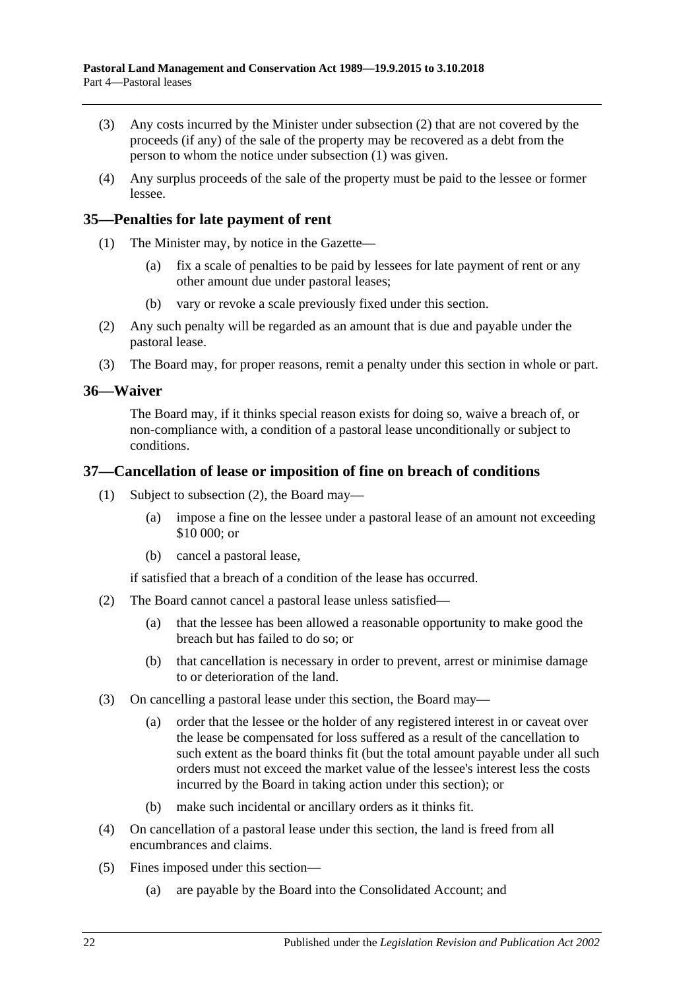- (3) Any costs incurred by the Minister under [subsection](#page-20-5) (2) that are not covered by the proceeds (if any) of the sale of the property may be recovered as a debt from the person to whom the notice under [subsection](#page-20-6) (1) was given.
- (4) Any surplus proceeds of the sale of the property must be paid to the lessee or former lessee.

### <span id="page-21-0"></span>**35—Penalties for late payment of rent**

- (1) The Minister may, by notice in the Gazette—
	- (a) fix a scale of penalties to be paid by lessees for late payment of rent or any other amount due under pastoral leases;
	- (b) vary or revoke a scale previously fixed under this section.
- (2) Any such penalty will be regarded as an amount that is due and payable under the pastoral lease.
- (3) The Board may, for proper reasons, remit a penalty under this section in whole or part.

#### <span id="page-21-1"></span>**36—Waiver**

The Board may, if it thinks special reason exists for doing so, waive a breach of, or non-compliance with, a condition of a pastoral lease unconditionally or subject to conditions.

#### <span id="page-21-2"></span>**37—Cancellation of lease or imposition of fine on breach of conditions**

- (1) Subject to [subsection](#page-21-3) (2), the Board may—
	- (a) impose a fine on the lessee under a pastoral lease of an amount not exceeding \$10 000; or
	- (b) cancel a pastoral lease,

if satisfied that a breach of a condition of the lease has occurred.

- <span id="page-21-3"></span>(2) The Board cannot cancel a pastoral lease unless satisfied—
	- (a) that the lessee has been allowed a reasonable opportunity to make good the breach but has failed to do so; or
	- (b) that cancellation is necessary in order to prevent, arrest or minimise damage to or deterioration of the land.
- (3) On cancelling a pastoral lease under this section, the Board may—
	- (a) order that the lessee or the holder of any registered interest in or caveat over the lease be compensated for loss suffered as a result of the cancellation to such extent as the board thinks fit (but the total amount payable under all such orders must not exceed the market value of the lessee's interest less the costs incurred by the Board in taking action under this section); or
	- (b) make such incidental or ancillary orders as it thinks fit.
- (4) On cancellation of a pastoral lease under this section, the land is freed from all encumbrances and claims.
- (5) Fines imposed under this section—
	- (a) are payable by the Board into the Consolidated Account; and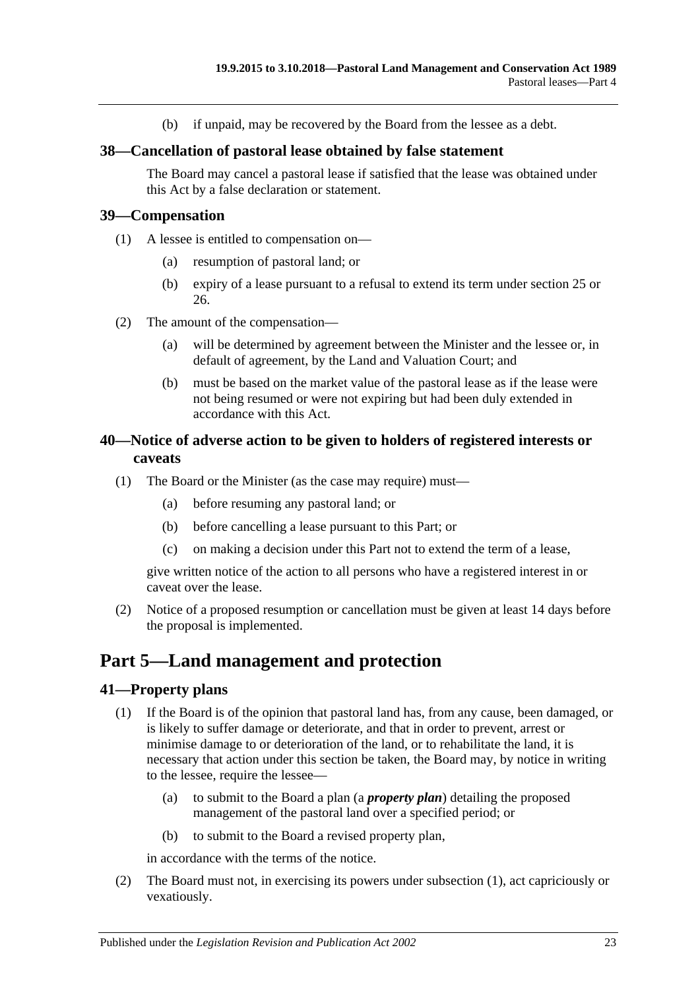(b) if unpaid, may be recovered by the Board from the lessee as a debt.

#### <span id="page-22-0"></span>**38—Cancellation of pastoral lease obtained by false statement**

The Board may cancel a pastoral lease if satisfied that the lease was obtained under this Act by a false declaration or statement.

#### <span id="page-22-1"></span>**39—Compensation**

- (1) A lessee is entitled to compensation on—
	- (a) resumption of pastoral land; or
	- (b) expiry of a lease pursuant to a refusal to extend its term under [section](#page-15-1) 25 or [26.](#page-17-0)
- (2) The amount of the compensation—
	- (a) will be determined by agreement between the Minister and the lessee or, in default of agreement, by the Land and Valuation Court; and
	- (b) must be based on the market value of the pastoral lease as if the lease were not being resumed or were not expiring but had been duly extended in accordance with this Act.

## <span id="page-22-2"></span>**40—Notice of adverse action to be given to holders of registered interests or caveats**

- (1) The Board or the Minister (as the case may require) must—
	- (a) before resuming any pastoral land; or
	- (b) before cancelling a lease pursuant to this Part; or
	- (c) on making a decision under this Part not to extend the term of a lease,

give written notice of the action to all persons who have a registered interest in or caveat over the lease.

(2) Notice of a proposed resumption or cancellation must be given at least 14 days before the proposal is implemented.

## <span id="page-22-3"></span>**Part 5—Land management and protection**

#### <span id="page-22-5"></span><span id="page-22-4"></span>**41—Property plans**

- (1) If the Board is of the opinion that pastoral land has, from any cause, been damaged, or is likely to suffer damage or deteriorate, and that in order to prevent, arrest or minimise damage to or deterioration of the land, or to rehabilitate the land, it is necessary that action under this section be taken, the Board may, by notice in writing to the lessee, require the lessee—
	- (a) to submit to the Board a plan (a *property plan*) detailing the proposed management of the pastoral land over a specified period; or
	- (b) to submit to the Board a revised property plan,

in accordance with the terms of the notice.

(2) The Board must not, in exercising its powers under [subsection](#page-22-5) (1), act capriciously or vexatiously.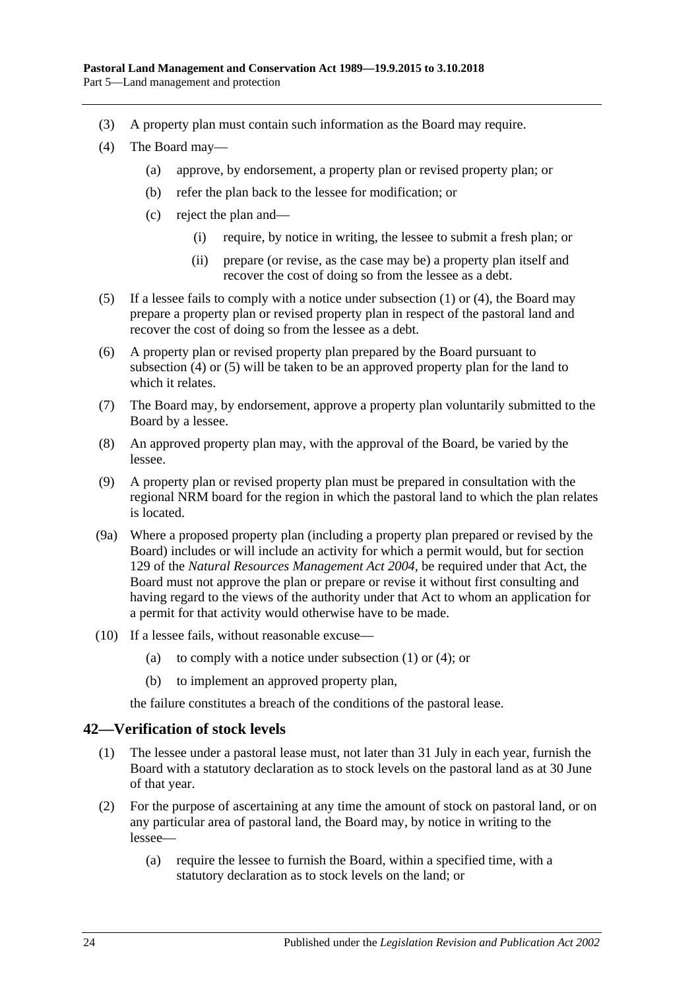- (3) A property plan must contain such information as the Board may require.
- <span id="page-23-1"></span>(4) The Board may—
	- (a) approve, by endorsement, a property plan or revised property plan; or
	- (b) refer the plan back to the lessee for modification; or
	- (c) reject the plan and—
		- (i) require, by notice in writing, the lessee to submit a fresh plan; or
		- (ii) prepare (or revise, as the case may be) a property plan itself and recover the cost of doing so from the lessee as a debt.
- <span id="page-23-2"></span>(5) If a lessee fails to comply with a notice under [subsection](#page-22-5) (1) or [\(4\),](#page-23-1) the Board may prepare a property plan or revised property plan in respect of the pastoral land and recover the cost of doing so from the lessee as a debt.
- (6) A property plan or revised property plan prepared by the Board pursuant to [subsection](#page-23-1) (4) or [\(5\)](#page-23-2) will be taken to be an approved property plan for the land to which it relates.
- (7) The Board may, by endorsement, approve a property plan voluntarily submitted to the Board by a lessee.
- (8) An approved property plan may, with the approval of the Board, be varied by the lessee.
- (9) A property plan or revised property plan must be prepared in consultation with the regional NRM board for the region in which the pastoral land to which the plan relates is located.
- (9a) Where a proposed property plan (including a property plan prepared or revised by the Board) includes or will include an activity for which a permit would, but for section 129 of the *[Natural Resources Management Act](http://www.legislation.sa.gov.au/index.aspx?action=legref&type=act&legtitle=Natural%20Resources%20Management%20Act%202004) 2004*, be required under that Act, the Board must not approve the plan or prepare or revise it without first consulting and having regard to the views of the authority under that Act to whom an application for a permit for that activity would otherwise have to be made.
- (10) If a lessee fails, without reasonable excuse
	- (a) to comply with a notice under [subsection](#page-22-5)  $(1)$  or  $(4)$ ; or
	- (b) to implement an approved property plan,

the failure constitutes a breach of the conditions of the pastoral lease.

## <span id="page-23-0"></span>**42—Verification of stock levels**

- (1) The lessee under a pastoral lease must, not later than 31 July in each year, furnish the Board with a statutory declaration as to stock levels on the pastoral land as at 30 June of that year.
- (2) For the purpose of ascertaining at any time the amount of stock on pastoral land, or on any particular area of pastoral land, the Board may, by notice in writing to the lessee—
	- (a) require the lessee to furnish the Board, within a specified time, with a statutory declaration as to stock levels on the land; or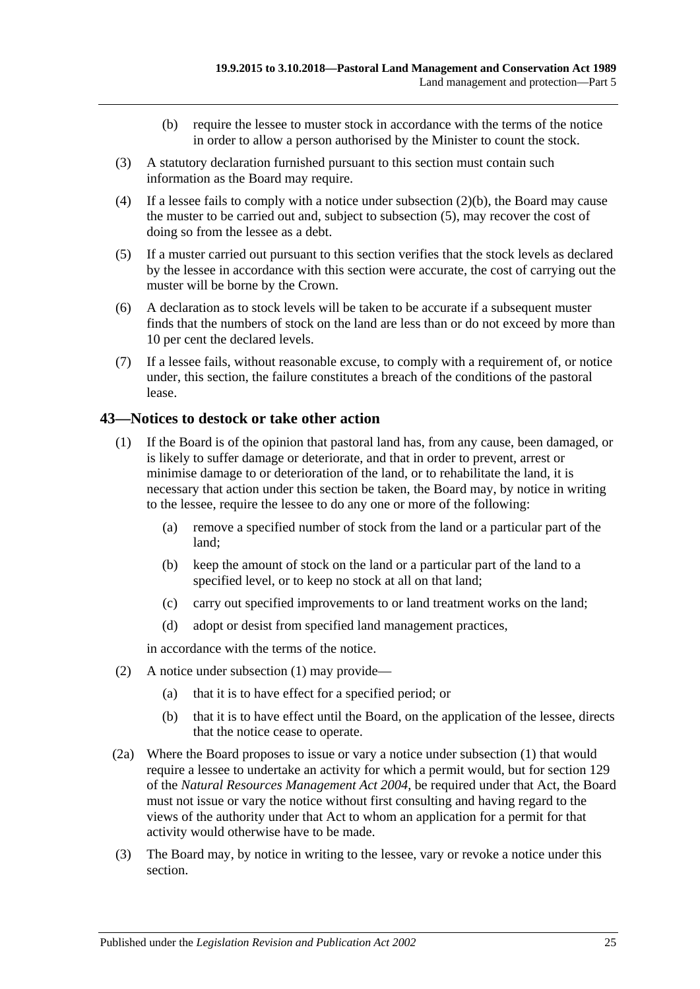- (b) require the lessee to muster stock in accordance with the terms of the notice in order to allow a person authorised by the Minister to count the stock.
- <span id="page-24-1"></span>(3) A statutory declaration furnished pursuant to this section must contain such information as the Board may require.
- (4) If a lessee fails to comply with a notice under [subsection](#page-24-1)  $(2)(b)$ , the Board may cause the muster to be carried out and, subject to [subsection](#page-24-2) (5), may recover the cost of doing so from the lessee as a debt.
- <span id="page-24-2"></span>(5) If a muster carried out pursuant to this section verifies that the stock levels as declared by the lessee in accordance with this section were accurate, the cost of carrying out the muster will be borne by the Crown.
- (6) A declaration as to stock levels will be taken to be accurate if a subsequent muster finds that the numbers of stock on the land are less than or do not exceed by more than 10 per cent the declared levels.
- (7) If a lessee fails, without reasonable excuse, to comply with a requirement of, or notice under, this section, the failure constitutes a breach of the conditions of the pastoral lease.

## <span id="page-24-3"></span><span id="page-24-0"></span>**43—Notices to destock or take other action**

- (1) If the Board is of the opinion that pastoral land has, from any cause, been damaged, or is likely to suffer damage or deteriorate, and that in order to prevent, arrest or minimise damage to or deterioration of the land, or to rehabilitate the land, it is necessary that action under this section be taken, the Board may, by notice in writing to the lessee, require the lessee to do any one or more of the following:
	- (a) remove a specified number of stock from the land or a particular part of the land;
	- (b) keep the amount of stock on the land or a particular part of the land to a specified level, or to keep no stock at all on that land;
	- (c) carry out specified improvements to or land treatment works on the land;
	- (d) adopt or desist from specified land management practices,

in accordance with the terms of the notice.

- (2) A notice under [subsection](#page-24-3) (1) may provide—
	- (a) that it is to have effect for a specified period; or
	- (b) that it is to have effect until the Board, on the application of the lessee, directs that the notice cease to operate.
- (2a) Where the Board proposes to issue or vary a notice under [subsection](#page-24-3) (1) that would require a lessee to undertake an activity for which a permit would, but for section 129 of the *[Natural Resources Management Act](http://www.legislation.sa.gov.au/index.aspx?action=legref&type=act&legtitle=Natural%20Resources%20Management%20Act%202004) 2004*, be required under that Act, the Board must not issue or vary the notice without first consulting and having regard to the views of the authority under that Act to whom an application for a permit for that activity would otherwise have to be made.
- (3) The Board may, by notice in writing to the lessee, vary or revoke a notice under this section.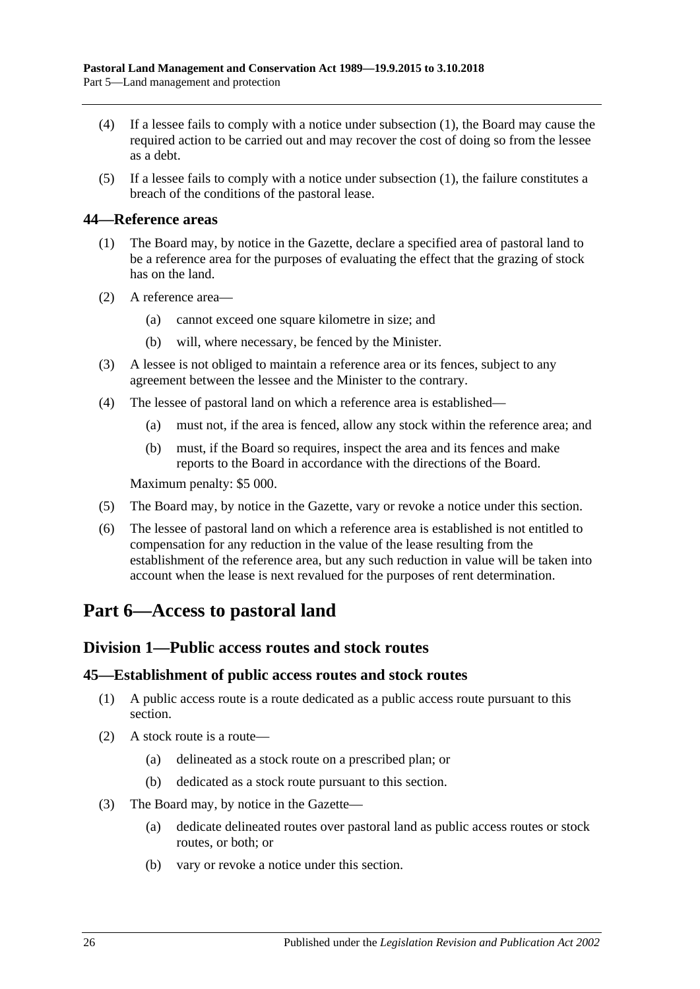- (4) If a lessee fails to comply with a notice under [subsection](#page-24-3) (1), the Board may cause the required action to be carried out and may recover the cost of doing so from the lessee as a debt.
- (5) If a lessee fails to comply with a notice under [subsection](#page-24-3) (1), the failure constitutes a breach of the conditions of the pastoral lease.

#### <span id="page-25-0"></span>**44—Reference areas**

- (1) The Board may, by notice in the Gazette, declare a specified area of pastoral land to be a reference area for the purposes of evaluating the effect that the grazing of stock has on the land.
- (2) A reference area—
	- (a) cannot exceed one square kilometre in size; and
	- (b) will, where necessary, be fenced by the Minister.
- (3) A lessee is not obliged to maintain a reference area or its fences, subject to any agreement between the lessee and the Minister to the contrary.
- (4) The lessee of pastoral land on which a reference area is established—
	- (a) must not, if the area is fenced, allow any stock within the reference area; and
	- (b) must, if the Board so requires, inspect the area and its fences and make reports to the Board in accordance with the directions of the Board.

Maximum penalty: \$5 000.

- (5) The Board may, by notice in the Gazette, vary or revoke a notice under this section.
- (6) The lessee of pastoral land on which a reference area is established is not entitled to compensation for any reduction in the value of the lease resulting from the establishment of the reference area, but any such reduction in value will be taken into account when the lease is next revalued for the purposes of rent determination.

## <span id="page-25-1"></span>**Part 6—Access to pastoral land**

## <span id="page-25-2"></span>**Division 1—Public access routes and stock routes**

#### <span id="page-25-3"></span>**45—Establishment of public access routes and stock routes**

- (1) A public access route is a route dedicated as a public access route pursuant to this section.
- (2) A stock route is a route—
	- (a) delineated as a stock route on a prescribed plan; or
	- (b) dedicated as a stock route pursuant to this section.
- (3) The Board may, by notice in the Gazette—
	- (a) dedicate delineated routes over pastoral land as public access routes or stock routes, or both; or
	- (b) vary or revoke a notice under this section.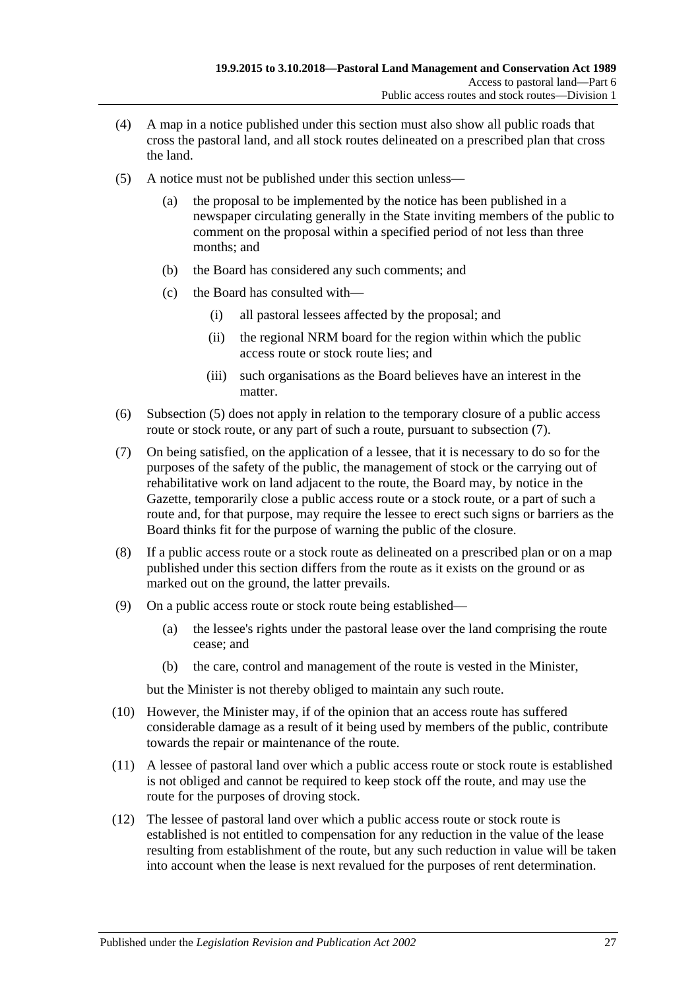- (4) A map in a notice published under this section must also show all public roads that cross the pastoral land, and all stock routes delineated on a prescribed plan that cross the land.
- <span id="page-26-0"></span>(5) A notice must not be published under this section unless
	- the proposal to be implemented by the notice has been published in a newspaper circulating generally in the State inviting members of the public to comment on the proposal within a specified period of not less than three months; and
	- (b) the Board has considered any such comments; and
	- (c) the Board has consulted with—
		- (i) all pastoral lessees affected by the proposal; and
		- (ii) the regional NRM board for the region within which the public access route or stock route lies; and
		- (iii) such organisations as the Board believes have an interest in the matter.
- (6) [Subsection](#page-26-0) (5) does not apply in relation to the temporary closure of a public access route or stock route, or any part of such a route, pursuant to [subsection](#page-26-1)  $(7)$ .
- <span id="page-26-1"></span>(7) On being satisfied, on the application of a lessee, that it is necessary to do so for the purposes of the safety of the public, the management of stock or the carrying out of rehabilitative work on land adjacent to the route, the Board may, by notice in the Gazette, temporarily close a public access route or a stock route, or a part of such a route and, for that purpose, may require the lessee to erect such signs or barriers as the Board thinks fit for the purpose of warning the public of the closure.
- (8) If a public access route or a stock route as delineated on a prescribed plan or on a map published under this section differs from the route as it exists on the ground or as marked out on the ground, the latter prevails.
- (9) On a public access route or stock route being established—
	- (a) the lessee's rights under the pastoral lease over the land comprising the route cease; and
	- (b) the care, control and management of the route is vested in the Minister,

but the Minister is not thereby obliged to maintain any such route.

- (10) However, the Minister may, if of the opinion that an access route has suffered considerable damage as a result of it being used by members of the public, contribute towards the repair or maintenance of the route.
- (11) A lessee of pastoral land over which a public access route or stock route is established is not obliged and cannot be required to keep stock off the route, and may use the route for the purposes of droving stock.
- (12) The lessee of pastoral land over which a public access route or stock route is established is not entitled to compensation for any reduction in the value of the lease resulting from establishment of the route, but any such reduction in value will be taken into account when the lease is next revalued for the purposes of rent determination.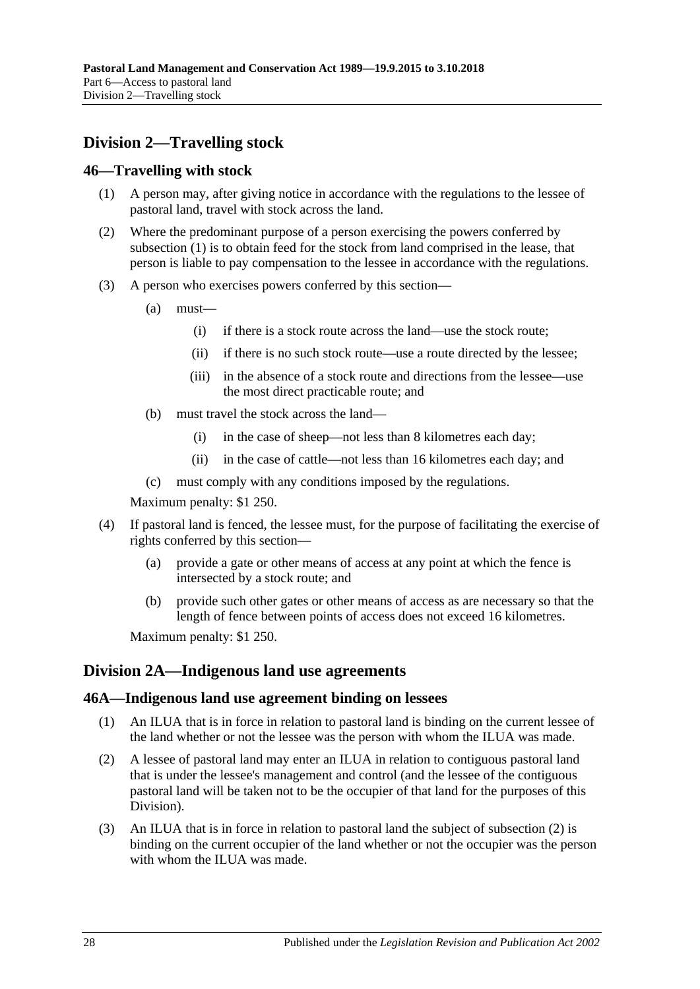## <span id="page-27-0"></span>**Division 2—Travelling stock**

### <span id="page-27-4"></span><span id="page-27-1"></span>**46—Travelling with stock**

- (1) A person may, after giving notice in accordance with the regulations to the lessee of pastoral land, travel with stock across the land.
- (2) Where the predominant purpose of a person exercising the powers conferred by [subsection](#page-27-4) (1) is to obtain feed for the stock from land comprised in the lease, that person is liable to pay compensation to the lessee in accordance with the regulations.
- (3) A person who exercises powers conferred by this section—
	- (a) must—
		- (i) if there is a stock route across the land—use the stock route;
		- (ii) if there is no such stock route—use a route directed by the lessee;
		- (iii) in the absence of a stock route and directions from the lessee—use the most direct practicable route; and
	- (b) must travel the stock across the land—
		- (i) in the case of sheep—not less than 8 kilometres each day;
		- (ii) in the case of cattle—not less than 16 kilometres each day; and
	- (c) must comply with any conditions imposed by the regulations.

Maximum penalty: \$1 250.

- (4) If pastoral land is fenced, the lessee must, for the purpose of facilitating the exercise of rights conferred by this section—
	- (a) provide a gate or other means of access at any point at which the fence is intersected by a stock route; and
	- (b) provide such other gates or other means of access as are necessary so that the length of fence between points of access does not exceed 16 kilometres.

Maximum penalty: \$1 250.

## <span id="page-27-2"></span>**Division 2A—Indigenous land use agreements**

#### <span id="page-27-3"></span>**46A—Indigenous land use agreement binding on lessees**

- (1) An ILUA that is in force in relation to pastoral land is binding on the current lessee of the land whether or not the lessee was the person with whom the ILUA was made.
- <span id="page-27-5"></span>(2) A lessee of pastoral land may enter an ILUA in relation to contiguous pastoral land that is under the lessee's management and control (and the lessee of the contiguous pastoral land will be taken not to be the occupier of that land for the purposes of this Division).
- (3) An ILUA that is in force in relation to pastoral land the subject of [subsection](#page-27-5) (2) is binding on the current occupier of the land whether or not the occupier was the person with whom the ILUA was made.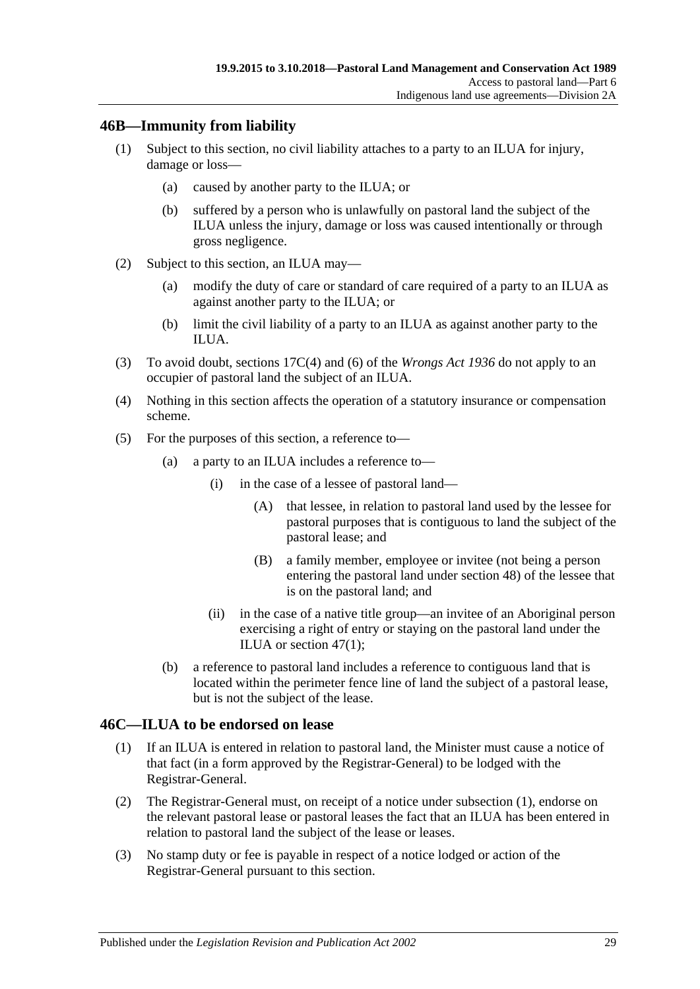## <span id="page-28-0"></span>**46B—Immunity from liability**

- (1) Subject to this section, no civil liability attaches to a party to an ILUA for injury, damage or loss—
	- (a) caused by another party to the ILUA; or
	- (b) suffered by a person who is unlawfully on pastoral land the subject of the ILUA unless the injury, damage or loss was caused intentionally or through gross negligence.
- (2) Subject to this section, an ILUA may—
	- (a) modify the duty of care or standard of care required of a party to an ILUA as against another party to the ILUA; or
	- (b) limit the civil liability of a party to an ILUA as against another party to the ILUA.
- (3) To avoid doubt, sections 17C(4) and (6) of the *[Wrongs Act](http://www.legislation.sa.gov.au/index.aspx?action=legref&type=act&legtitle=Wrongs%20Act%201936) 1936* do not apply to an occupier of pastoral land the subject of an ILUA.
- (4) Nothing in this section affects the operation of a statutory insurance or compensation scheme.
- (5) For the purposes of this section, a reference to—
	- (a) a party to an ILUA includes a reference to—
		- (i) in the case of a lessee of pastoral land—
			- (A) that lessee, in relation to pastoral land used by the lessee for pastoral purposes that is contiguous to land the subject of the pastoral lease; and
			- (B) a family member, employee or invitee (not being a person entering the pastoral land under [section](#page-29-2) 48) of the lessee that is on the pastoral land; and
		- (ii) in the case of a native title group—an invitee of an Aboriginal person exercising a right of entry or staying on the pastoral land under the ILUA or [section](#page-29-3) 47(1);
	- (b) a reference to pastoral land includes a reference to contiguous land that is located within the perimeter fence line of land the subject of a pastoral lease, but is not the subject of the lease.

## <span id="page-28-2"></span><span id="page-28-1"></span>**46C—ILUA to be endorsed on lease**

- (1) If an ILUA is entered in relation to pastoral land, the Minister must cause a notice of that fact (in a form approved by the Registrar-General) to be lodged with the Registrar-General.
- (2) The Registrar-General must, on receipt of a notice under [subsection](#page-28-2) (1), endorse on the relevant pastoral lease or pastoral leases the fact that an ILUA has been entered in relation to pastoral land the subject of the lease or leases.
- (3) No stamp duty or fee is payable in respect of a notice lodged or action of the Registrar-General pursuant to this section.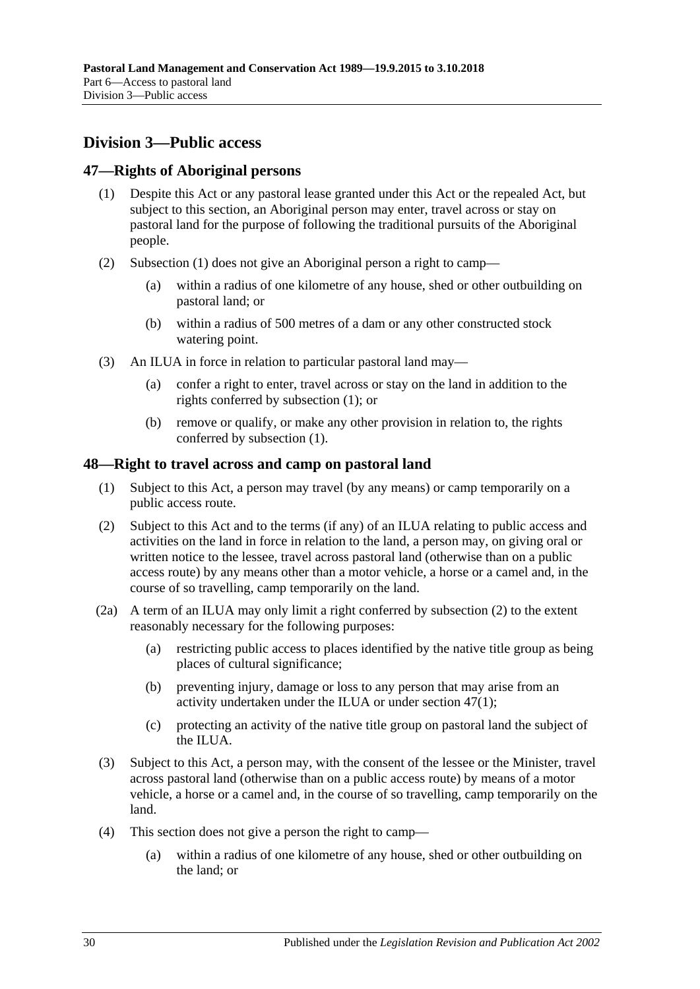## <span id="page-29-0"></span>**Division 3—Public access**

## <span id="page-29-3"></span><span id="page-29-1"></span>**47—Rights of Aboriginal persons**

- (1) Despite this Act or any pastoral lease granted under this Act or the repealed Act, but subject to this section, an Aboriginal person may enter, travel across or stay on pastoral land for the purpose of following the traditional pursuits of the Aboriginal people.
- (2) [Subsection](#page-29-3) (1) does not give an Aboriginal person a right to camp—
	- (a) within a radius of one kilometre of any house, shed or other outbuilding on pastoral land; or
	- (b) within a radius of 500 metres of a dam or any other constructed stock watering point.
- (3) An ILUA in force in relation to particular pastoral land may—
	- (a) confer a right to enter, travel across or stay on the land in addition to the rights conferred by [subsection](#page-29-3) (1); or
	- (b) remove or qualify, or make any other provision in relation to, the rights conferred by [subsection](#page-29-3) (1).

## <span id="page-29-2"></span>**48—Right to travel across and camp on pastoral land**

- (1) Subject to this Act, a person may travel (by any means) or camp temporarily on a public access route.
- <span id="page-29-4"></span>(2) Subject to this Act and to the terms (if any) of an ILUA relating to public access and activities on the land in force in relation to the land, a person may, on giving oral or written notice to the lessee, travel across pastoral land (otherwise than on a public access route) by any means other than a motor vehicle, a horse or a camel and, in the course of so travelling, camp temporarily on the land.
- <span id="page-29-6"></span>(2a) A term of an ILUA may only limit a right conferred by [subsection](#page-29-4) (2) to the extent reasonably necessary for the following purposes:
	- (a) restricting public access to places identified by the native title group as being places of cultural significance;
	- (b) preventing injury, damage or loss to any person that may arise from an activity undertaken under the ILUA or under [section](#page-29-3) 47(1);
	- (c) protecting an activity of the native title group on pastoral land the subject of the ILUA.
- <span id="page-29-5"></span>(3) Subject to this Act, a person may, with the consent of the lessee or the Minister, travel across pastoral land (otherwise than on a public access route) by means of a motor vehicle, a horse or a camel and, in the course of so travelling, camp temporarily on the land.
- (4) This section does not give a person the right to camp—
	- (a) within a radius of one kilometre of any house, shed or other outbuilding on the land; or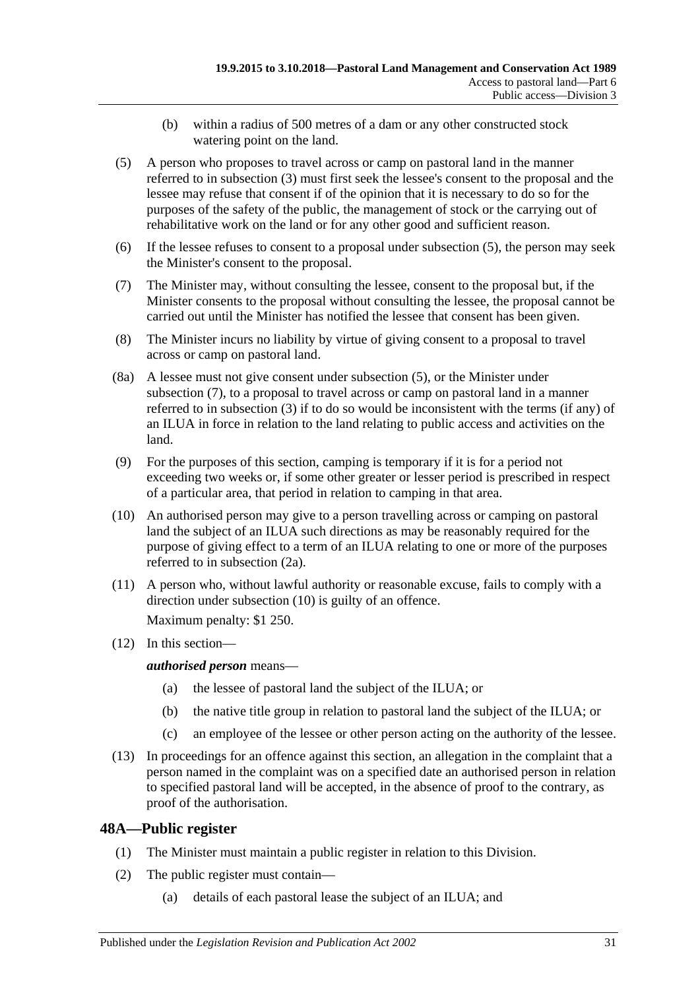- (b) within a radius of 500 metres of a dam or any other constructed stock watering point on the land.
- <span id="page-30-1"></span>(5) A person who proposes to travel across or camp on pastoral land in the manner referred to in [subsection](#page-29-5) (3) must first seek the lessee's consent to the proposal and the lessee may refuse that consent if of the opinion that it is necessary to do so for the purposes of the safety of the public, the management of stock or the carrying out of rehabilitative work on the land or for any other good and sufficient reason.
- (6) If the lessee refuses to consent to a proposal under [subsection](#page-30-1) (5), the person may seek the Minister's consent to the proposal.
- <span id="page-30-2"></span>(7) The Minister may, without consulting the lessee, consent to the proposal but, if the Minister consents to the proposal without consulting the lessee, the proposal cannot be carried out until the Minister has notified the lessee that consent has been given.
- (8) The Minister incurs no liability by virtue of giving consent to a proposal to travel across or camp on pastoral land.
- (8a) A lessee must not give consent under [subsection](#page-30-1) (5), or the Minister under [subsection](#page-30-2) (7), to a proposal to travel across or camp on pastoral land in a manner referred to in [subsection](#page-29-5) (3) if to do so would be inconsistent with the terms (if any) of an ILUA in force in relation to the land relating to public access and activities on the land.
- (9) For the purposes of this section, camping is temporary if it is for a period not exceeding two weeks or, if some other greater or lesser period is prescribed in respect of a particular area, that period in relation to camping in that area.
- <span id="page-30-3"></span>(10) An authorised person may give to a person travelling across or camping on pastoral land the subject of an ILUA such directions as may be reasonably required for the purpose of giving effect to a term of an ILUA relating to one or more of the purposes referred to in [subsection](#page-29-6) (2a).
- (11) A person who, without lawful authority or reasonable excuse, fails to comply with a direction under [subsection](#page-30-3) (10) is guilty of an offence.

Maximum penalty: \$1 250.

(12) In this section—

*authorised person* means—

- (a) the lessee of pastoral land the subject of the ILUA; or
- (b) the native title group in relation to pastoral land the subject of the ILUA; or
- (c) an employee of the lessee or other person acting on the authority of the lessee.
- (13) In proceedings for an offence against this section, an allegation in the complaint that a person named in the complaint was on a specified date an authorised person in relation to specified pastoral land will be accepted, in the absence of proof to the contrary, as proof of the authorisation.

## <span id="page-30-0"></span>**48A—Public register**

- (1) The Minister must maintain a public register in relation to this Division.
- (2) The public register must contain—
	- (a) details of each pastoral lease the subject of an ILUA; and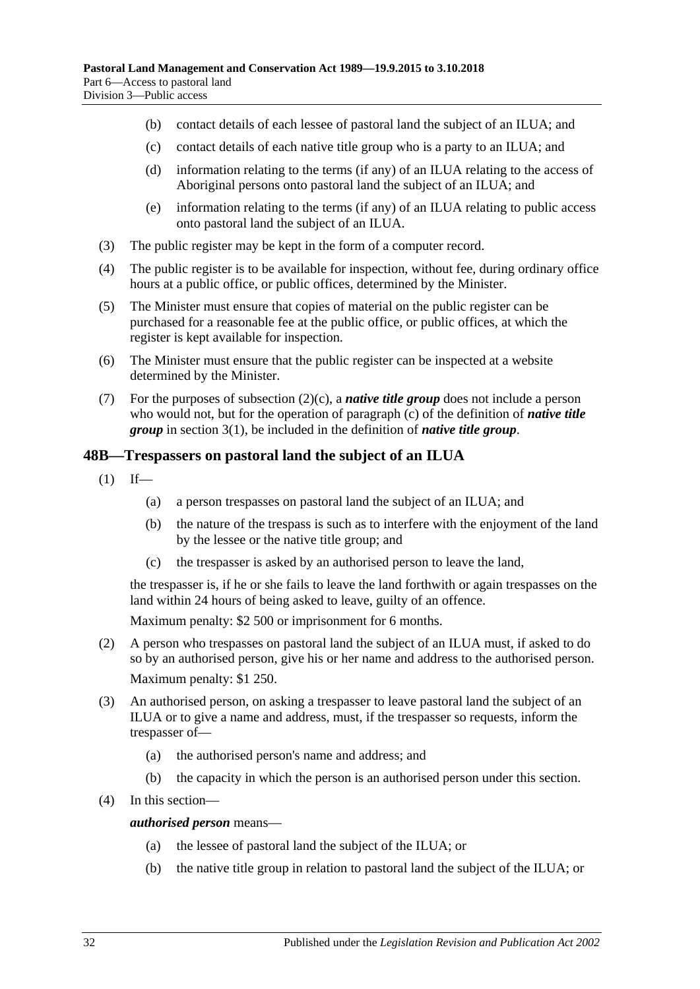- (b) contact details of each lessee of pastoral land the subject of an ILUA; and
- <span id="page-31-1"></span>(c) contact details of each native title group who is a party to an ILUA; and
- (d) information relating to the terms (if any) of an ILUA relating to the access of Aboriginal persons onto pastoral land the subject of an ILUA; and
- (e) information relating to the terms (if any) of an ILUA relating to public access onto pastoral land the subject of an ILUA.
- (3) The public register may be kept in the form of a computer record.
- (4) The public register is to be available for inspection, without fee, during ordinary office hours at a public office, or public offices, determined by the Minister.
- (5) The Minister must ensure that copies of material on the public register can be purchased for a reasonable fee at the public office, or public offices, at which the register is kept available for inspection.
- (6) The Minister must ensure that the public register can be inspected at a website determined by the Minister.
- (7) For the purposes of [subsection](#page-31-1)  $(2)(c)$ , a *native title group* does not include a person who would not, but for the operation of [paragraph](#page-3-3) (c) of the definition of *native title group* in [section](#page-3-4) 3(1), be included in the definition of *native title group*.

## <span id="page-31-0"></span>**48B—Trespassers on pastoral land the subject of an ILUA**

- $(1)$  If—
	- (a) a person trespasses on pastoral land the subject of an ILUA; and
	- (b) the nature of the trespass is such as to interfere with the enjoyment of the land by the lessee or the native title group; and
	- (c) the trespasser is asked by an authorised person to leave the land,

the trespasser is, if he or she fails to leave the land forthwith or again trespasses on the land within 24 hours of being asked to leave, guilty of an offence.

Maximum penalty: \$2 500 or imprisonment for 6 months.

- (2) A person who trespasses on pastoral land the subject of an ILUA must, if asked to do so by an authorised person, give his or her name and address to the authorised person. Maximum penalty: \$1 250.
- (3) An authorised person, on asking a trespasser to leave pastoral land the subject of an ILUA or to give a name and address, must, if the trespasser so requests, inform the trespasser of—
	- (a) the authorised person's name and address; and
	- (b) the capacity in which the person is an authorised person under this section.
- (4) In this section—

#### *authorised person* means—

- (a) the lessee of pastoral land the subject of the ILUA; or
- (b) the native title group in relation to pastoral land the subject of the ILUA; or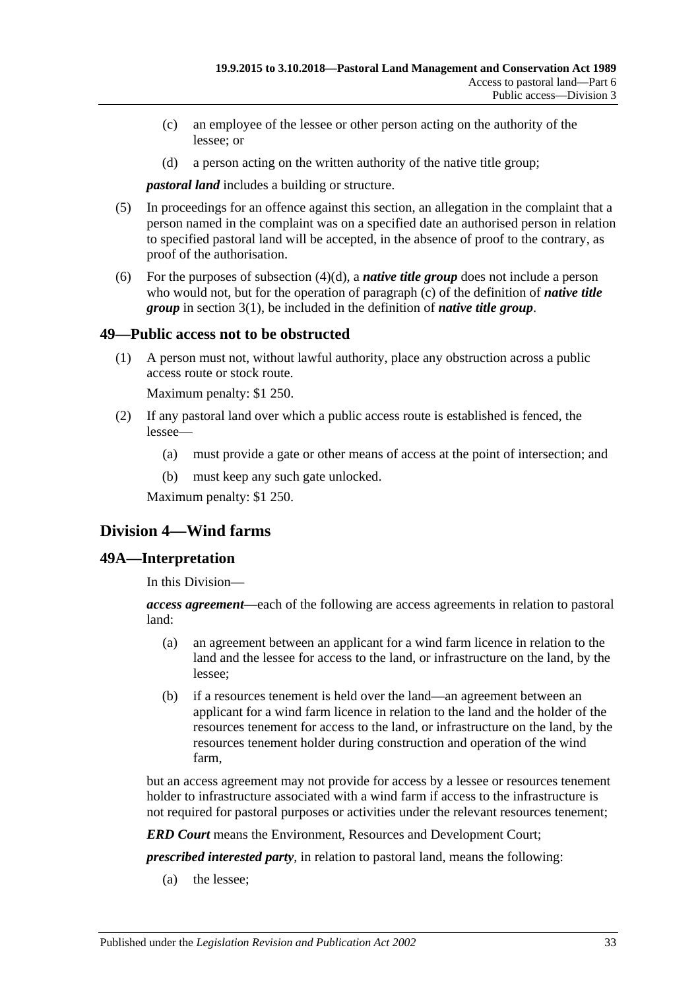- (c) an employee of the lessee or other person acting on the authority of the lessee; or
- (d) a person acting on the written authority of the native title group;

<span id="page-32-3"></span>*pastoral land* includes a building or structure.

- (5) In proceedings for an offence against this section, an allegation in the complaint that a person named in the complaint was on a specified date an authorised person in relation to specified pastoral land will be accepted, in the absence of proof to the contrary, as proof of the authorisation.
- (6) For the purposes of [subsection](#page-32-3)  $(4)(d)$ , a *native title group* does not include a person who would not, but for the operation of [paragraph](#page-3-3) (c) of the definition of *native title group* in [section](#page-3-4) 3(1), be included in the definition of *native title group*.

## <span id="page-32-0"></span>**49—Public access not to be obstructed**

(1) A person must not, without lawful authority, place any obstruction across a public access route or stock route.

Maximum penalty: \$1 250.

- (2) If any pastoral land over which a public access route is established is fenced, the lessee—
	- (a) must provide a gate or other means of access at the point of intersection; and
	- (b) must keep any such gate unlocked.

Maximum penalty: \$1 250.

## <span id="page-32-1"></span>**Division 4—Wind farms**

#### <span id="page-32-2"></span>**49A—Interpretation**

In this Division—

*access agreement*—each of the following are access agreements in relation to pastoral land:

- (a) an agreement between an applicant for a wind farm licence in relation to the land and the lessee for access to the land, or infrastructure on the land, by the lessee;
- (b) if a resources tenement is held over the land—an agreement between an applicant for a wind farm licence in relation to the land and the holder of the resources tenement for access to the land, or infrastructure on the land, by the resources tenement holder during construction and operation of the wind farm,

but an access agreement may not provide for access by a lessee or resources tenement holder to infrastructure associated with a wind farm if access to the infrastructure is not required for pastoral purposes or activities under the relevant resources tenement;

*ERD Court* means the Environment, Resources and Development Court;

*prescribed interested party*, in relation to pastoral land, means the following:

(a) the lessee;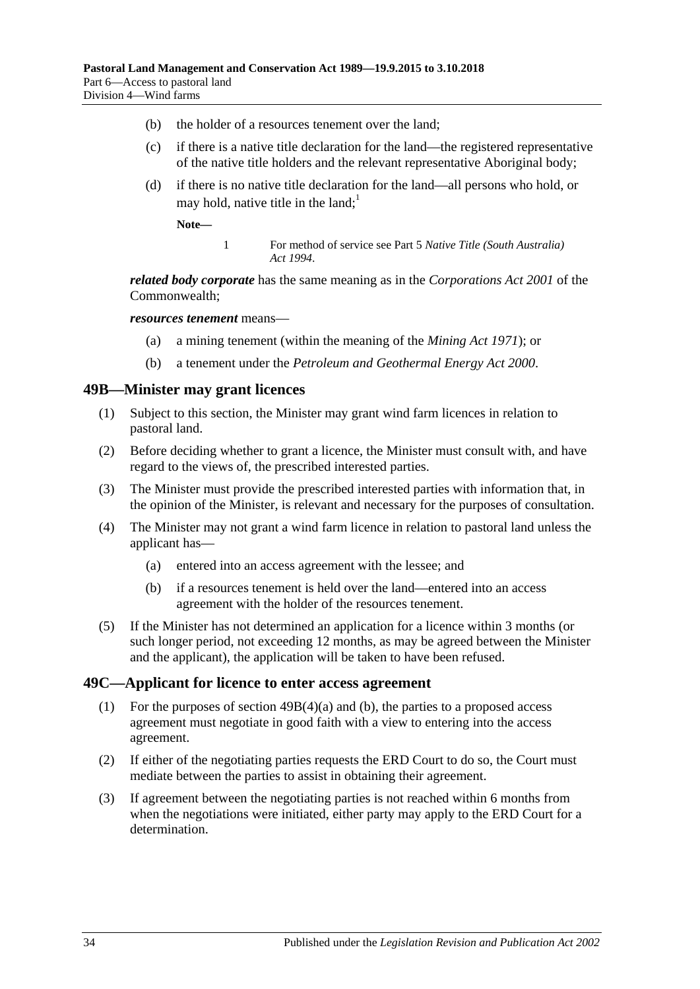- (b) the holder of a resources tenement over the land;
- (c) if there is a native title declaration for the land—the registered representative of the native title holders and the relevant representative Aboriginal body;
- <span id="page-33-4"></span>(d) if there is no native title declaration for the land—all persons who hold, or may hold, native title in the land;<sup>1</sup>

**Note—**

1 For method of service see Part 5 *[Native Title \(South Australia\)](http://www.legislation.sa.gov.au/index.aspx?action=legref&type=act&legtitle=Native%20Title%20(South%20Australia)%20Act%201994)  Act [1994](http://www.legislation.sa.gov.au/index.aspx?action=legref&type=act&legtitle=Native%20Title%20(South%20Australia)%20Act%201994)*.

*related body corporate* has the same meaning as in the *Corporations Act 2001* of the Commonwealth;

*resources tenement* means—

- (a) a mining tenement (within the meaning of the *[Mining Act](http://www.legislation.sa.gov.au/index.aspx?action=legref&type=act&legtitle=Mining%20Act%201971) 1971*); or
- (b) a tenement under the *[Petroleum and Geothermal Energy Act](http://www.legislation.sa.gov.au/index.aspx?action=legref&type=act&legtitle=Petroleum%20and%20Geothermal%20Energy%20Act%202000) 2000*.

#### <span id="page-33-0"></span>**49B—Minister may grant licences**

- (1) Subject to this section, the Minister may grant wind farm licences in relation to pastoral land.
- (2) Before deciding whether to grant a licence, the Minister must consult with, and have regard to the views of, the prescribed interested parties.
- (3) The Minister must provide the prescribed interested parties with information that, in the opinion of the Minister, is relevant and necessary for the purposes of consultation.
- <span id="page-33-2"></span>(4) The Minister may not grant a wind farm licence in relation to pastoral land unless the applicant has—
	- (a) entered into an access agreement with the lessee; and
	- (b) if a resources tenement is held over the land—entered into an access agreement with the holder of the resources tenement.
- <span id="page-33-3"></span>(5) If the Minister has not determined an application for a licence within 3 months (or such longer period, not exceeding 12 months, as may be agreed between the Minister and the applicant), the application will be taken to have been refused.

#### <span id="page-33-1"></span>**49C—Applicant for licence to enter access agreement**

- (1) For the purposes of section [49B\(4\)\(a\)](#page-33-2) and [\(b\),](#page-33-3) the parties to a proposed access agreement must negotiate in good faith with a view to entering into the access agreement.
- (2) If either of the negotiating parties requests the ERD Court to do so, the Court must mediate between the parties to assist in obtaining their agreement.
- (3) If agreement between the negotiating parties is not reached within 6 months from when the negotiations were initiated, either party may apply to the ERD Court for a determination.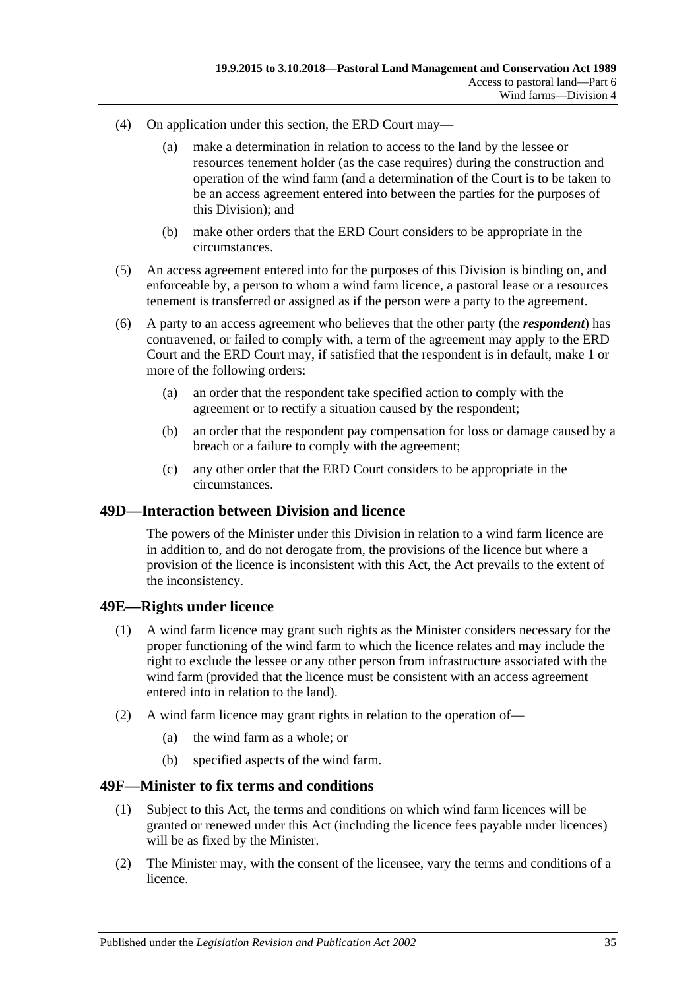- (4) On application under this section, the ERD Court may—
	- (a) make a determination in relation to access to the land by the lessee or resources tenement holder (as the case requires) during the construction and operation of the wind farm (and a determination of the Court is to be taken to be an access agreement entered into between the parties for the purposes of this Division); and
	- (b) make other orders that the ERD Court considers to be appropriate in the circumstances.
- (5) An access agreement entered into for the purposes of this Division is binding on, and enforceable by, a person to whom a wind farm licence, a pastoral lease or a resources tenement is transferred or assigned as if the person were a party to the agreement.
- (6) A party to an access agreement who believes that the other party (the *respondent*) has contravened, or failed to comply with, a term of the agreement may apply to the ERD Court and the ERD Court may, if satisfied that the respondent is in default, make 1 or more of the following orders:
	- (a) an order that the respondent take specified action to comply with the agreement or to rectify a situation caused by the respondent;
	- (b) an order that the respondent pay compensation for loss or damage caused by a breach or a failure to comply with the agreement;
	- (c) any other order that the ERD Court considers to be appropriate in the circumstances.

#### <span id="page-34-0"></span>**49D—Interaction between Division and licence**

The powers of the Minister under this Division in relation to a wind farm licence are in addition to, and do not derogate from, the provisions of the licence but where a provision of the licence is inconsistent with this Act, the Act prevails to the extent of the inconsistency.

## <span id="page-34-1"></span>**49E—Rights under licence**

- (1) A wind farm licence may grant such rights as the Minister considers necessary for the proper functioning of the wind farm to which the licence relates and may include the right to exclude the lessee or any other person from infrastructure associated with the wind farm (provided that the licence must be consistent with an access agreement entered into in relation to the land).
- (2) A wind farm licence may grant rights in relation to the operation of—
	- (a) the wind farm as a whole; or
	- (b) specified aspects of the wind farm.

## <span id="page-34-2"></span>**49F—Minister to fix terms and conditions**

- (1) Subject to this Act, the terms and conditions on which wind farm licences will be granted or renewed under this Act (including the licence fees payable under licences) will be as fixed by the Minister.
- (2) The Minister may, with the consent of the licensee, vary the terms and conditions of a licence.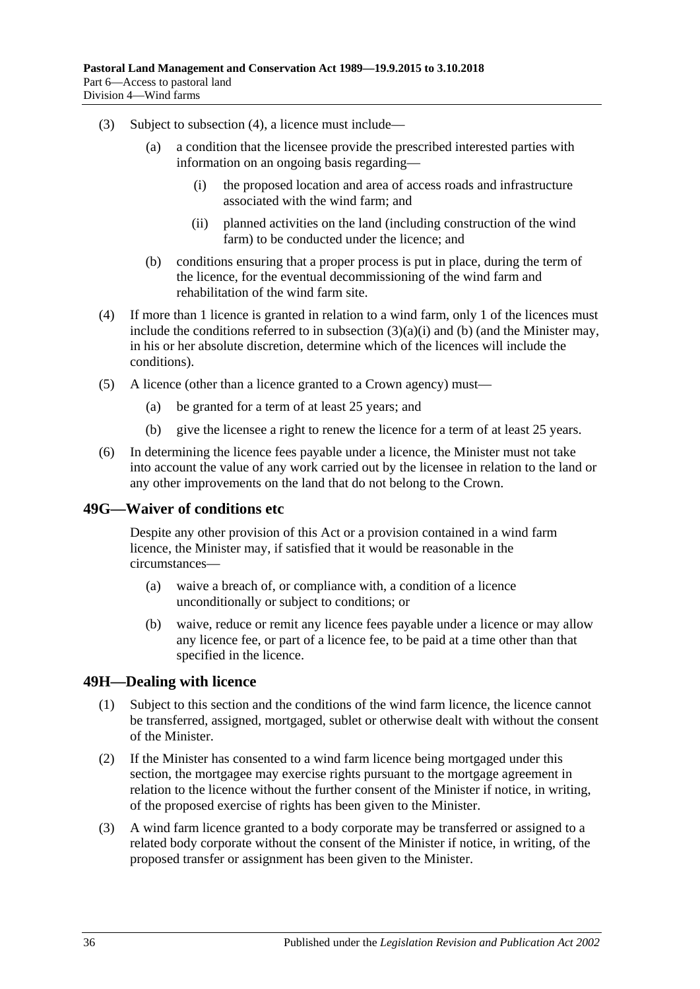- <span id="page-35-3"></span>(3) Subject to [subsection](#page-35-2) (4), a licence must include—
	- (a) a condition that the licensee provide the prescribed interested parties with information on an ongoing basis regarding—
		- (i) the proposed location and area of access roads and infrastructure associated with the wind farm; and
		- (ii) planned activities on the land (including construction of the wind farm) to be conducted under the licence; and
	- (b) conditions ensuring that a proper process is put in place, during the term of the licence, for the eventual decommissioning of the wind farm and rehabilitation of the wind farm site.
- <span id="page-35-4"></span><span id="page-35-2"></span>(4) If more than 1 licence is granted in relation to a wind farm, only 1 of the licences must include the conditions referred to in [subsection](#page-35-3)  $(3)(a)(i)$  and [\(b\)](#page-35-4) (and the Minister may, in his or her absolute discretion, determine which of the licences will include the conditions).
- (5) A licence (other than a licence granted to a Crown agency) must—
	- (a) be granted for a term of at least 25 years; and
	- (b) give the licensee a right to renew the licence for a term of at least 25 years.
- (6) In determining the licence fees payable under a licence, the Minister must not take into account the value of any work carried out by the licensee in relation to the land or any other improvements on the land that do not belong to the Crown.

## <span id="page-35-0"></span>**49G—Waiver of conditions etc**

Despite any other provision of this Act or a provision contained in a wind farm licence, the Minister may, if satisfied that it would be reasonable in the circumstances—

- (a) waive a breach of, or compliance with, a condition of a licence unconditionally or subject to conditions; or
- (b) waive, reduce or remit any licence fees payable under a licence or may allow any licence fee, or part of a licence fee, to be paid at a time other than that specified in the licence.

## <span id="page-35-1"></span>**49H—Dealing with licence**

- (1) Subject to this section and the conditions of the wind farm licence, the licence cannot be transferred, assigned, mortgaged, sublet or otherwise dealt with without the consent of the Minister.
- (2) If the Minister has consented to a wind farm licence being mortgaged under this section, the mortgagee may exercise rights pursuant to the mortgage agreement in relation to the licence without the further consent of the Minister if notice, in writing, of the proposed exercise of rights has been given to the Minister.
- (3) A wind farm licence granted to a body corporate may be transferred or assigned to a related body corporate without the consent of the Minister if notice, in writing, of the proposed transfer or assignment has been given to the Minister.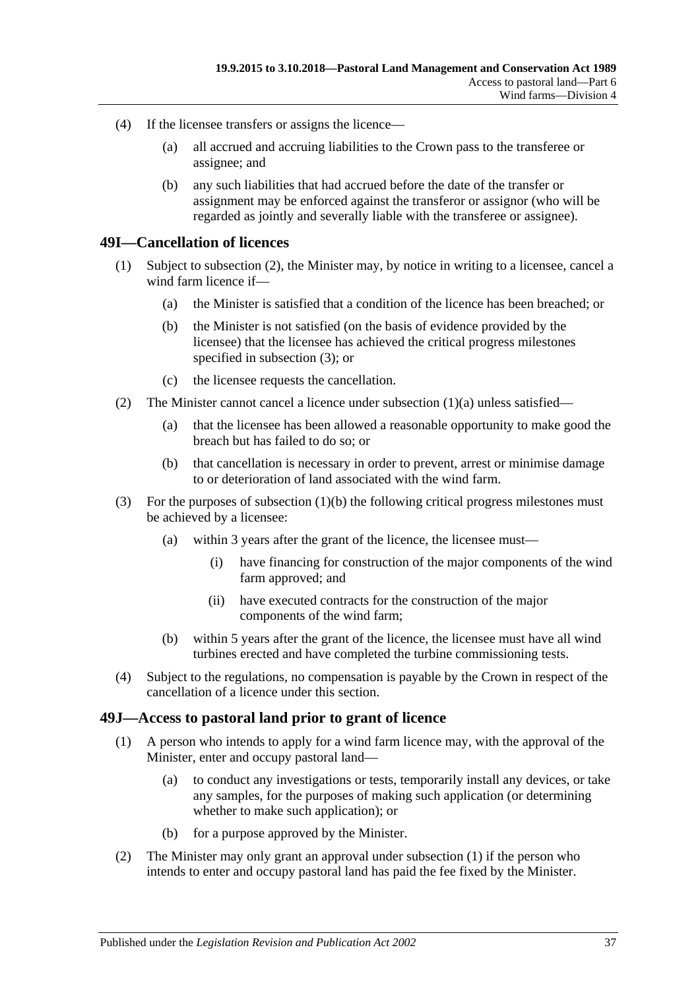- (4) If the licensee transfers or assigns the licence—
	- (a) all accrued and accruing liabilities to the Crown pass to the transferee or assignee; and
	- (b) any such liabilities that had accrued before the date of the transfer or assignment may be enforced against the transferor or assignor (who will be regarded as jointly and severally liable with the transferee or assignee).

#### <span id="page-36-0"></span>**49I—Cancellation of licences**

- <span id="page-36-5"></span><span id="page-36-4"></span>(1) Subject to [subsection](#page-36-2) (2), the Minister may, by notice in writing to a licensee, cancel a wind farm licence if—
	- (a) the Minister is satisfied that a condition of the licence has been breached; or
	- (b) the Minister is not satisfied (on the basis of evidence provided by the licensee) that the licensee has achieved the critical progress milestones specified in [subsection](#page-36-3) (3); or
	- (c) the licensee requests the cancellation.
- <span id="page-36-2"></span>(2) The Minister cannot cancel a licence under [subsection](#page-36-4)  $(1)(a)$  unless satisfied—
	- (a) that the licensee has been allowed a reasonable opportunity to make good the breach but has failed to do so; or
	- (b) that cancellation is necessary in order to prevent, arrest or minimise damage to or deterioration of land associated with the wind farm.
- <span id="page-36-3"></span>(3) For the purposes of [subsection](#page-36-5) (1)(b) the following critical progress milestones must be achieved by a licensee:
	- (a) within 3 years after the grant of the licence, the licensee must—
		- (i) have financing for construction of the major components of the wind farm approved; and
		- (ii) have executed contracts for the construction of the major components of the wind farm;
	- (b) within 5 years after the grant of the licence, the licensee must have all wind turbines erected and have completed the turbine commissioning tests.
- (4) Subject to the regulations, no compensation is payable by the Crown in respect of the cancellation of a licence under this section.

#### <span id="page-36-6"></span><span id="page-36-1"></span>**49J—Access to pastoral land prior to grant of licence**

- (1) A person who intends to apply for a wind farm licence may, with the approval of the Minister, enter and occupy pastoral land—
	- (a) to conduct any investigations or tests, temporarily install any devices, or take any samples, for the purposes of making such application (or determining whether to make such application); or
	- (b) for a purpose approved by the Minister.
- (2) The Minister may only grant an approval under [subsection](#page-36-6) (1) if the person who intends to enter and occupy pastoral land has paid the fee fixed by the Minister.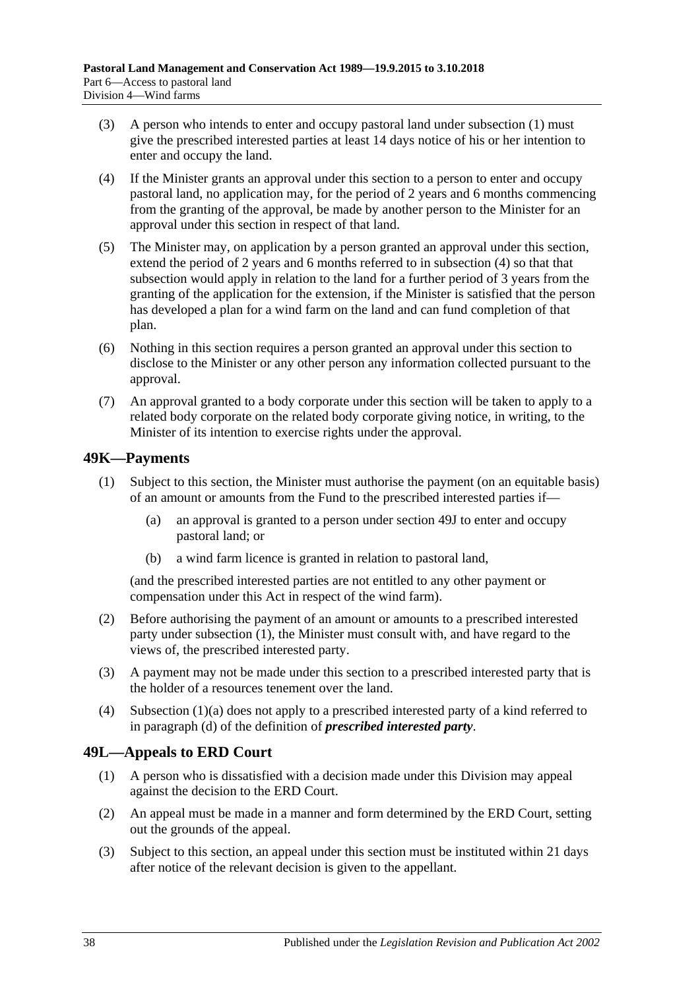- (3) A person who intends to enter and occupy pastoral land under [subsection](#page-36-6) (1) must give the prescribed interested parties at least 14 days notice of his or her intention to enter and occupy the land.
- <span id="page-37-2"></span>(4) If the Minister grants an approval under this section to a person to enter and occupy pastoral land, no application may, for the period of 2 years and 6 months commencing from the granting of the approval, be made by another person to the Minister for an approval under this section in respect of that land.
- (5) The Minister may, on application by a person granted an approval under this section, extend the period of 2 years and 6 months referred to in [subsection](#page-37-2) (4) so that that subsection would apply in relation to the land for a further period of 3 years from the granting of the application for the extension, if the Minister is satisfied that the person has developed a plan for a wind farm on the land and can fund completion of that plan.
- (6) Nothing in this section requires a person granted an approval under this section to disclose to the Minister or any other person any information collected pursuant to the approval.
- (7) An approval granted to a body corporate under this section will be taken to apply to a related body corporate on the related body corporate giving notice, in writing, to the Minister of its intention to exercise rights under the approval.

## <span id="page-37-3"></span><span id="page-37-0"></span>**49K—Payments**

- <span id="page-37-4"></span>(1) Subject to this section, the Minister must authorise the payment (on an equitable basis) of an amount or amounts from the Fund to the prescribed interested parties if—
	- (a) an approval is granted to a person under [section](#page-36-1) 49J to enter and occupy pastoral land; or
	- (b) a wind farm licence is granted in relation to pastoral land,

(and the prescribed interested parties are not entitled to any other payment or compensation under this Act in respect of the wind farm).

- (2) Before authorising the payment of an amount or amounts to a prescribed interested party under [subsection](#page-37-3) (1), the Minister must consult with, and have regard to the views of, the prescribed interested party.
- (3) A payment may not be made under this section to a prescribed interested party that is the holder of a resources tenement over the land.
- (4) [Subsection](#page-37-4) (1)(a) does not apply to a prescribed interested party of a kind referred to in [paragraph](#page-33-4) (d) of the definition of *prescribed interested party*.

## <span id="page-37-1"></span>**49L—Appeals to ERD Court**

- (1) A person who is dissatisfied with a decision made under this Division may appeal against the decision to the ERD Court.
- (2) An appeal must be made in a manner and form determined by the ERD Court, setting out the grounds of the appeal.
- <span id="page-37-5"></span>(3) Subject to this section, an appeal under this section must be instituted within 21 days after notice of the relevant decision is given to the appellant.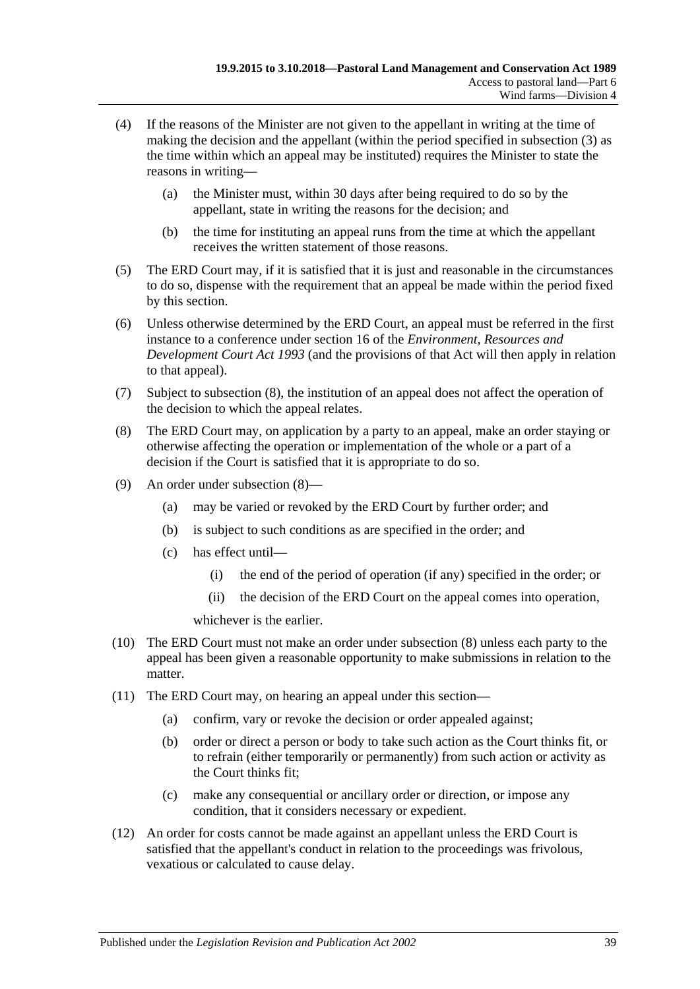- (4) If the reasons of the Minister are not given to the appellant in writing at the time of making the decision and the appellant (within the period specified in [subsection](#page-37-5) (3) as the time within which an appeal may be instituted) requires the Minister to state the reasons in writing—
	- (a) the Minister must, within 30 days after being required to do so by the appellant, state in writing the reasons for the decision; and
	- (b) the time for instituting an appeal runs from the time at which the appellant receives the written statement of those reasons.
- (5) The ERD Court may, if it is satisfied that it is just and reasonable in the circumstances to do so, dispense with the requirement that an appeal be made within the period fixed by this section.
- (6) Unless otherwise determined by the ERD Court, an appeal must be referred in the first instance to a conference under section 16 of the *[Environment, Resources and](http://www.legislation.sa.gov.au/index.aspx?action=legref&type=act&legtitle=Environment%20Resources%20and%20Development%20Court%20Act%201993)  [Development Court Act](http://www.legislation.sa.gov.au/index.aspx?action=legref&type=act&legtitle=Environment%20Resources%20and%20Development%20Court%20Act%201993) 1993* (and the provisions of that Act will then apply in relation to that appeal).
- (7) Subject to [subsection](#page-38-0) (8), the institution of an appeal does not affect the operation of the decision to which the appeal relates.
- <span id="page-38-0"></span>(8) The ERD Court may, on application by a party to an appeal, make an order staying or otherwise affecting the operation or implementation of the whole or a part of a decision if the Court is satisfied that it is appropriate to do so.
- (9) An order under [subsection](#page-38-0) (8)—
	- (a) may be varied or revoked by the ERD Court by further order; and
	- (b) is subject to such conditions as are specified in the order; and
	- (c) has effect until—
		- (i) the end of the period of operation (if any) specified in the order; or
		- (ii) the decision of the ERD Court on the appeal comes into operation,

whichever is the earlier.

- (10) The ERD Court must not make an order under [subsection](#page-38-0) (8) unless each party to the appeal has been given a reasonable opportunity to make submissions in relation to the matter.
- (11) The ERD Court may, on hearing an appeal under this section—
	- (a) confirm, vary or revoke the decision or order appealed against;
	- (b) order or direct a person or body to take such action as the Court thinks fit, or to refrain (either temporarily or permanently) from such action or activity as the Court thinks fit;
	- (c) make any consequential or ancillary order or direction, or impose any condition, that it considers necessary or expedient.
- (12) An order for costs cannot be made against an appellant unless the ERD Court is satisfied that the appellant's conduct in relation to the proceedings was frivolous, vexatious or calculated to cause delay.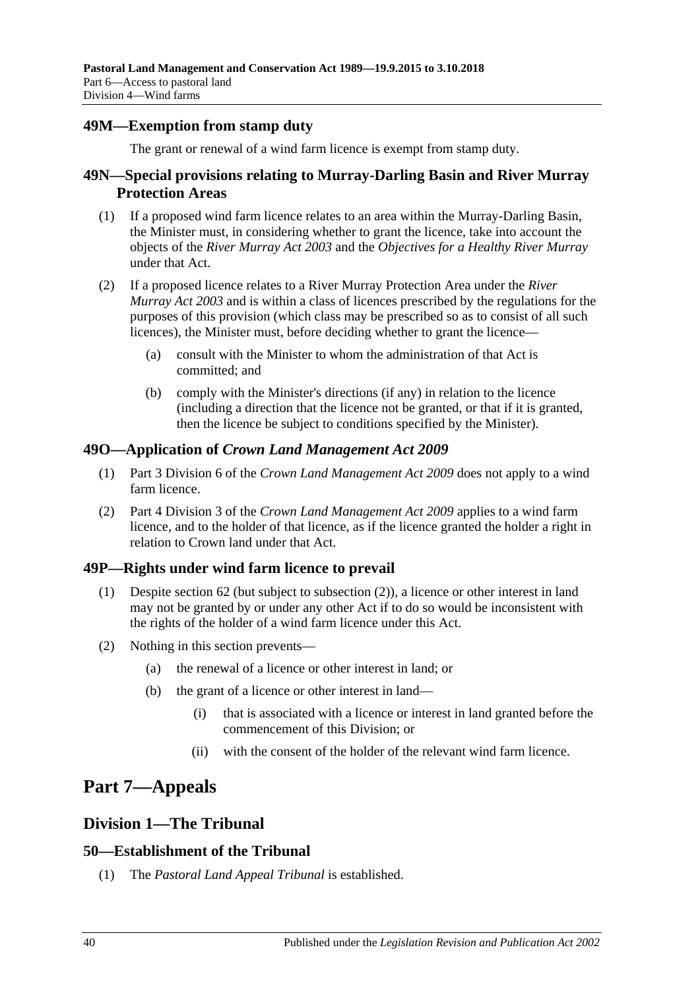## <span id="page-39-0"></span>**49M—Exemption from stamp duty**

The grant or renewal of a wind farm licence is exempt from stamp duty.

## <span id="page-39-1"></span>**49N—Special provisions relating to Murray-Darling Basin and River Murray Protection Areas**

- (1) If a proposed wind farm licence relates to an area within the Murray-Darling Basin, the Minister must, in considering whether to grant the licence, take into account the objects of the *[River Murray Act](http://www.legislation.sa.gov.au/index.aspx?action=legref&type=act&legtitle=River%20Murray%20Act%202003) 2003* and the *Objectives for a Healthy River Murray* under that Act.
- (2) If a proposed licence relates to a River Murray Protection Area under the *[River](http://www.legislation.sa.gov.au/index.aspx?action=legref&type=act&legtitle=River%20Murray%20Act%202003)  [Murray Act](http://www.legislation.sa.gov.au/index.aspx?action=legref&type=act&legtitle=River%20Murray%20Act%202003) 2003* and is within a class of licences prescribed by the regulations for the purposes of this provision (which class may be prescribed so as to consist of all such licences), the Minister must, before deciding whether to grant the licence—
	- (a) consult with the Minister to whom the administration of that Act is committed; and
	- (b) comply with the Minister's directions (if any) in relation to the licence (including a direction that the licence not be granted, or that if it is granted, then the licence be subject to conditions specified by the Minister).

## <span id="page-39-2"></span>**49O—Application of** *Crown Land Management Act 2009*

- (1) Part 3 Division 6 of the *[Crown Land Management Act](http://www.legislation.sa.gov.au/index.aspx?action=legref&type=act&legtitle=Crown%20Land%20Management%20Act%202009) 2009* does not apply to a wind farm licence.
- (2) Part 4 Division 3 of the *[Crown Land Management Act](http://www.legislation.sa.gov.au/index.aspx?action=legref&type=act&legtitle=Crown%20Land%20Management%20Act%202009) 2009* applies to a wind farm licence, and to the holder of that licence, as if the licence granted the holder a right in relation to Crown land under that Act.

## <span id="page-39-3"></span>**49P—Rights under wind farm licence to prevail**

- (1) Despite [section](#page-45-1) 62 (but subject to [subsection](#page-39-7) (2)), a licence or other interest in land may not be granted by or under any other Act if to do so would be inconsistent with the rights of the holder of a wind farm licence under this Act.
- <span id="page-39-7"></span>(2) Nothing in this section prevents—
	- (a) the renewal of a licence or other interest in land; or
	- (b) the grant of a licence or other interest in land—
		- (i) that is associated with a licence or interest in land granted before the commencement of this Division; or
		- (ii) with the consent of the holder of the relevant wind farm licence.

# <span id="page-39-4"></span>**Part 7—Appeals**

## <span id="page-39-5"></span>**Division 1—The Tribunal**

## <span id="page-39-6"></span>**50—Establishment of the Tribunal**

(1) The *Pastoral Land Appeal Tribunal* is established.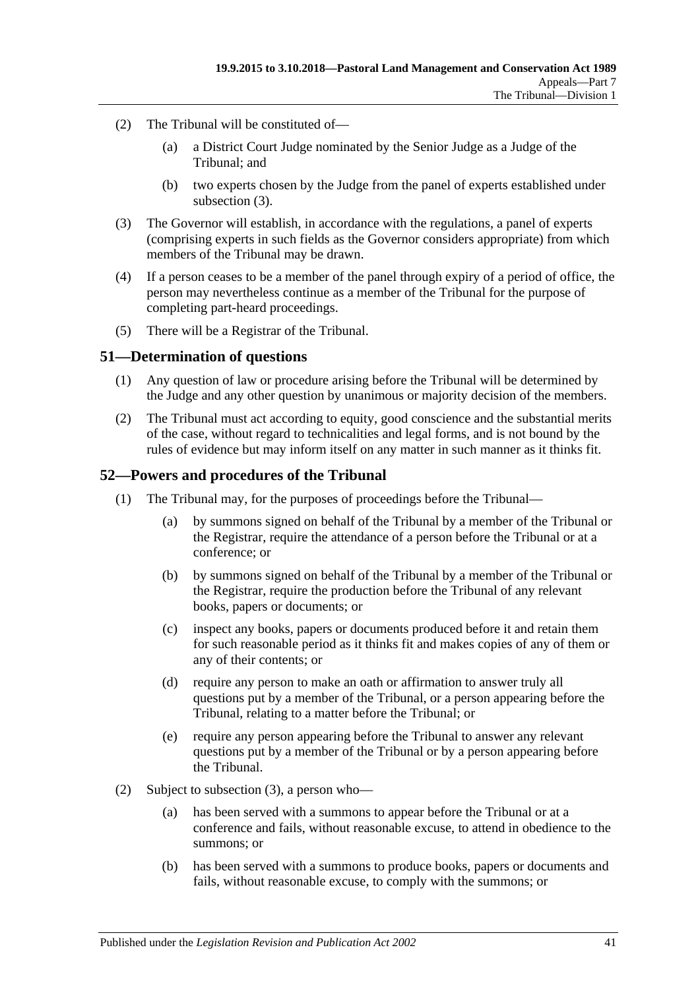- (2) The Tribunal will be constituted of—
	- (a) a District Court Judge nominated by the Senior Judge as a Judge of the Tribunal; and
	- (b) two experts chosen by the Judge from the panel of experts established under [subsection](#page-40-2)  $(3)$ .
- <span id="page-40-2"></span>(3) The Governor will establish, in accordance with the regulations, a panel of experts (comprising experts in such fields as the Governor considers appropriate) from which members of the Tribunal may be drawn.
- (4) If a person ceases to be a member of the panel through expiry of a period of office, the person may nevertheless continue as a member of the Tribunal for the purpose of completing part-heard proceedings.
- (5) There will be a Registrar of the Tribunal.

#### <span id="page-40-0"></span>**51—Determination of questions**

- (1) Any question of law or procedure arising before the Tribunal will be determined by the Judge and any other question by unanimous or majority decision of the members.
- (2) The Tribunal must act according to equity, good conscience and the substantial merits of the case, without regard to technicalities and legal forms, and is not bound by the rules of evidence but may inform itself on any matter in such manner as it thinks fit.

## <span id="page-40-1"></span>**52—Powers and procedures of the Tribunal**

- (1) The Tribunal may, for the purposes of proceedings before the Tribunal—
	- (a) by summons signed on behalf of the Tribunal by a member of the Tribunal or the Registrar, require the attendance of a person before the Tribunal or at a conference; or
	- (b) by summons signed on behalf of the Tribunal by a member of the Tribunal or the Registrar, require the production before the Tribunal of any relevant books, papers or documents; or
	- (c) inspect any books, papers or documents produced before it and retain them for such reasonable period as it thinks fit and makes copies of any of them or any of their contents; or
	- (d) require any person to make an oath or affirmation to answer truly all questions put by a member of the Tribunal, or a person appearing before the Tribunal, relating to a matter before the Tribunal; or
	- (e) require any person appearing before the Tribunal to answer any relevant questions put by a member of the Tribunal or by a person appearing before the Tribunal.
- (2) Subject to [subsection](#page-41-1) (3), a person who—
	- (a) has been served with a summons to appear before the Tribunal or at a conference and fails, without reasonable excuse, to attend in obedience to the summons; or
	- (b) has been served with a summons to produce books, papers or documents and fails, without reasonable excuse, to comply with the summons; or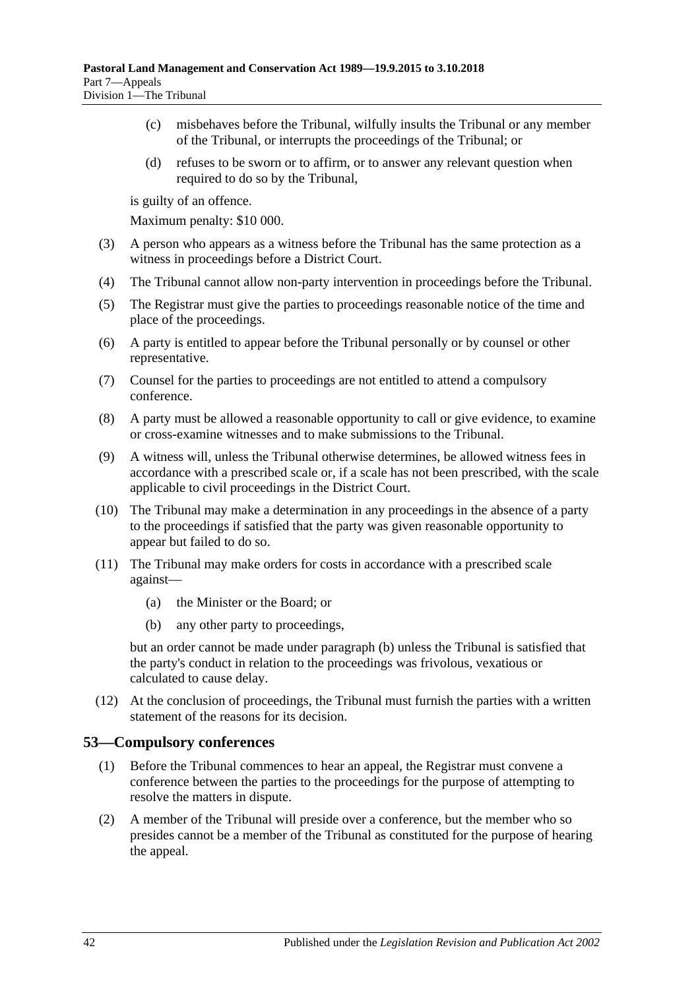- (c) misbehaves before the Tribunal, wilfully insults the Tribunal or any member of the Tribunal, or interrupts the proceedings of the Tribunal; or
- (d) refuses to be sworn or to affirm, or to answer any relevant question when required to do so by the Tribunal,

is guilty of an offence.

Maximum penalty: \$10 000.

- <span id="page-41-1"></span>(3) A person who appears as a witness before the Tribunal has the same protection as a witness in proceedings before a District Court.
- (4) The Tribunal cannot allow non-party intervention in proceedings before the Tribunal.
- (5) The Registrar must give the parties to proceedings reasonable notice of the time and place of the proceedings.
- (6) A party is entitled to appear before the Tribunal personally or by counsel or other representative.
- (7) Counsel for the parties to proceedings are not entitled to attend a compulsory conference.
- (8) A party must be allowed a reasonable opportunity to call or give evidence, to examine or cross-examine witnesses and to make submissions to the Tribunal.
- (9) A witness will, unless the Tribunal otherwise determines, be allowed witness fees in accordance with a prescribed scale or, if a scale has not been prescribed, with the scale applicable to civil proceedings in the District Court.
- (10) The Tribunal may make a determination in any proceedings in the absence of a party to the proceedings if satisfied that the party was given reasonable opportunity to appear but failed to do so.
- <span id="page-41-2"></span>(11) The Tribunal may make orders for costs in accordance with a prescribed scale against—
	- (a) the Minister or the Board; or
	- (b) any other party to proceedings,

but an order cannot be made under [paragraph](#page-41-2) (b) unless the Tribunal is satisfied that the party's conduct in relation to the proceedings was frivolous, vexatious or calculated to cause delay.

(12) At the conclusion of proceedings, the Tribunal must furnish the parties with a written statement of the reasons for its decision.

## <span id="page-41-0"></span>**53—Compulsory conferences**

- (1) Before the Tribunal commences to hear an appeal, the Registrar must convene a conference between the parties to the proceedings for the purpose of attempting to resolve the matters in dispute.
- (2) A member of the Tribunal will preside over a conference, but the member who so presides cannot be a member of the Tribunal as constituted for the purpose of hearing the appeal.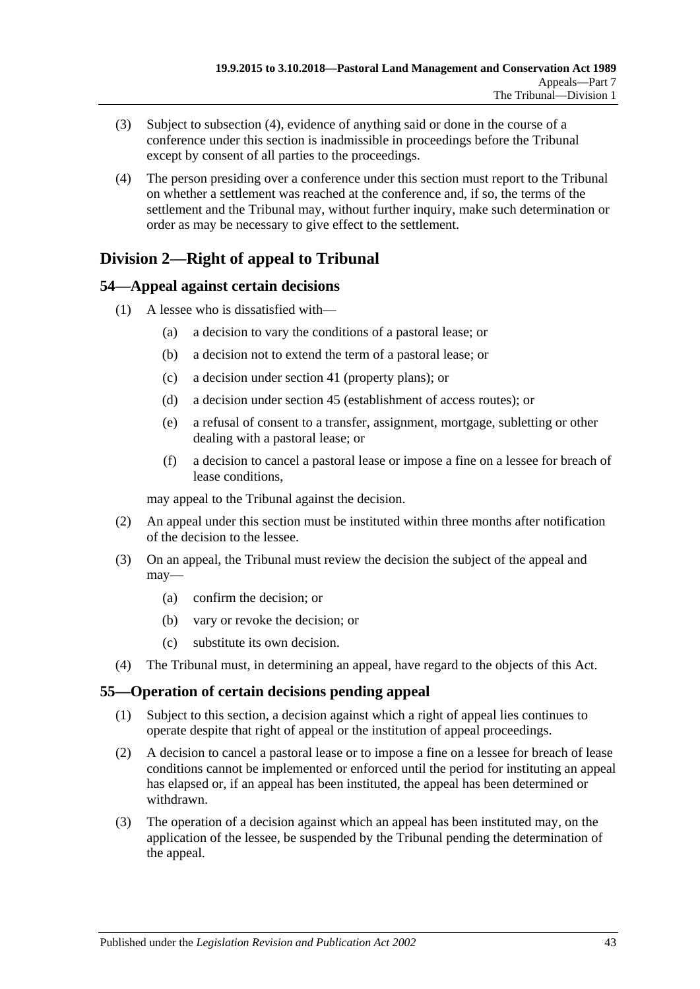- (3) Subject to [subsection](#page-42-3) (4), evidence of anything said or done in the course of a conference under this section is inadmissible in proceedings before the Tribunal except by consent of all parties to the proceedings.
- <span id="page-42-3"></span>(4) The person presiding over a conference under this section must report to the Tribunal on whether a settlement was reached at the conference and, if so, the terms of the settlement and the Tribunal may, without further inquiry, make such determination or order as may be necessary to give effect to the settlement.

## <span id="page-42-0"></span>**Division 2—Right of appeal to Tribunal**

## <span id="page-42-1"></span>**54—Appeal against certain decisions**

- (1) A lessee who is dissatisfied with—
	- (a) a decision to vary the conditions of a pastoral lease; or
	- (b) a decision not to extend the term of a pastoral lease; or
	- (c) a decision under [section](#page-22-4) 41 (property plans); or
	- (d) a decision under [section](#page-25-3) 45 (establishment of access routes); or
	- (e) a refusal of consent to a transfer, assignment, mortgage, subletting or other dealing with a pastoral lease; or
	- (f) a decision to cancel a pastoral lease or impose a fine on a lessee for breach of lease conditions,

may appeal to the Tribunal against the decision.

- (2) An appeal under this section must be instituted within three months after notification of the decision to the lessee.
- (3) On an appeal, the Tribunal must review the decision the subject of the appeal and may—
	- (a) confirm the decision; or
	- (b) vary or revoke the decision; or
	- (c) substitute its own decision.
- (4) The Tribunal must, in determining an appeal, have regard to the objects of this Act.

## <span id="page-42-2"></span>**55—Operation of certain decisions pending appeal**

- (1) Subject to this section, a decision against which a right of appeal lies continues to operate despite that right of appeal or the institution of appeal proceedings.
- (2) A decision to cancel a pastoral lease or to impose a fine on a lessee for breach of lease conditions cannot be implemented or enforced until the period for instituting an appeal has elapsed or, if an appeal has been instituted, the appeal has been determined or withdrawn.
- (3) The operation of a decision against which an appeal has been instituted may, on the application of the lessee, be suspended by the Tribunal pending the determination of the appeal.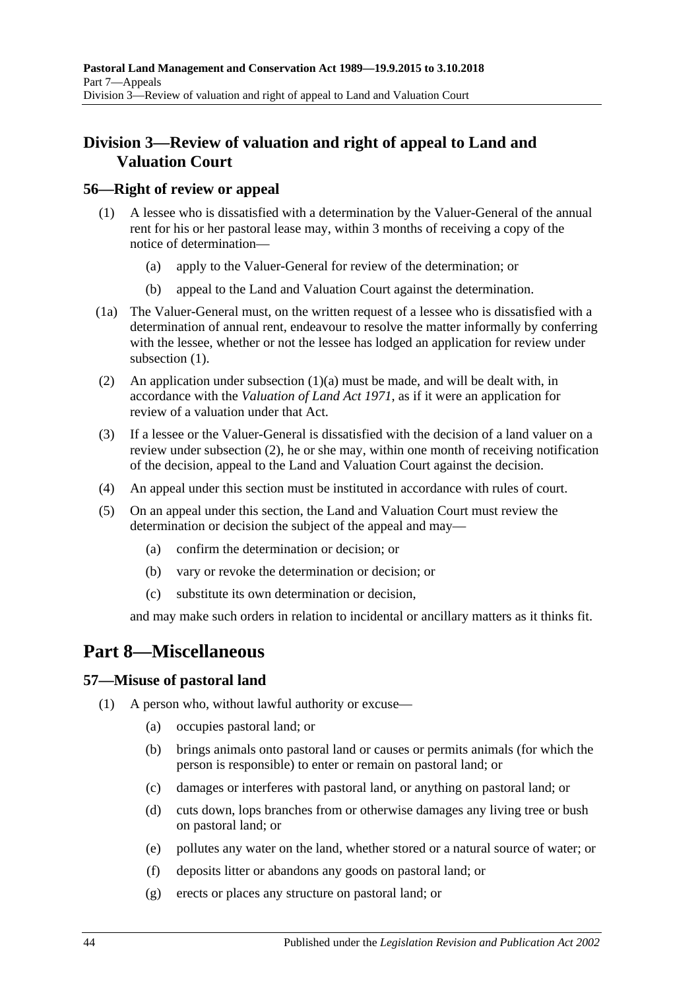## <span id="page-43-0"></span>**Division 3—Review of valuation and right of appeal to Land and Valuation Court**

## <span id="page-43-4"></span><span id="page-43-1"></span>**56—Right of review or appeal**

- <span id="page-43-5"></span>(1) A lessee who is dissatisfied with a determination by the Valuer-General of the annual rent for his or her pastoral lease may, within 3 months of receiving a copy of the notice of determination—
	- (a) apply to the Valuer-General for review of the determination; or
	- (b) appeal to the Land and Valuation Court against the determination.
- (1a) The Valuer-General must, on the written request of a lessee who is dissatisfied with a determination of annual rent, endeavour to resolve the matter informally by conferring with the lessee, whether or not the lessee has lodged an application for review under [subsection](#page-43-4)  $(1)$ .
- <span id="page-43-6"></span>(2) An application under [subsection](#page-43-5) (1)(a) must be made, and will be dealt with, in accordance with the *[Valuation of Land Act](http://www.legislation.sa.gov.au/index.aspx?action=legref&type=act&legtitle=Valuation%20of%20Land%20Act%201971) 1971*, as if it were an application for review of a valuation under that Act.
- (3) If a lessee or the Valuer-General is dissatisfied with the decision of a land valuer on a review under [subsection](#page-43-6) (2), he or she may, within one month of receiving notification of the decision, appeal to the Land and Valuation Court against the decision.
- (4) An appeal under this section must be instituted in accordance with rules of court.
- (5) On an appeal under this section, the Land and Valuation Court must review the determination or decision the subject of the appeal and may—
	- (a) confirm the determination or decision; or
	- (b) vary or revoke the determination or decision; or
	- (c) substitute its own determination or decision,

and may make such orders in relation to incidental or ancillary matters as it thinks fit.

## <span id="page-43-2"></span>**Part 8—Miscellaneous**

## <span id="page-43-7"></span><span id="page-43-3"></span>**57—Misuse of pastoral land**

- (1) A person who, without lawful authority or excuse—
	- (a) occupies pastoral land; or
	- (b) brings animals onto pastoral land or causes or permits animals (for which the person is responsible) to enter or remain on pastoral land; or
	- (c) damages or interferes with pastoral land, or anything on pastoral land; or
	- (d) cuts down, lops branches from or otherwise damages any living tree or bush on pastoral land; or
	- (e) pollutes any water on the land, whether stored or a natural source of water; or
	- (f) deposits litter or abandons any goods on pastoral land; or
	- (g) erects or places any structure on pastoral land; or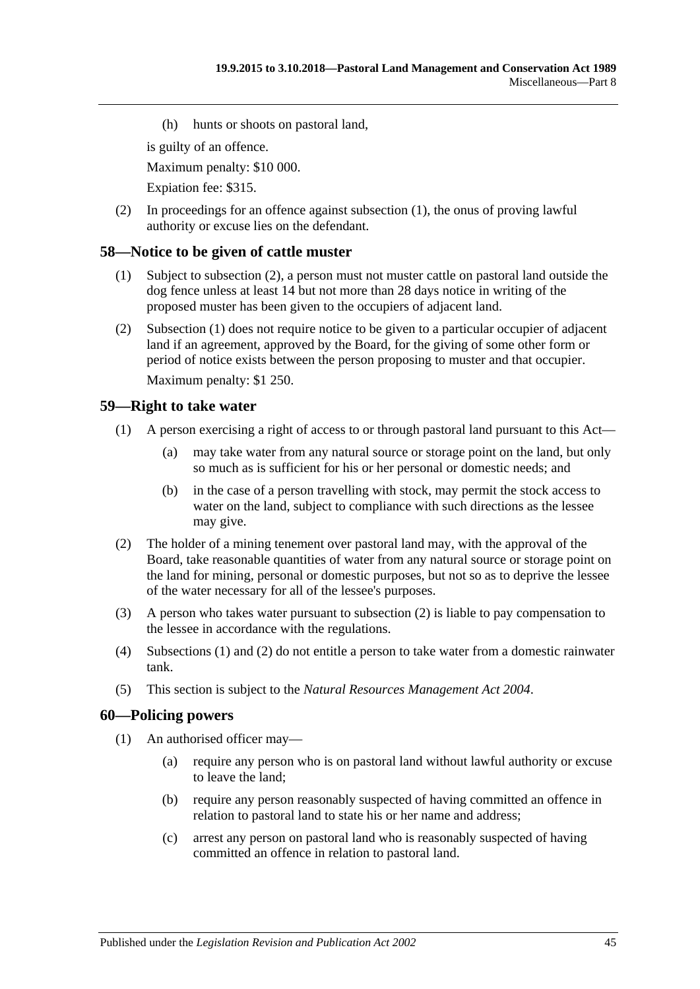(h) hunts or shoots on pastoral land,

is guilty of an offence.

Maximum penalty: \$10 000.

Expiation fee: \$315.

(2) In proceedings for an offence against [subsection](#page-43-7) (1), the onus of proving lawful authority or excuse lies on the defendant.

#### <span id="page-44-4"></span><span id="page-44-0"></span>**58—Notice to be given of cattle muster**

- (1) Subject to [subsection](#page-44-3) (2), a person must not muster cattle on pastoral land outside the dog fence unless at least 14 but not more than 28 days notice in writing of the proposed muster has been given to the occupiers of adjacent land.
- <span id="page-44-3"></span>(2) [Subsection](#page-44-4) (1) does not require notice to be given to a particular occupier of adjacent land if an agreement, approved by the Board, for the giving of some other form or period of notice exists between the person proposing to muster and that occupier.

Maximum penalty: \$1 250.

#### <span id="page-44-6"></span><span id="page-44-1"></span>**59—Right to take water**

- (1) A person exercising a right of access to or through pastoral land pursuant to this Act—
	- (a) may take water from any natural source or storage point on the land, but only so much as is sufficient for his or her personal or domestic needs; and
	- (b) in the case of a person travelling with stock, may permit the stock access to water on the land, subject to compliance with such directions as the lessee may give.
- <span id="page-44-5"></span>(2) The holder of a mining tenement over pastoral land may, with the approval of the Board, take reasonable quantities of water from any natural source or storage point on the land for mining, personal or domestic purposes, but not so as to deprive the lessee of the water necessary for all of the lessee's purposes.
- (3) A person who takes water pursuant to [subsection](#page-44-5) (2) is liable to pay compensation to the lessee in accordance with the regulations.
- (4) [Subsections](#page-44-6) (1) and [\(2\)](#page-44-5) do not entitle a person to take water from a domestic rainwater tank.
- (5) This section is subject to the *[Natural Resources Management Act](http://www.legislation.sa.gov.au/index.aspx?action=legref&type=act&legtitle=Natural%20Resources%20Management%20Act%202004) 2004*.

#### <span id="page-44-7"></span><span id="page-44-2"></span>**60—Policing powers**

- (1) An authorised officer may—
	- (a) require any person who is on pastoral land without lawful authority or excuse to leave the land;
	- (b) require any person reasonably suspected of having committed an offence in relation to pastoral land to state his or her name and address;
	- (c) arrest any person on pastoral land who is reasonably suspected of having committed an offence in relation to pastoral land.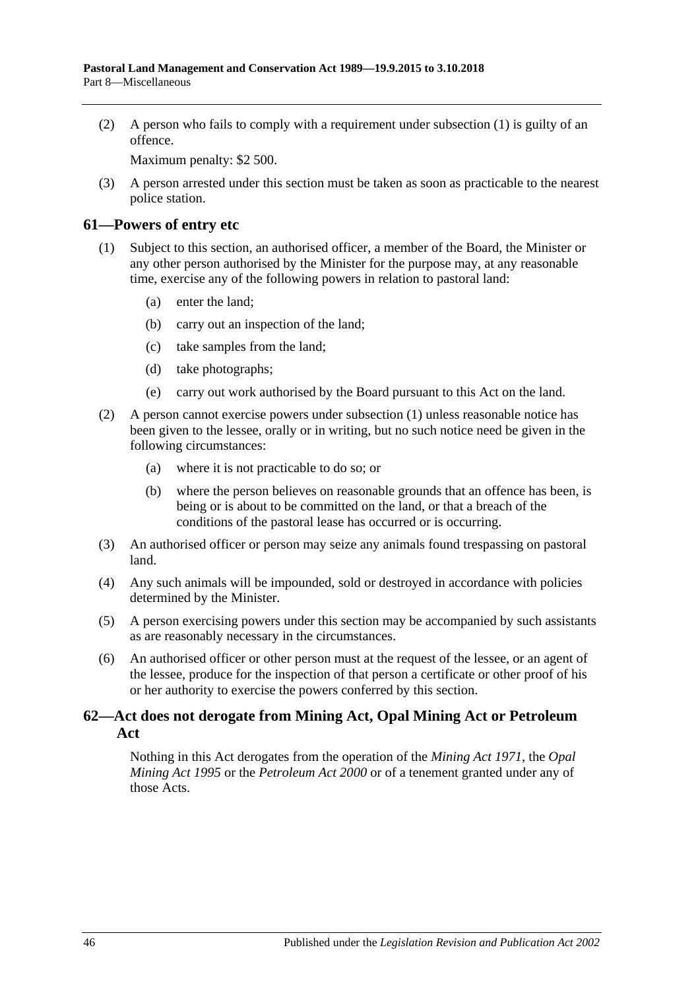(2) A person who fails to comply with a requirement under [subsection](#page-44-7) (1) is guilty of an offence.

Maximum penalty: \$2 500.

(3) A person arrested under this section must be taken as soon as practicable to the nearest police station.

### <span id="page-45-2"></span><span id="page-45-0"></span>**61—Powers of entry etc**

- (1) Subject to this section, an authorised officer, a member of the Board, the Minister or any other person authorised by the Minister for the purpose may, at any reasonable time, exercise any of the following powers in relation to pastoral land:
	- (a) enter the land;
	- (b) carry out an inspection of the land;
	- (c) take samples from the land;
	- (d) take photographs;
	- (e) carry out work authorised by the Board pursuant to this Act on the land.
- (2) A person cannot exercise powers under [subsection](#page-45-2) (1) unless reasonable notice has been given to the lessee, orally or in writing, but no such notice need be given in the following circumstances:
	- (a) where it is not practicable to do so; or
	- (b) where the person believes on reasonable grounds that an offence has been, is being or is about to be committed on the land, or that a breach of the conditions of the pastoral lease has occurred or is occurring.
- (3) An authorised officer or person may seize any animals found trespassing on pastoral land.
- (4) Any such animals will be impounded, sold or destroyed in accordance with policies determined by the Minister.
- (5) A person exercising powers under this section may be accompanied by such assistants as are reasonably necessary in the circumstances.
- (6) An authorised officer or other person must at the request of the lessee, or an agent of the lessee, produce for the inspection of that person a certificate or other proof of his or her authority to exercise the powers conferred by this section.

## <span id="page-45-1"></span>**62—Act does not derogate from Mining Act, Opal Mining Act or Petroleum Act**

Nothing in this Act derogates from the operation of the *[Mining Act](http://www.legislation.sa.gov.au/index.aspx?action=legref&type=act&legtitle=Mining%20Act%201971) 1971*, the *[Opal](http://www.legislation.sa.gov.au/index.aspx?action=legref&type=act&legtitle=Opal%20Mining%20Act%201995)  [Mining Act](http://www.legislation.sa.gov.au/index.aspx?action=legref&type=act&legtitle=Opal%20Mining%20Act%201995) 1995* or the *[Petroleum Act](http://www.legislation.sa.gov.au/index.aspx?action=legref&type=act&legtitle=Petroleum%20Act%202000) 2000* or of a tenement granted under any of those Acts.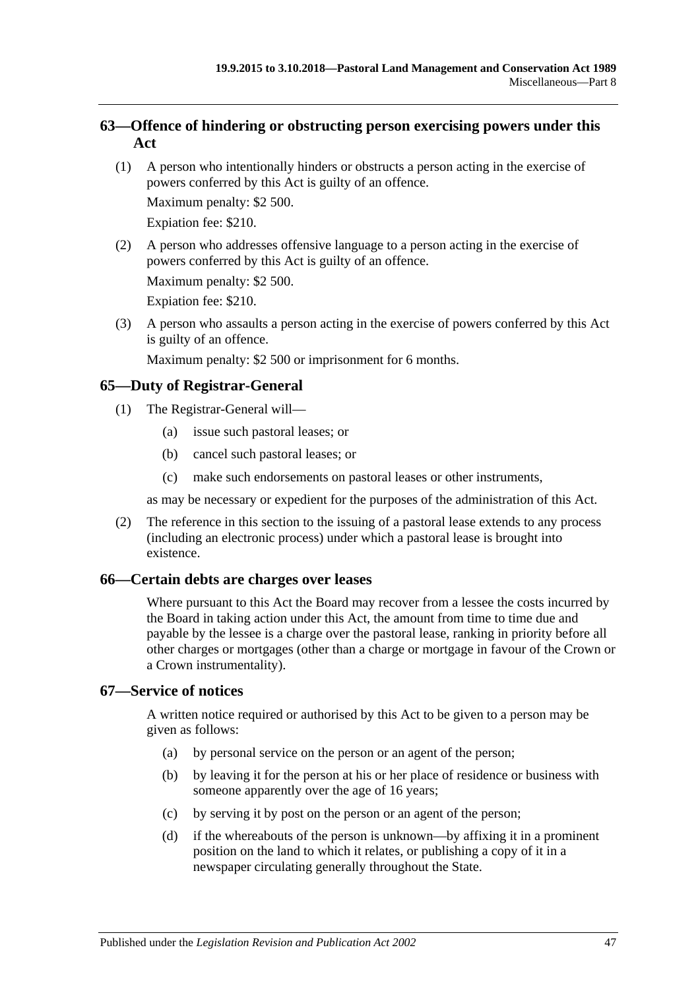## <span id="page-46-0"></span>**63—Offence of hindering or obstructing person exercising powers under this Act**

(1) A person who intentionally hinders or obstructs a person acting in the exercise of powers conferred by this Act is guilty of an offence.

Maximum penalty: \$2 500.

Expiation fee: \$210.

(2) A person who addresses offensive language to a person acting in the exercise of powers conferred by this Act is guilty of an offence.

Maximum penalty: \$2 500.

Expiation fee: \$210.

(3) A person who assaults a person acting in the exercise of powers conferred by this Act is guilty of an offence.

Maximum penalty: \$2 500 or imprisonment for 6 months.

## <span id="page-46-1"></span>**65—Duty of Registrar-General**

- (1) The Registrar-General will—
	- (a) issue such pastoral leases; or
	- (b) cancel such pastoral leases; or
	- (c) make such endorsements on pastoral leases or other instruments,

as may be necessary or expedient for the purposes of the administration of this Act.

(2) The reference in this section to the issuing of a pastoral lease extends to any process (including an electronic process) under which a pastoral lease is brought into existence.

## <span id="page-46-2"></span>**66—Certain debts are charges over leases**

Where pursuant to this Act the Board may recover from a lessee the costs incurred by the Board in taking action under this Act, the amount from time to time due and payable by the lessee is a charge over the pastoral lease, ranking in priority before all other charges or mortgages (other than a charge or mortgage in favour of the Crown or a Crown instrumentality).

## <span id="page-46-3"></span>**67—Service of notices**

A written notice required or authorised by this Act to be given to a person may be given as follows:

- (a) by personal service on the person or an agent of the person;
- (b) by leaving it for the person at his or her place of residence or business with someone apparently over the age of 16 years;
- (c) by serving it by post on the person or an agent of the person;
- (d) if the whereabouts of the person is unknown—by affixing it in a prominent position on the land to which it relates, or publishing a copy of it in a newspaper circulating generally throughout the State.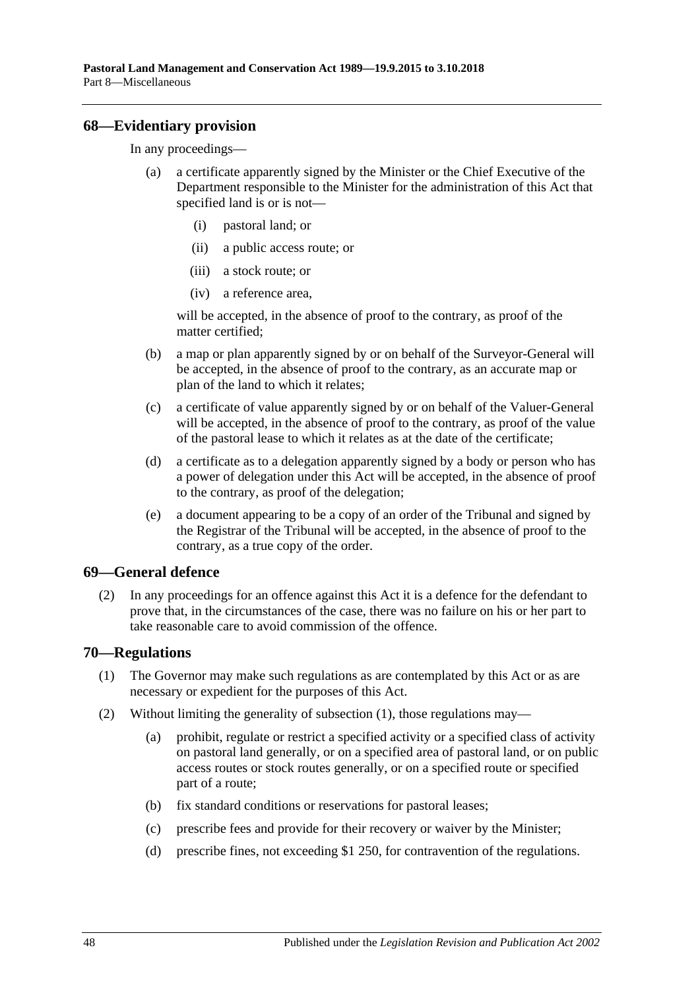#### <span id="page-47-0"></span>**68—Evidentiary provision**

In any proceedings—

- a certificate apparently signed by the Minister or the Chief Executive of the Department responsible to the Minister for the administration of this Act that specified land is or is not—
	- (i) pastoral land; or
	- (ii) a public access route; or
	- (iii) a stock route; or
	- (iv) a reference area,

will be accepted, in the absence of proof to the contrary, as proof of the matter certified;

- (b) a map or plan apparently signed by or on behalf of the Surveyor-General will be accepted, in the absence of proof to the contrary, as an accurate map or plan of the land to which it relates;
- (c) a certificate of value apparently signed by or on behalf of the Valuer-General will be accepted, in the absence of proof to the contrary, as proof of the value of the pastoral lease to which it relates as at the date of the certificate;
- (d) a certificate as to a delegation apparently signed by a body or person who has a power of delegation under this Act will be accepted, in the absence of proof to the contrary, as proof of the delegation;
- (e) a document appearing to be a copy of an order of the Tribunal and signed by the Registrar of the Tribunal will be accepted, in the absence of proof to the contrary, as a true copy of the order.

#### <span id="page-47-1"></span>**69—General defence**

(2) In any proceedings for an offence against this Act it is a defence for the defendant to prove that, in the circumstances of the case, there was no failure on his or her part to take reasonable care to avoid commission of the offence.

#### <span id="page-47-3"></span><span id="page-47-2"></span>**70—Regulations**

- (1) The Governor may make such regulations as are contemplated by this Act or as are necessary or expedient for the purposes of this Act.
- (2) Without limiting the generality of [subsection](#page-47-3) (1), those regulations may—
	- (a) prohibit, regulate or restrict a specified activity or a specified class of activity on pastoral land generally, or on a specified area of pastoral land, or on public access routes or stock routes generally, or on a specified route or specified part of a route;
	- (b) fix standard conditions or reservations for pastoral leases;
	- (c) prescribe fees and provide for their recovery or waiver by the Minister;
	- (d) prescribe fines, not exceeding \$1 250, for contravention of the regulations.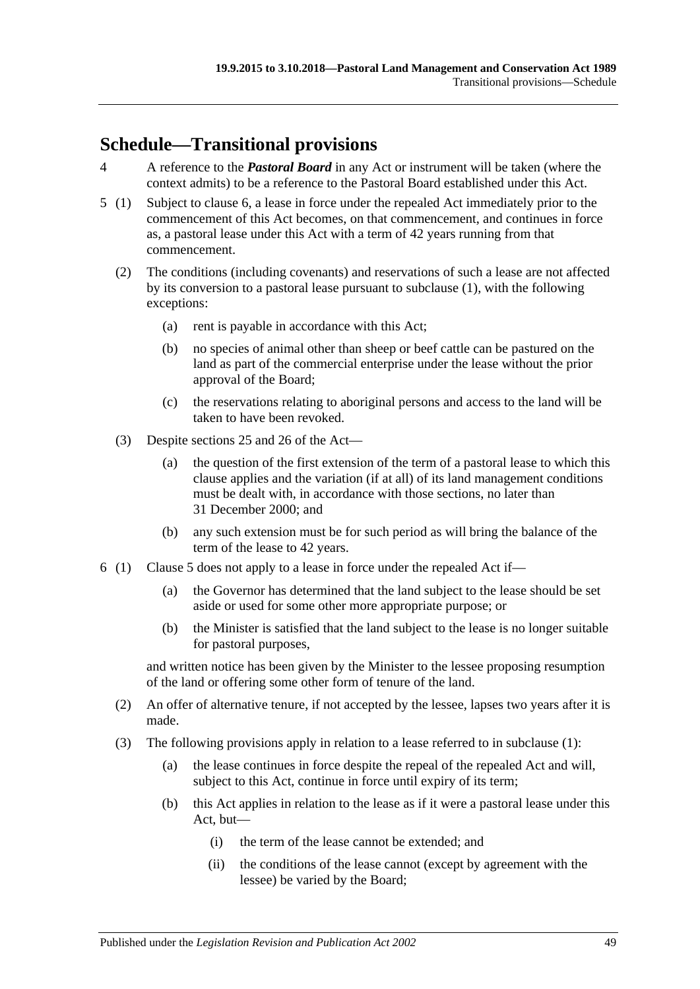# <span id="page-48-0"></span>**Schedule—Transitional provisions**

- 4 A reference to the *Pastoral Board* in any Act or instrument will be taken (where the context admits) to be a reference to the Pastoral Board established under this Act.
- <span id="page-48-2"></span>5 (1) Subject to [clause](#page-48-1) 6, a lease in force under the repealed Act immediately prior to the commencement of this Act becomes, on that commencement, and continues in force as, a pastoral lease under this Act with a term of 42 years running from that commencement.
	- (2) The conditions (including covenants) and reservations of such a lease are not affected by its conversion to a pastoral lease pursuant to subclause (1), with the following exceptions:
		- (a) rent is payable in accordance with this Act;
		- (b) no species of animal other than sheep or beef cattle can be pastured on the land as part of the commercial enterprise under the lease without the prior approval of the Board;
		- (c) the reservations relating to aboriginal persons and access to the land will be taken to have been revoked.
	- (3) Despite [sections](#page-15-1) 25 and [26](#page-17-0) of the Act—
		- (a) the question of the first extension of the term of a pastoral lease to which this clause applies and the variation (if at all) of its land management conditions must be dealt with, in accordance with those sections, no later than 31 December 2000; and
		- (b) any such extension must be for such period as will bring the balance of the term of the lease to 42 years.
- <span id="page-48-1"></span>6 (1) [Clause](#page-48-2) 5 does not apply to a lease in force under the repealed Act if—
	- (a) the Governor has determined that the land subject to the lease should be set aside or used for some other more appropriate purpose; or
	- (b) the Minister is satisfied that the land subject to the lease is no longer suitable for pastoral purposes,

and written notice has been given by the Minister to the lessee proposing resumption of the land or offering some other form of tenure of the land.

- (2) An offer of alternative tenure, if not accepted by the lessee, lapses two years after it is made.
- (3) The following provisions apply in relation to a lease referred to in subclause (1):
	- (a) the lease continues in force despite the repeal of the repealed Act and will, subject to this Act, continue in force until expiry of its term;
	- (b) this Act applies in relation to the lease as if it were a pastoral lease under this Act, but—
		- (i) the term of the lease cannot be extended; and
		- (ii) the conditions of the lease cannot (except by agreement with the lessee) be varied by the Board;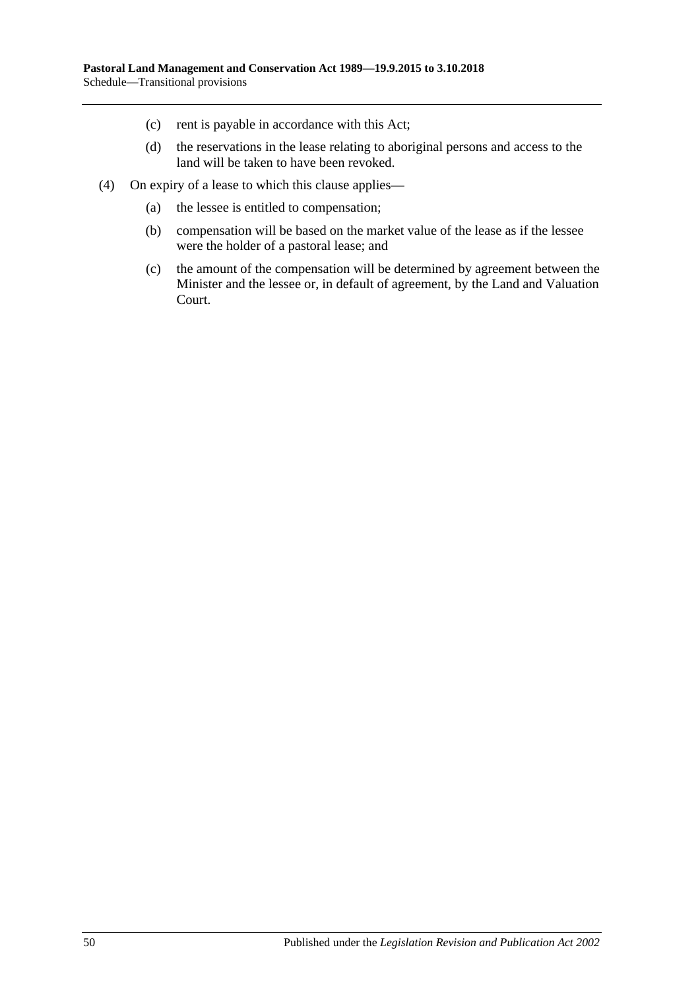- (c) rent is payable in accordance with this Act;
- (d) the reservations in the lease relating to aboriginal persons and access to the land will be taken to have been revoked.
- (4) On expiry of a lease to which this clause applies—
	- (a) the lessee is entitled to compensation;
	- (b) compensation will be based on the market value of the lease as if the lessee were the holder of a pastoral lease; and
	- (c) the amount of the compensation will be determined by agreement between the Minister and the lessee or, in default of agreement, by the Land and Valuation Court.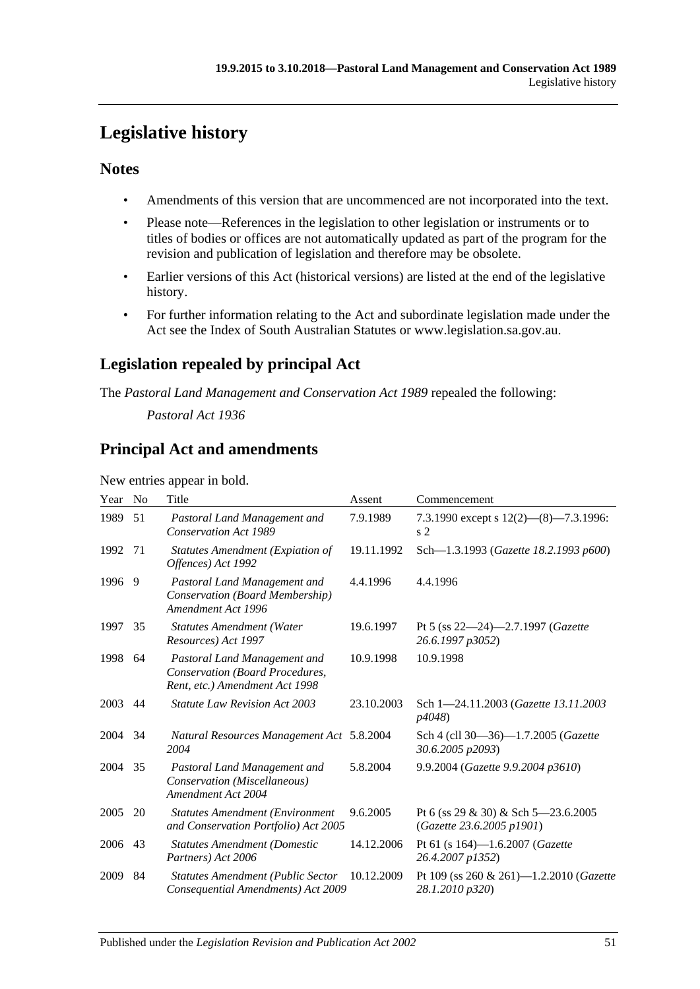# <span id="page-50-0"></span>**Legislative history**

## **Notes**

- Amendments of this version that are uncommenced are not incorporated into the text.
- Please note—References in the legislation to other legislation or instruments or to titles of bodies or offices are not automatically updated as part of the program for the revision and publication of legislation and therefore may be obsolete.
- Earlier versions of this Act (historical versions) are listed at the end of the legislative history.
- For further information relating to the Act and subordinate legislation made under the Act see the Index of South Australian Statutes or www.legislation.sa.gov.au.

## **Legislation repealed by principal Act**

The *Pastoral Land Management and Conservation Act 1989* repealed the following:

*Pastoral Act 1936*

## **Principal Act and amendments**

New entries appear in bold.

| Year | N <sub>o</sub> | Title                                                                                             | Assent     | Commencement                                                     |
|------|----------------|---------------------------------------------------------------------------------------------------|------------|------------------------------------------------------------------|
| 1989 | 51             | Pastoral Land Management and<br><b>Conservation Act 1989</b>                                      | 7.9.1989   | 7.3.1990 except s $12(2)$ — $(8)$ —7.3.1996:<br>s <sub>2</sub>   |
| 1992 | 71             | <b>Statutes Amendment (Expiation of</b><br>Offences) Act 1992                                     | 19.11.1992 | Sch-1.3.1993 (Gazette 18.2.1993 p600)                            |
| 1996 | 9              | Pastoral Land Management and<br>Conservation (Board Membership)<br>Amendment Act 1996             | 4.4.1996   | 4.4.1996                                                         |
| 1997 | 35             | <b>Statutes Amendment (Water</b><br>Resources) Act 1997                                           | 19.6.1997  | Pt 5 (ss $22-24$ )-2.7.1997 ( <i>Gazette</i><br>26.6.1997 p3052) |
| 1998 | 64             | Pastoral Land Management and<br>Conservation (Board Procedures,<br>Rent, etc.) Amendment Act 1998 | 10.9.1998  | 10.9.1998                                                        |
| 2003 | 44             | <b>Statute Law Revision Act 2003</b>                                                              | 23.10.2003 | Sch 1-24.11.2003 (Gazette 13.11.2003)<br>p4048)                  |
| 2004 | 34             | Natural Resources Management Act 5.8.2004<br>2004                                                 |            | Sch 4 (cll 30-36)-1.7.2005 (Gazette<br>30.6.2005 p2093)          |
| 2004 | 35             | Pastoral Land Management and<br>Conservation (Miscellaneous)<br>Amendment Act 2004                | 5.8.2004   | 9.9.2004 (Gazette 9.9.2004 p3610)                                |
| 2005 | 20             | <b>Statutes Amendment (Environment</b><br>and Conservation Portfolio) Act 2005                    | 9.6.2005   | Pt 6 (ss 29 & 30) & Sch 5-23.6.2005<br>(Gazette 23.6.2005 p1901) |
| 2006 | 43             | <b>Statutes Amendment (Domestic</b><br>Partners) Act 2006                                         | 14.12.2006 | Pt 61 (s 164)-1.6.2007 (Gazette<br>26.4.2007 p1352)              |
| 2009 | 84             | <b>Statutes Amendment (Public Sector</b><br>Consequential Amendments) Act 2009                    | 10.12.2009 | Pt 109 (ss 260 & 261)-1.2.2010 (Gazette<br>28.1.2010 p320)       |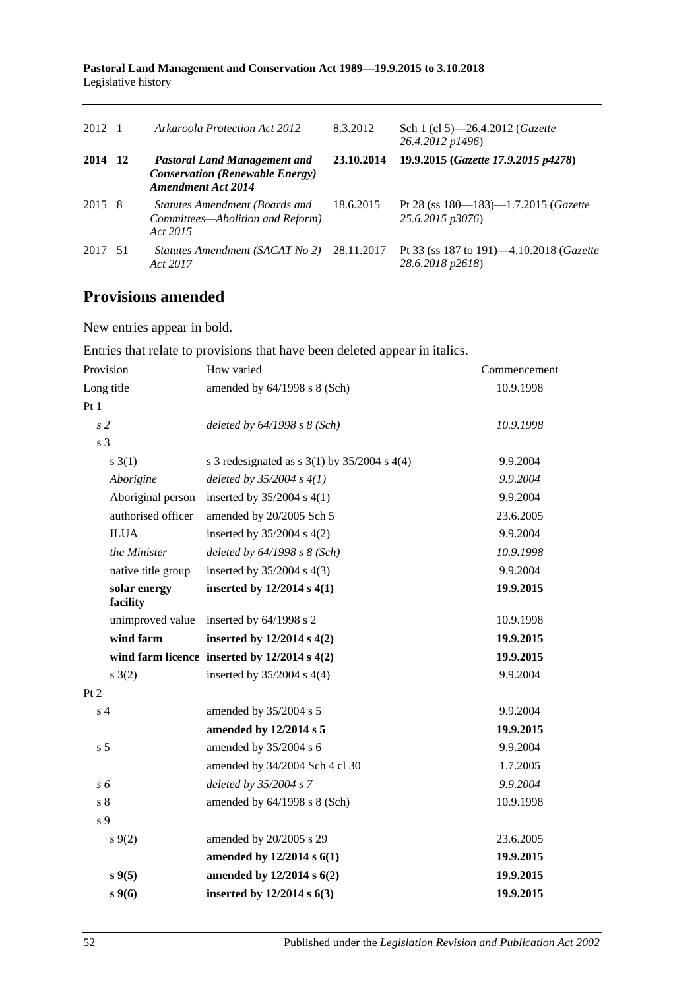**Pastoral Land Management and Conservation Act 1989—19.9.2015 to 3.10.2018** Legislative history

| 2012 1  | Arkaroola Protection Act 2012                                                                              | 8.3.2012   | Sch 1 (cl 5)—26.4.2012 ( <i>Gazette</i><br>26.4.2012 p1496)          |
|---------|------------------------------------------------------------------------------------------------------------|------------|----------------------------------------------------------------------|
| 2014 12 | <b>Pastoral Land Management and</b><br><b>Conservation (Renewable Energy)</b><br><b>Amendment Act 2014</b> | 23.10.2014 | 19.9.2015 (Gazette 17.9.2015 p4278)                                  |
| 2015 8  | Statutes Amendment (Boards and<br>Committees-Abolition and Reform)<br>Act 2015                             | 18.6.2015  | Pt 28 (ss 180-183)-1.7.2015 (Gazette<br>25.6.2015 p3076)             |
| 2017 51 | Statutes Amendment (SACAT No 2)<br>Act 2017                                                                | 28.11.2017 | Pt 33 (ss 187 to 191)—4.10.2018 ( <i>Gazette</i><br>28.6.2018 p2618) |

## **Provisions amended**

New entries appear in bold.

Entries that relate to provisions that have been deleted appear in italics.

| Provision                | How varied                                         | Commencement |  |
|--------------------------|----------------------------------------------------|--------------|--|
| Long title               | amended by 64/1998 s 8 (Sch)                       | 10.9.1998    |  |
| Pt1                      |                                                    |              |  |
| s <sub>2</sub>           | deleted by $64/1998 s 8 (Sch)$                     | 10.9.1998    |  |
| s <sub>3</sub>           |                                                    |              |  |
| $s \; 3(1)$              | s 3 redesignated as s $3(1)$ by $35/2004$ s $4(4)$ | 9.9.2004     |  |
| Aborigine                | deleted by $35/2004 s 4(1)$                        | 9.9.2004     |  |
| Aboriginal person        | inserted by $35/2004$ s 4(1)                       | 9.9.2004     |  |
| authorised officer       | amended by 20/2005 Sch 5                           | 23.6.2005    |  |
| <b>ILUA</b>              | inserted by $35/2004$ s $4(2)$                     | 9.9.2004     |  |
| the Minister             | deleted by $64/1998 s 8 (Sch)$                     | 10.9.1998    |  |
| native title group       | inserted by $35/2004$ s $4(3)$                     | 9.9.2004     |  |
| solar energy<br>facility | inserted by $12/2014$ s $4(1)$                     | 19.9.2015    |  |
| unimproved value         | inserted by 64/1998 s 2                            | 10.9.1998    |  |
| wind farm                | inserted by $12/2014$ s $4(2)$                     | 19.9.2015    |  |
|                          | wind farm licence inserted by $12/2014 s 4(2)$     | 19.9.2015    |  |
| $s \; 3(2)$              | inserted by $35/2004$ s $4(4)$                     | 9.9.2004     |  |
| Pt 2                     |                                                    |              |  |
| s <sub>4</sub>           | amended by 35/2004 s 5                             | 9.9.2004     |  |
|                          | amended by 12/2014 s 5                             | 19.9.2015    |  |
| s <sub>5</sub>           | amended by 35/2004 s 6                             | 9.9.2004     |  |
|                          | amended by 34/2004 Sch 4 cl 30                     | 1.7.2005     |  |
| s 6                      | deleted by 35/2004 s 7                             | 9.9.2004     |  |
| $\sqrt{s}$ 8             | amended by 64/1998 s 8 (Sch)                       | 10.9.1998    |  |
| $\sqrt{s}$ 9             |                                                    |              |  |
| $s \, 9(2)$              | amended by 20/2005 s 29                            | 23.6.2005    |  |
|                          | amended by 12/2014 s 6(1)                          | 19.9.2015    |  |
| $s \, 9(5)$              | amended by 12/2014 s 6(2)                          | 19.9.2015    |  |
| $s\,9(6)$                | inserted by $12/2014$ s $6(3)$                     | 19.9.2015    |  |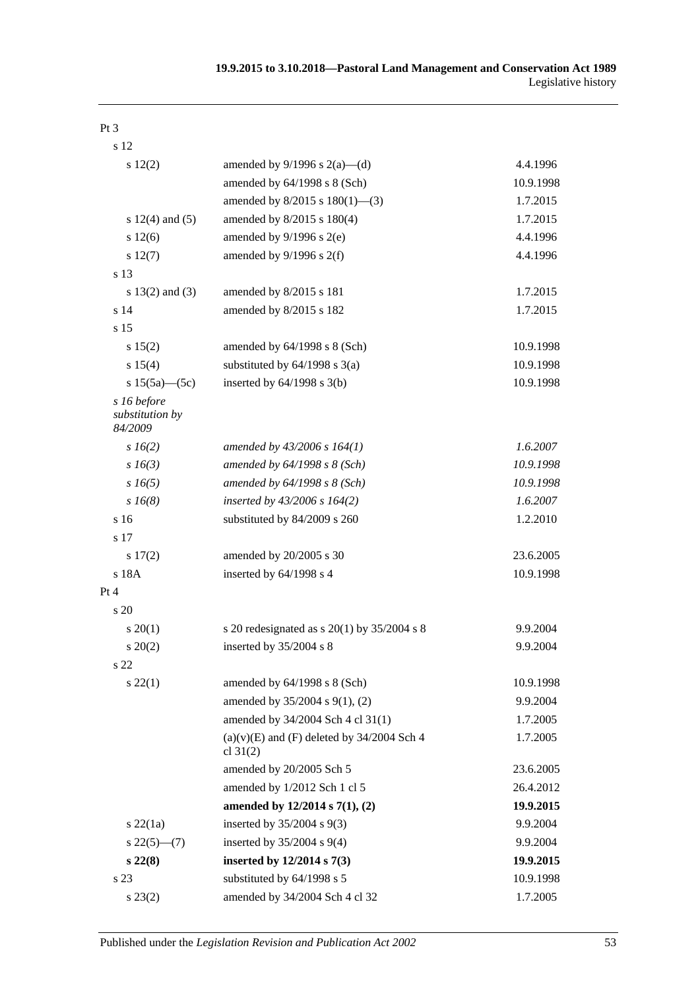| s 12                                      |                                                              |           |
|-------------------------------------------|--------------------------------------------------------------|-----------|
| s 12(2)                                   | amended by $9/1996$ s $2(a)$ —(d)                            | 4.4.1996  |
|                                           | amended by 64/1998 s 8 (Sch)                                 | 10.9.1998 |
|                                           | amended by $8/2015$ s $180(1)$ —(3)                          | 1.7.2015  |
| s $12(4)$ and $(5)$                       | amended by 8/2015 s 180(4)                                   | 1.7.2015  |
| s 12(6)                                   | amended by $9/1996$ s $2(e)$                                 | 4.4.1996  |
| s 12(7)                                   | amended by $9/1996$ s $2(f)$                                 | 4.4.1996  |
| s 13                                      |                                                              |           |
| s $13(2)$ and $(3)$                       | amended by 8/2015 s 181                                      | 1.7.2015  |
| s <sub>14</sub>                           | amended by 8/2015 s 182                                      | 1.7.2015  |
| s <sub>15</sub>                           |                                                              |           |
| s 15(2)                                   | amended by 64/1998 s 8 (Sch)                                 | 10.9.1998 |
| s 15(4)                                   | substituted by $64/1998$ s $3(a)$                            | 10.9.1998 |
| s $15(5a)$ - $(5c)$                       | inserted by $64/1998$ s $3(b)$                               | 10.9.1998 |
| s 16 before<br>substitution by<br>84/2009 |                                                              |           |
| $s\,16(2)$                                | amended by $43/2006$ s $164(1)$                              | 1.6.2007  |
| $s\,16(3)$                                | amended by $64/1998 s 8 (Sch)$                               | 10.9.1998 |
| $s\,16(5)$                                | amended by $64/1998 s 8 (Sch)$                               | 10.9.1998 |
| $s\,16(8)$                                | inserted by $43/2006$ s $164(2)$                             | 1.6.2007  |
| s <sub>16</sub>                           | substituted by 84/2009 s 260                                 | 1.2.2010  |
| s 17                                      |                                                              |           |
| s 17(2)                                   | amended by 20/2005 s 30                                      | 23.6.2005 |
| s 18A                                     | inserted by 64/1998 s 4                                      | 10.9.1998 |
| Pt 4                                      |                                                              |           |
| s 20                                      |                                                              |           |
| $s \ 20(1)$                               | s 20 redesignated as s $20(1)$ by $35/2004$ s 8              | 9.9.2004  |
| $s \ 20(2)$                               | inserted by 35/2004 s 8                                      | 9.9.2004  |
| s 22                                      |                                                              |           |
| $s\,22(1)$                                | amended by $64/1998$ s $8$ (Sch)                             | 10.9.1998 |
|                                           | amended by 35/2004 s 9(1), (2)                               | 9.9.2004  |
|                                           | amended by 34/2004 Sch 4 cl 31(1)                            | 1.7.2005  |
|                                           | $(a)(v)(E)$ and $(F)$ deleted by 34/2004 Sch 4<br>cl $31(2)$ | 1.7.2005  |
|                                           | amended by 20/2005 Sch 5                                     | 23.6.2005 |
|                                           | amended by 1/2012 Sch 1 cl 5                                 | 26.4.2012 |
|                                           | amended by 12/2014 s 7(1), (2)                               | 19.9.2015 |
| $s\,22(1a)$                               | inserted by $35/2004$ s $9(3)$                               | 9.9.2004  |
| $s22(5)$ (7)                              | inserted by $35/2004$ s $9(4)$                               | 9.9.2004  |
| $s\,22(8)$                                | inserted by $12/2014$ s $7(3)$                               | 19.9.2015 |
| s 23                                      | substituted by 64/1998 s 5                                   | 10.9.1998 |
| $s\,23(2)$                                | amended by 34/2004 Sch 4 cl 32                               | 1.7.2005  |

Pt 3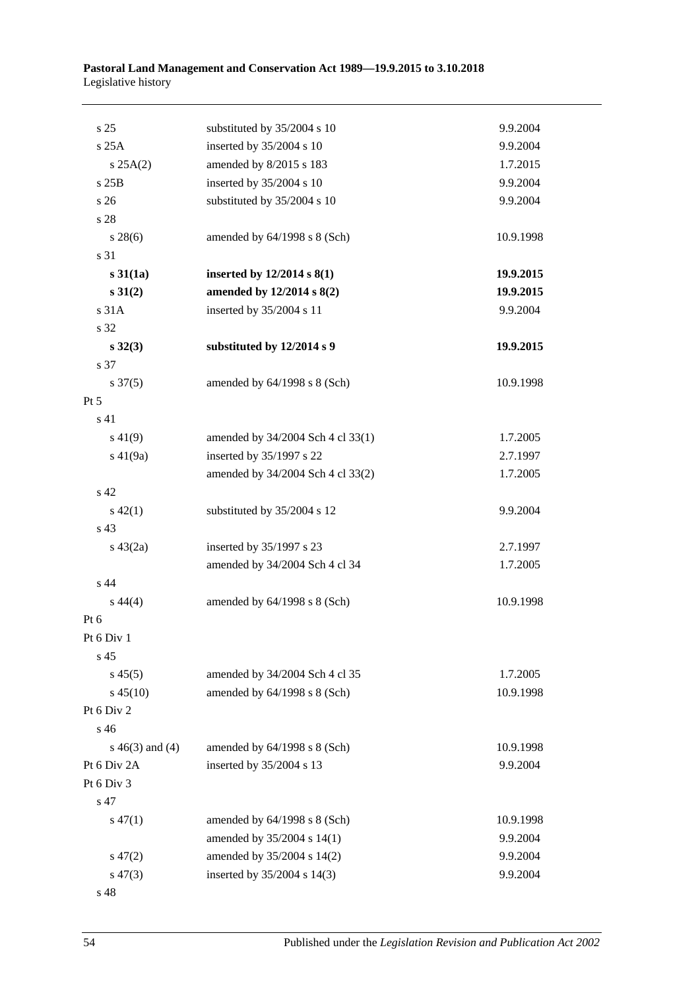#### **Pastoral Land Management and Conservation Act 1989—19.9.2015 to 3.10.2018** Legislative history

| s 25                | substituted by 35/2004 s 10       | 9.9.2004  |
|---------------------|-----------------------------------|-----------|
| s 25A               | inserted by 35/2004 s 10          | 9.9.2004  |
| s 25A(2)            | amended by 8/2015 s 183           | 1.7.2015  |
| s 25B               | inserted by 35/2004 s 10          | 9.9.2004  |
| s <sub>26</sub>     | substituted by 35/2004 s 10       | 9.9.2004  |
| s 28                |                                   |           |
| $s\,28(6)$          | amended by $64/1998$ s $8$ (Sch)  | 10.9.1998 |
| s 31                |                                   |           |
| s31(1a)             | inserted by $12/2014$ s $8(1)$    | 19.9.2015 |
| $s \ 31(2)$         | amended by 12/2014 s 8(2)         | 19.9.2015 |
| s 31A               | inserted by 35/2004 s 11          | 9.9.2004  |
| s 32                |                                   |           |
| $s\,32(3)$          | substituted by 12/2014 s 9        | 19.9.2015 |
| s 37                |                                   |           |
| $s \frac{37(5)}{2}$ | amended by $64/1998$ s $8$ (Sch)  | 10.9.1998 |
| $Pt\,5$             |                                   |           |
| s 41                |                                   |           |
| $s\ 41(9)$          | amended by 34/2004 Sch 4 cl 33(1) | 1.7.2005  |
| $s\ 41(9a)$         | inserted by 35/1997 s 22          | 2.7.1997  |
|                     | amended by 34/2004 Sch 4 cl 33(2) | 1.7.2005  |
| s 42                |                                   |           |
| $s\ 42(1)$          | substituted by 35/2004 s 12       | 9.9.2004  |
| s 43                |                                   |           |
| $s\ 43(2a)$         | inserted by 35/1997 s 23          | 2.7.1997  |
|                     | amended by 34/2004 Sch 4 cl 34    | 1.7.2005  |
| s 44                |                                   |           |
| $s\,44(4)$          | amended by $64/1998$ s $8$ (Sch)  | 10.9.1998 |
| Pt $6$              |                                   |           |
| Pt 6 Div 1          |                                   |           |
| s <sub>45</sub>     |                                   |           |
| $s\,45(5)$          | amended by 34/2004 Sch 4 cl 35    | 1.7.2005  |
| $s\,45(10)$         | amended by $64/1998$ s $8$ (Sch)  | 10.9.1998 |
| Pt 6 Div 2          |                                   |           |
| s <sub>46</sub>     |                                   |           |
| $s\ 46(3)$ and (4)  | amended by $64/1998$ s $8$ (Sch)  | 10.9.1998 |
| Pt 6 Div 2A         | inserted by 35/2004 s 13          | 9.9.2004  |
| Pt 6 Div 3          |                                   |           |
| s 47                |                                   |           |
| $s\,47(1)$          | amended by 64/1998 s 8 (Sch)      | 10.9.1998 |
|                     | amended by 35/2004 s 14(1)        | 9.9.2004  |
| $s\,47(2)$          | amended by 35/2004 s 14(2)        | 9.9.2004  |
| $s\,47(3)$          | inserted by 35/2004 s 14(3)       | 9.9.2004  |
| s 48                |                                   |           |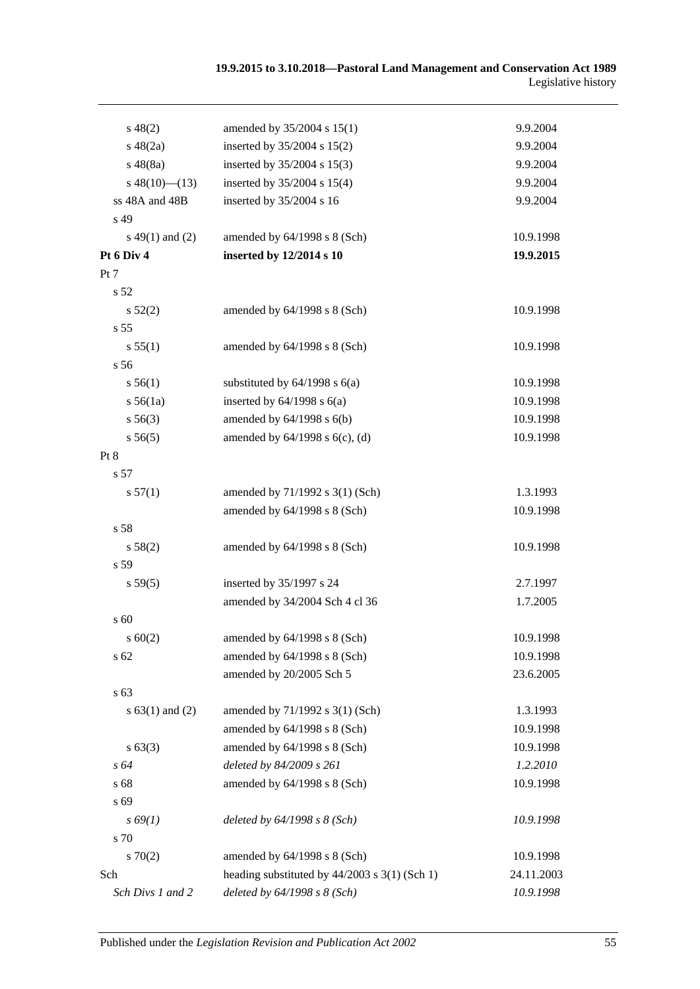| $s\,48(2)$          | amended by 35/2004 s 15(1)                      | 9.9.2004   |
|---------------------|-------------------------------------------------|------------|
| $s\ 48(2a)$         | inserted by 35/2004 s 15(2)                     | 9.9.2004   |
| $s\,48(8a)$         | inserted by 35/2004 s 15(3)                     | 9.9.2004   |
| $s\ 48(10)$ (13)    | inserted by 35/2004 s 15(4)                     | 9.9.2004   |
| ss 48A and 48B      | inserted by 35/2004 s 16                        | 9.9.2004   |
| s 49                |                                                 |            |
| $s\ 49(1)$ and (2)  | amended by 64/1998 s 8 (Sch)                    | 10.9.1998  |
| Pt 6 Div 4          | inserted by 12/2014 s 10                        | 19.9.2015  |
| Pt 7                |                                                 |            |
| s 52                |                                                 |            |
| $s\,52(2)$          | amended by 64/1998 s 8 (Sch)                    | 10.9.1998  |
| s 55                |                                                 |            |
| s 55(1)             | amended by 64/1998 s 8 (Sch)                    | 10.9.1998  |
| s <sub>56</sub>     |                                                 |            |
| s 56(1)             | substituted by $64/1998$ s $6(a)$               | 10.9.1998  |
| s 56(1a)            | inserted by $64/1998$ s $6(a)$                  | 10.9.1998  |
| $s\,56(3)$          | amended by $64/1998$ s $6(b)$                   | 10.9.1998  |
| s 56(5)             | amended by $64/1998$ s $6(c)$ , (d)             | 10.9.1998  |
| Pt 8                |                                                 |            |
| s 57                |                                                 |            |
| s 57(1)             | amended by 71/1992 s 3(1) (Sch)                 | 1.3.1993   |
|                     | amended by 64/1998 s 8 (Sch)                    | 10.9.1998  |
| s 58                |                                                 |            |
| s 58(2)             | amended by $64/1998$ s $8$ (Sch)                | 10.9.1998  |
| s 59                |                                                 |            |
| s 59(5)             | inserted by 35/1997 s 24                        | 2.7.1997   |
|                     | amended by 34/2004 Sch 4 cl 36                  | 1.7.2005   |
| s 60                |                                                 |            |
| $s \ 60(2)$         | amended by 64/1998 s 8 (Sch)                    | 10.9.1998  |
| s 62                | amended by 64/1998 s 8 (Sch)                    | 10.9.1998  |
|                     | amended by 20/2005 Sch 5                        | 23.6.2005  |
| s 63                |                                                 |            |
| s $63(1)$ and $(2)$ | amended by 71/1992 s 3(1) (Sch)                 | 1.3.1993   |
|                     | amended by 64/1998 s 8 (Sch)                    | 10.9.1998  |
| $s\,63(3)$          | amended by 64/1998 s 8 (Sch)                    | 10.9.1998  |
| s 64                | deleted by 84/2009 s 261                        | 1.2.2010   |
| s 68                | amended by 64/1998 s 8 (Sch)                    | 10.9.1998  |
| s 69                |                                                 |            |
| $s\,69(1)$          | deleted by $64/1998 s 8$ (Sch)                  | 10.9.1998  |
| s 70                |                                                 |            |
| 570(2)              | amended by 64/1998 s 8 (Sch)                    | 10.9.1998  |
| Sch                 | heading substituted by $44/2003$ s 3(1) (Sch 1) | 24.11.2003 |
| Sch Divs 1 and 2    | deleted by 64/1998 s 8 (Sch)                    | 10.9.1998  |